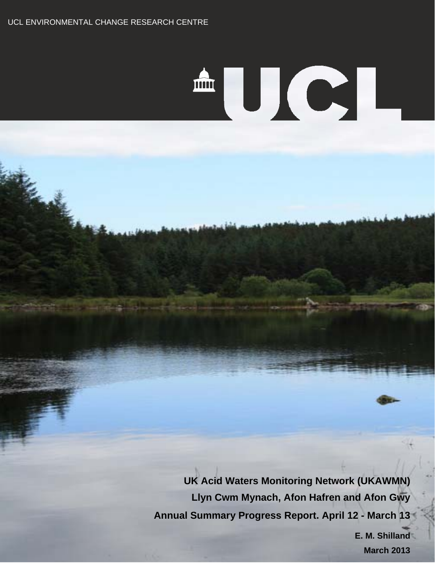Ž.

# AUCI.

**UK Acid Waters Monitoring Network (UKAWMN) Llyn Cwm Mynach, Afon Hafren and Afon Gwy Annual Summary Progress Report. April 12 - March 13**

> **E. M. Shilland March 2013**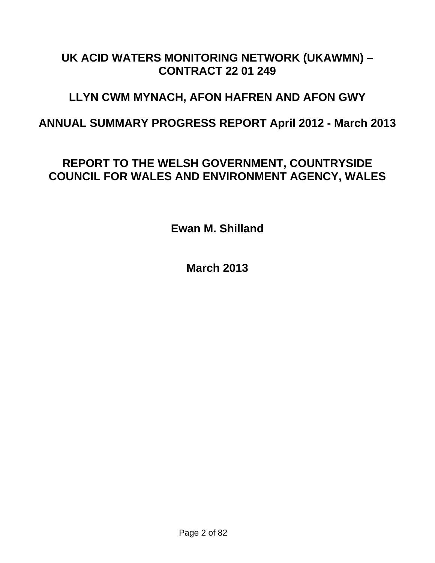# **UK ACID WATERS MONITORING NETWORK (UKAWMN) – CONTRACT 22 01 249**

# **LLYN CWM MYNACH, AFON HAFREN AND AFON GWY**

**ANNUAL SUMMARY PROGRESS REPORT April 2012 - March 2013** 

# **REPORT TO THE WELSH GOVERNMENT, COUNTRYSIDE COUNCIL FOR WALES AND ENVIRONMENT AGENCY, WALES**

**Ewan M. Shilland** 

**March 2013**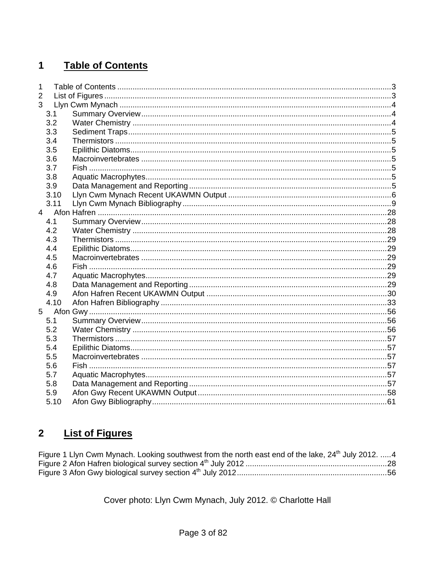#### <span id="page-2-0"></span>**Table of Contents**  $\mathbf 1$

| 1              |      |  |
|----------------|------|--|
| $\overline{2}$ |      |  |
| 3              |      |  |
|                | 3.1  |  |
|                | 3.2  |  |
|                | 3.3  |  |
|                | 3.4  |  |
|                | 3.5  |  |
|                | 3.6  |  |
|                | 3.7  |  |
|                | 3.8  |  |
|                | 3.9  |  |
|                | 3.10 |  |
|                | 3.11 |  |
| 4              |      |  |
|                | 4.1  |  |
|                | 4.2  |  |
|                | 4.3  |  |
|                | 4.4  |  |
|                | 4.5  |  |
|                | 4.6  |  |
|                | 4.7  |  |
|                | 4.8  |  |
|                | 4.9  |  |
|                | 4.10 |  |
| 5              |      |  |
|                | 5.1  |  |
|                | 5.2  |  |
|                | 5.3  |  |
|                | 5.4  |  |
|                | 5.5  |  |
|                | 5.6  |  |
|                | 5.7  |  |
|                | 5.8  |  |
|                | 5.9  |  |
|                | 5.10 |  |
|                |      |  |

#### **List of Figures**  $\overline{\mathbf{2}}$

| Figure 1 Llyn Cwm Mynach. Looking southwest from the north east end of the lake, 24 <sup>th</sup> July 2012.  4 |  |
|-----------------------------------------------------------------------------------------------------------------|--|
|                                                                                                                 |  |
|                                                                                                                 |  |

Cover photo: Llyn Cwm Mynach, July 2012. © Charlotte Hall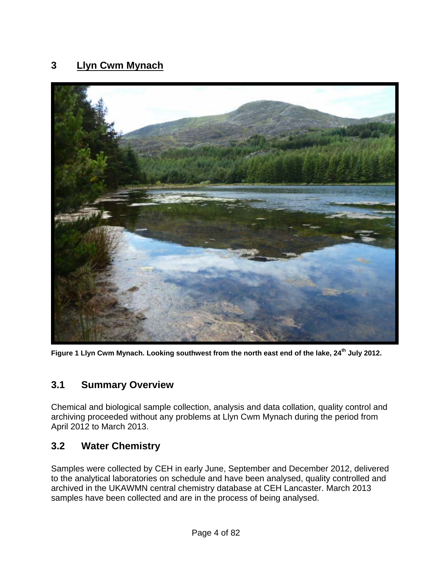# <span id="page-3-0"></span>**3 Llyn Cwm Mynach**



**Figure 1 Llyn Cwm Mynach. Looking southwest from the north east end of the lake, 24th July 2012.** 

#### **3.1 Summary Overview**

Chemical and biological sample collection, analysis and data collation, quality control and archiving proceeded without any problems at Llyn Cwm Mynach during the period from April 2012 to March 2013.

#### **3.2 Water Chemistry**

Samples were collected by CEH in early June, September and December 2012, delivered to the analytical laboratories on schedule and have been analysed, quality controlled and archived in the UKAWMN central chemistry database at CEH Lancaster. March 2013 samples have been collected and are in the process of being analysed.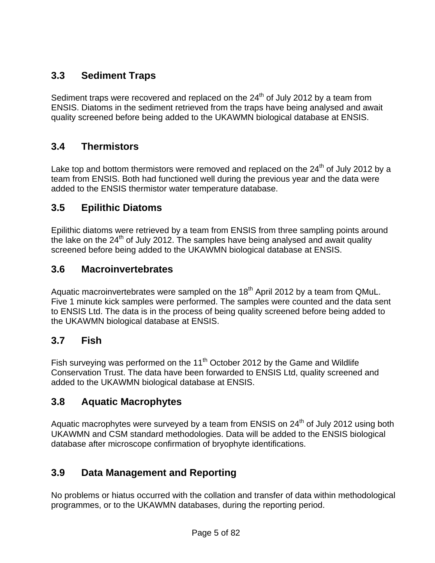# <span id="page-4-0"></span>**3.3 Sediment Traps**

Sediment traps were recovered and replaced on the  $24<sup>th</sup>$  of July 2012 by a team from ENSIS. Diatoms in the sediment retrieved from the traps have being analysed and await quality screened before being added to the UKAWMN biological database at ENSIS.

### **3.4 Thermistors**

Lake top and bottom thermistors were removed and replaced on the  $24<sup>th</sup>$  of July 2012 by a team from ENSIS. Both had functioned well during the previous year and the data were added to the ENSIS thermistor water temperature database.

### **3.5 Epilithic Diatoms**

Epilithic diatoms were retrieved by a team from ENSIS from three sampling points around the lake on the  $24<sup>th</sup>$  of July 2012. The samples have being analysed and await quality screened before being added to the UKAWMN biological database at ENSIS.

#### **3.6 Macroinvertebrates**

Aquatic macroinvertebrates were sampled on the 18<sup>th</sup> April 2012 by a team from QMuL. Five 1 minute kick samples were performed. The samples were counted and the data sent to ENSIS Ltd. The data is in the process of being quality screened before being added to the UKAWMN biological database at ENSIS.

#### **3.7 Fish**

Fish surveying was performed on the  $11<sup>th</sup>$  October 2012 by the Game and Wildlife Conservation Trust. The data have been forwarded to ENSIS Ltd, quality screened and added to the UKAWMN biological database at ENSIS.

#### **3.8 Aquatic Macrophytes**

Aquatic macrophytes were surveyed by a team from ENSIS on 24<sup>th</sup> of July 2012 using both UKAWMN and CSM standard methodologies. Data will be added to the ENSIS biological database after microscope confirmation of bryophyte identifications.

#### **3.9 Data Management and Reporting**

No problems or hiatus occurred with the collation and transfer of data within methodological programmes, or to the UKAWMN databases, during the reporting period.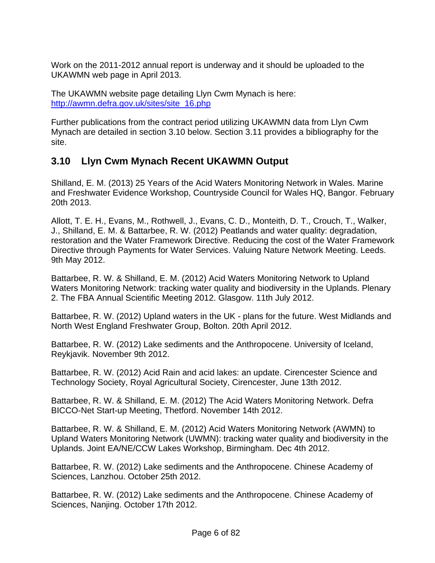<span id="page-5-0"></span>Work on the 2011-2012 annual report is underway and it should be uploaded to the UKAWMN web page in April 2013.

The UKAWMN website page detailing Llyn Cwm Mynach is here: [http://awmn.defra.gov.uk/sites/site\\_16.php](http://awmn.defra.gov.uk/sites/site_16.php)

Further publications from the contract period utilizing UKAWMN data from Llyn Cwm Mynach are detailed in section 3.10 below. Section 3.11 provides a bibliography for the site.

# **3.10 Llyn Cwm Mynach Recent UKAWMN Output**

Shilland, E. M. (2013) 25 Years of the Acid Waters Monitoring Network in Wales. Marine and Freshwater Evidence Workshop, Countryside Council for Wales HQ, Bangor. February 20th 2013.

Allott, T. E. H., Evans, M., Rothwell, J., Evans, C. D., Monteith, D. T., Crouch, T., Walker, J., Shilland, E. M. & Battarbee, R. W. (2012) Peatlands and water quality: degradation, restoration and the Water Framework Directive. Reducing the cost of the Water Framework Directive through Payments for Water Services. Valuing Nature Network Meeting. Leeds. 9th May 2012.

Battarbee, R. W. & Shilland, E. M. (2012) Acid Waters Monitoring Network to Upland Waters Monitoring Network: tracking water quality and biodiversity in the Uplands. Plenary 2. The FBA Annual Scientific Meeting 2012. Glasgow. 11th July 2012.

Battarbee, R. W. (2012) Upland waters in the UK - plans for the future. West Midlands and North West England Freshwater Group, Bolton. 20th April 2012.

Battarbee, R. W. (2012) Lake sediments and the Anthropocene. University of Iceland, Reykjavik. November 9th 2012.

Battarbee, R. W. (2012) Acid Rain and acid lakes: an update. Cirencester Science and Technology Society, Royal Agricultural Society, Cirencester, June 13th 2012.

Battarbee, R. W. & Shilland, E. M. (2012) The Acid Waters Monitoring Network. Defra BICCO-Net Start-up Meeting, Thetford. November 14th 2012.

Battarbee, R. W. & Shilland, E. M. (2012) Acid Waters Monitoring Network (AWMN) to Upland Waters Monitoring Network (UWMN): tracking water quality and biodiversity in the Uplands. Joint EA/NE/CCW Lakes Workshop, Birmingham. Dec 4th 2012.

Battarbee, R. W. (2012) Lake sediments and the Anthropocene. Chinese Academy of Sciences, Lanzhou. October 25th 2012.

Battarbee, R. W. (2012) Lake sediments and the Anthropocene. Chinese Academy of Sciences, Nanjing. October 17th 2012.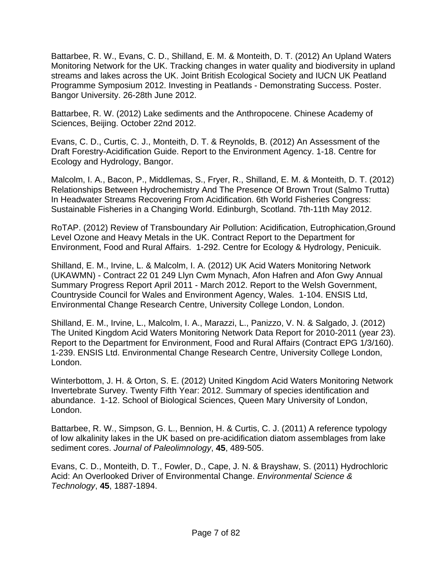Battarbee, R. W., Evans, C. D., Shilland, E. M. & Monteith, D. T. (2012) An Upland Waters Monitoring Network for the UK. Tracking changes in water quality and biodiversity in upland streams and lakes across the UK. Joint British Ecological Society and IUCN UK Peatland Programme Symposium 2012. Investing in Peatlands - Demonstrating Success. Poster. Bangor University. 26-28th June 2012.

Battarbee, R. W. (2012) Lake sediments and the Anthropocene. Chinese Academy of Sciences, Beijing. October 22nd 2012.

Evans, C. D., Curtis, C. J., Monteith, D. T. & Reynolds, B. (2012) An Assessment of the Draft Forestry-Acidification Guide. Report to the Environment Agency. 1-18. Centre for Ecology and Hydrology, Bangor.

Malcolm, I. A., Bacon, P., Middlemas, S., Fryer, R., Shilland, E. M. & Monteith, D. T. (2012) Relationships Between Hydrochemistry And The Presence Of Brown Trout (Salmo Trutta) In Headwater Streams Recovering From Acidification. 6th World Fisheries Congress: Sustainable Fisheries in a Changing World. Edinburgh, Scotland. 7th-11th May 2012.

RoTAP. (2012) Review of Transboundary Air Pollution: Acidification, Eutrophication,Ground Level Ozone and Heavy Metals in the UK. Contract Report to the Department for Environment, Food and Rural Affairs. 1-292. Centre for Ecology & Hydrology, Penicuik.

Shilland, E. M., Irvine, L. & Malcolm, I. A. (2012) UK Acid Waters Monitoring Network (UKAWMN) - Contract 22 01 249 Llyn Cwm Mynach, Afon Hafren and Afon Gwy Annual Summary Progress Report April 2011 - March 2012. Report to the Welsh Government, Countryside Council for Wales and Environment Agency, Wales. 1-104. ENSIS Ltd, Environmental Change Research Centre, University College London, London.

Shilland, E. M., Irvine, L., Malcolm, I. A., Marazzi, L., Panizzo, V. N. & Salgado, J. (2012) The United Kingdom Acid Waters Monitoring Network Data Report for 2010-2011 (year 23). Report to the Department for Environment, Food and Rural Affairs (Contract EPG 1/3/160). 1-239. ENSIS Ltd. Environmental Change Research Centre, University College London, London.

Winterbottom, J. H. & Orton, S. E. (2012) United Kingdom Acid Waters Monitoring Network Invertebrate Survey. Twenty Fifth Year: 2012. Summary of species identification and abundance. 1-12. School of Biological Sciences, Queen Mary University of London, London.

Battarbee, R. W., Simpson, G. L., Bennion, H. & Curtis, C. J. (2011) A reference typology of low alkalinity lakes in the UK based on pre-acidification diatom assemblages from lake sediment cores. *Journal of Paleolimnology*, **45**, 489-505.

Evans, C. D., Monteith, D. T., Fowler, D., Cape, J. N. & Brayshaw, S. (2011) Hydrochloric Acid: An Overlooked Driver of Environmental Change. *Environmental Science & Technology*, **45**, 1887-1894.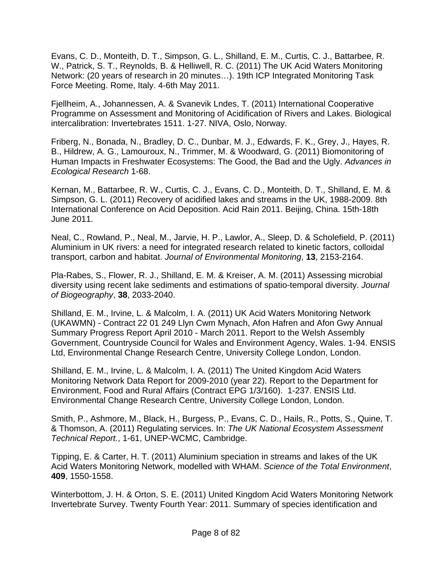Evans, C. D., Monteith, D. T., Simpson, G. L., Shilland, E. M., Curtis, C. J., Battarbee, R. W., Patrick, S. T., Reynolds, B. & Helliwell, R. C. (2011) The UK Acid Waters Monitoring Network: (20 years of research in 20 minutes…). 19th ICP Integrated Monitoring Task Force Meeting. Rome, Italy. 4-6th May 2011.

Fjellheim, A., Johannessen, A. & Svanevik Lndes, T. (2011) International Cooperative Programme on Assessment and Monitoring of Acidification of Rivers and Lakes. Biological intercalibration: Invertebrates 1511. 1-27. NIVA, Oslo, Norway.

Friberg, N., Bonada, N., Bradley, D. C., Dunbar, M. J., Edwards, F. K., Grey, J., Hayes, R. B., Hildrew, A. G., Lamouroux, N., Trimmer, M. & Woodward, G. (2011) Biomonitoring of Human Impacts in Freshwater Ecosystems: The Good, the Bad and the Ugly. *Advances in Ecological Research* 1-68.

Kernan, M., Battarbee, R. W., Curtis, C. J., Evans, C. D., Monteith, D. T., Shilland, E. M. & Simpson, G. L. (2011) Recovery of acidified lakes and streams in the UK, 1988-2009. 8th International Conference on Acid Deposition. Acid Rain 2011. Beijing, China. 15th-18th June 2011.

Neal, C., Rowland, P., Neal, M., Jarvie, H. P., Lawlor, A., Sleep, D. & Scholefield, P. (2011) Aluminium in UK rivers: a need for integrated research related to kinetic factors, colloidal transport, carbon and habitat. *Journal of Environmental Monitoring*, **13**, 2153-2164.

Pla-Rabes, S., Flower, R. J., Shilland, E. M. & Kreiser, A. M. (2011) Assessing microbial diversity using recent lake sediments and estimations of spatio-temporal diversity. *Journal of Biogeography*, **38**, 2033-2040.

Shilland, E. M., Irvine, L. & Malcolm, I. A. (2011) UK Acid Waters Monitoring Network (UKAWMN) - Contract 22 01 249 Llyn Cwm Mynach, Afon Hafren and Afon Gwy Annual Summary Progress Report April 2010 - March 2011. Report to the Welsh Assembly Government, Countryside Council for Wales and Environment Agency, Wales. 1-94. ENSIS Ltd, Environmental Change Research Centre, University College London, London.

Shilland, E. M., Irvine, L. & Malcolm, I. A. (2011) The United Kingdom Acid Waters Monitoring Network Data Report for 2009-2010 (year 22). Report to the Department for Environment, Food and Rural Affairs (Contract EPG 1/3/160). 1-237. ENSIS Ltd. Environmental Change Research Centre, University College London, London.

Smith, P., Ashmore, M., Black, H., Burgess, P., Evans, C. D., Hails, R., Potts, S., Quine, T. & Thomson, A. (2011) Regulating services. In: *The UK National Ecosystem Assessment Technical Report.*, 1-61, UNEP-WCMC, Cambridge.

Tipping, E. & Carter, H. T. (2011) Aluminium speciation in streams and lakes of the UK Acid Waters Monitoring Network, modelled with WHAM. *Science of the Total Environment*, **409**, 1550-1558.

Winterbottom, J. H. & Orton, S. E. (2011) United Kingdom Acid Waters Monitoring Network Invertebrate Survey. Twenty Fourth Year: 2011. Summary of species identification and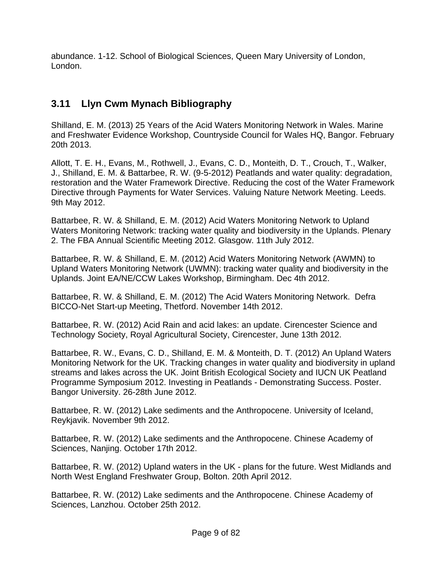<span id="page-8-0"></span>abundance. 1-12. School of Biological Sciences, Queen Mary University of London, London.

# **3.11 Llyn Cwm Mynach Bibliography**

Shilland, E. M. (2013) 25 Years of the Acid Waters Monitoring Network in Wales. Marine and Freshwater Evidence Workshop, Countryside Council for Wales HQ, Bangor. February 20th 2013.

Allott, T. E. H., Evans, M., Rothwell, J., Evans, C. D., Monteith, D. T., Crouch, T., Walker, J., Shilland, E. M. & Battarbee, R. W. (9-5-2012) Peatlands and water quality: degradation, restoration and the Water Framework Directive. Reducing the cost of the Water Framework Directive through Payments for Water Services. Valuing Nature Network Meeting. Leeds. 9th May 2012.

Battarbee, R. W. & Shilland, E. M. (2012) Acid Waters Monitoring Network to Upland Waters Monitoring Network: tracking water quality and biodiversity in the Uplands. Plenary 2. The FBA Annual Scientific Meeting 2012. Glasgow. 11th July 2012.

Battarbee, R. W. & Shilland, E. M. (2012) Acid Waters Monitoring Network (AWMN) to Upland Waters Monitoring Network (UWMN): tracking water quality and biodiversity in the Uplands. Joint EA/NE/CCW Lakes Workshop, Birmingham. Dec 4th 2012.

Battarbee, R. W. & Shilland, E. M. (2012) The Acid Waters Monitoring Network. Defra BICCO-Net Start-up Meeting, Thetford. November 14th 2012.

Battarbee, R. W. (2012) Acid Rain and acid lakes: an update. Cirencester Science and Technology Society, Royal Agricultural Society, Cirencester, June 13th 2012.

Battarbee, R. W., Evans, C. D., Shilland, E. M. & Monteith, D. T. (2012) An Upland Waters Monitoring Network for the UK. Tracking changes in water quality and biodiversity in upland streams and lakes across the UK. Joint British Ecological Society and IUCN UK Peatland Programme Symposium 2012. Investing in Peatlands - Demonstrating Success. Poster. Bangor University. 26-28th June 2012.

Battarbee, R. W. (2012) Lake sediments and the Anthropocene. University of Iceland, Reykjavik. November 9th 2012.

Battarbee, R. W. (2012) Lake sediments and the Anthropocene. Chinese Academy of Sciences, Nanjing. October 17th 2012.

Battarbee, R. W. (2012) Upland waters in the UK - plans for the future. West Midlands and North West England Freshwater Group, Bolton. 20th April 2012.

Battarbee, R. W. (2012) Lake sediments and the Anthropocene. Chinese Academy of Sciences, Lanzhou. October 25th 2012.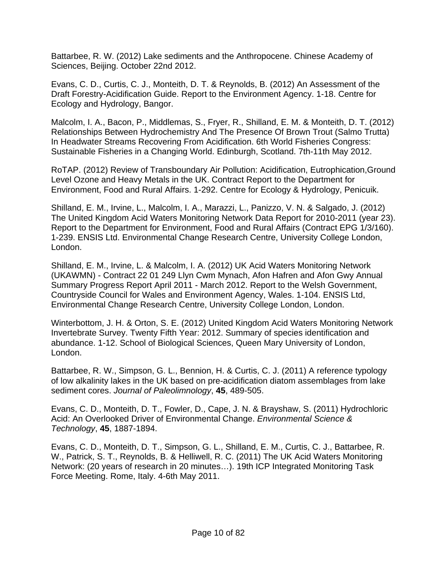Battarbee, R. W. (2012) Lake sediments and the Anthropocene. Chinese Academy of Sciences, Beijing. October 22nd 2012.

Evans, C. D., Curtis, C. J., Monteith, D. T. & Reynolds, B. (2012) An Assessment of the Draft Forestry-Acidification Guide. Report to the Environment Agency. 1-18. Centre for Ecology and Hydrology, Bangor.

Malcolm, I. A., Bacon, P., Middlemas, S., Fryer, R., Shilland, E. M. & Monteith, D. T. (2012) Relationships Between Hydrochemistry And The Presence Of Brown Trout (Salmo Trutta) In Headwater Streams Recovering From Acidification. 6th World Fisheries Congress: Sustainable Fisheries in a Changing World. Edinburgh, Scotland. 7th-11th May 2012.

RoTAP. (2012) Review of Transboundary Air Pollution: Acidification, Eutrophication,Ground Level Ozone and Heavy Metals in the UK. Contract Report to the Department for Environment, Food and Rural Affairs. 1-292. Centre for Ecology & Hydrology, Penicuik.

Shilland, E. M., Irvine, L., Malcolm, I. A., Marazzi, L., Panizzo, V. N. & Salgado, J. (2012) The United Kingdom Acid Waters Monitoring Network Data Report for 2010-2011 (year 23). Report to the Department for Environment, Food and Rural Affairs (Contract EPG 1/3/160). 1-239. ENSIS Ltd. Environmental Change Research Centre, University College London, London.

Shilland, E. M., Irvine, L. & Malcolm, I. A. (2012) UK Acid Waters Monitoring Network (UKAWMN) - Contract 22 01 249 Llyn Cwm Mynach, Afon Hafren and Afon Gwy Annual Summary Progress Report April 2011 - March 2012. Report to the Welsh Government, Countryside Council for Wales and Environment Agency, Wales. 1-104. ENSIS Ltd, Environmental Change Research Centre, University College London, London.

Winterbottom, J. H. & Orton, S. E. (2012) United Kingdom Acid Waters Monitoring Network Invertebrate Survey. Twenty Fifth Year: 2012. Summary of species identification and abundance. 1-12. School of Biological Sciences, Queen Mary University of London, London.

Battarbee, R. W., Simpson, G. L., Bennion, H. & Curtis, C. J. (2011) A reference typology of low alkalinity lakes in the UK based on pre-acidification diatom assemblages from lake sediment cores. *Journal of Paleolimnology*, **45**, 489-505.

Evans, C. D., Monteith, D. T., Fowler, D., Cape, J. N. & Brayshaw, S. (2011) Hydrochloric Acid: An Overlooked Driver of Environmental Change. *Environmental Science & Technology*, **45**, 1887-1894.

Evans, C. D., Monteith, D. T., Simpson, G. L., Shilland, E. M., Curtis, C. J., Battarbee, R. W., Patrick, S. T., Reynolds, B. & Helliwell, R. C. (2011) The UK Acid Waters Monitoring Network: (20 years of research in 20 minutes…). 19th ICP Integrated Monitoring Task Force Meeting. Rome, Italy. 4-6th May 2011.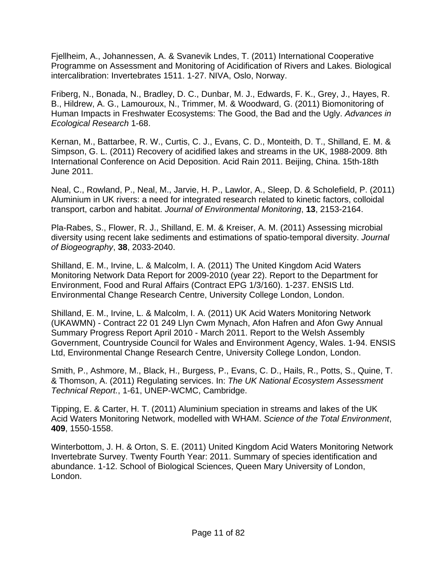Fjellheim, A., Johannessen, A. & Svanevik Lndes, T. (2011) International Cooperative Programme on Assessment and Monitoring of Acidification of Rivers and Lakes. Biological intercalibration: Invertebrates 1511. 1-27. NIVA, Oslo, Norway.

Friberg, N., Bonada, N., Bradley, D. C., Dunbar, M. J., Edwards, F. K., Grey, J., Hayes, R. B., Hildrew, A. G., Lamouroux, N., Trimmer, M. & Woodward, G. (2011) Biomonitoring of Human Impacts in Freshwater Ecosystems: The Good, the Bad and the Ugly. *Advances in Ecological Research* 1-68.

Kernan, M., Battarbee, R. W., Curtis, C. J., Evans, C. D., Monteith, D. T., Shilland, E. M. & Simpson, G. L. (2011) Recovery of acidified lakes and streams in the UK, 1988-2009. 8th International Conference on Acid Deposition. Acid Rain 2011. Beijing, China. 15th-18th June 2011.

Neal, C., Rowland, P., Neal, M., Jarvie, H. P., Lawlor, A., Sleep, D. & Scholefield, P. (2011) Aluminium in UK rivers: a need for integrated research related to kinetic factors, colloidal transport, carbon and habitat. *Journal of Environmental Monitoring*, **13**, 2153-2164.

Pla-Rabes, S., Flower, R. J., Shilland, E. M. & Kreiser, A. M. (2011) Assessing microbial diversity using recent lake sediments and estimations of spatio-temporal diversity. *Journal of Biogeography*, **38**, 2033-2040.

Shilland, E. M., Irvine, L. & Malcolm, I. A. (2011) The United Kingdom Acid Waters Monitoring Network Data Report for 2009-2010 (year 22). Report to the Department for Environment, Food and Rural Affairs (Contract EPG 1/3/160). 1-237. ENSIS Ltd. Environmental Change Research Centre, University College London, London.

Shilland, E. M., Irvine, L. & Malcolm, I. A. (2011) UK Acid Waters Monitoring Network (UKAWMN) - Contract 22 01 249 Llyn Cwm Mynach, Afon Hafren and Afon Gwy Annual Summary Progress Report April 2010 - March 2011. Report to the Welsh Assembly Government, Countryside Council for Wales and Environment Agency, Wales. 1-94. ENSIS Ltd, Environmental Change Research Centre, University College London, London.

Smith, P., Ashmore, M., Black, H., Burgess, P., Evans, C. D., Hails, R., Potts, S., Quine, T. & Thomson, A. (2011) Regulating services. In: *The UK National Ecosystem Assessment Technical Report.*, 1-61, UNEP-WCMC, Cambridge.

Tipping, E. & Carter, H. T. (2011) Aluminium speciation in streams and lakes of the UK Acid Waters Monitoring Network, modelled with WHAM. *Science of the Total Environment*, **409**, 1550-1558.

Winterbottom, J. H. & Orton, S. E. (2011) United Kingdom Acid Waters Monitoring Network Invertebrate Survey. Twenty Fourth Year: 2011. Summary of species identification and abundance. 1-12. School of Biological Sciences, Queen Mary University of London, London.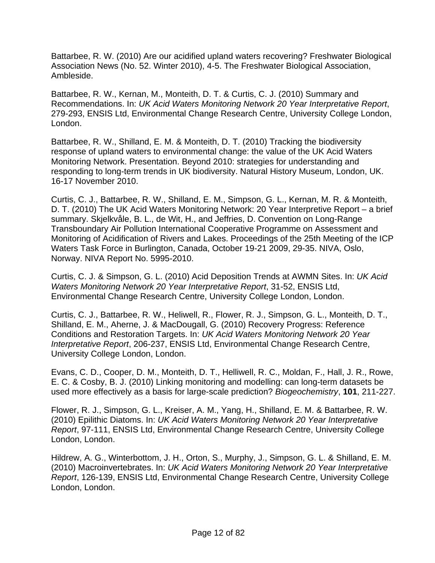Battarbee, R. W. (2010) Are our acidified upland waters recovering? Freshwater Biological Association News (No. 52. Winter 2010), 4-5. The Freshwater Biological Association, Ambleside.

Battarbee, R. W., Kernan, M., Monteith, D. T. & Curtis, C. J. (2010) Summary and Recommendations. In: *UK Acid Waters Monitoring Network 20 Year Interpretative Report*, 279-293, ENSIS Ltd, Environmental Change Research Centre, University College London, London.

Battarbee, R. W., Shilland, E. M. & Monteith, D. T. (2010) Tracking the biodiversity response of upland waters to environmental change: the value of the UK Acid Waters Monitoring Network. Presentation. Beyond 2010: strategies for understanding and responding to long-term trends in UK biodiversity. Natural History Museum, London, UK. 16-17 November 2010.

Curtis, C. J., Battarbee, R. W., Shilland, E. M., Simpson, G. L., Kernan, M. R. & Monteith, D. T. (2010) The UK Acid Waters Monitoring Network: 20 Year Interpretive Report – a brief summary. Skjelkvåle, B. L., de Wit, H., and Jeffries, D. Convention on Long-Range Transboundary Air Pollution International Cooperative Programme on Assessment and Monitoring of Acidification of Rivers and Lakes. Proceedings of the 25th Meeting of the ICP Waters Task Force in Burlington, Canada, October 19-21 2009, 29-35. NIVA, Oslo, Norway. NIVA Report No. 5995-2010.

Curtis, C. J. & Simpson, G. L. (2010) Acid Deposition Trends at AWMN Sites. In: *UK Acid Waters Monitoring Network 20 Year Interpretative Report*, 31-52, ENSIS Ltd, Environmental Change Research Centre, University College London, London.

Curtis, C. J., Battarbee, R. W., Heliwell, R., Flower, R. J., Simpson, G. L., Monteith, D. T., Shilland, E. M., Aherne, J. & MacDougall, G. (2010) Recovery Progress: Reference Conditions and Restoration Targets. In: *UK Acid Waters Monitoring Network 20 Year Interpretative Report*, 206-237, ENSIS Ltd, Environmental Change Research Centre, University College London, London.

Evans, C. D., Cooper, D. M., Monteith, D. T., Helliwell, R. C., Moldan, F., Hall, J. R., Rowe, E. C. & Cosby, B. J. (2010) Linking monitoring and modelling: can long-term datasets be used more effectively as a basis for large-scale prediction? *Biogeochemistry*, **101**, 211-227.

Flower, R. J., Simpson, G. L., Kreiser, A. M., Yang, H., Shilland, E. M. & Battarbee, R. W. (2010) Epilithic Diatoms. In: *UK Acid Waters Monitoring Network 20 Year Interpretative Report*, 97-111, ENSIS Ltd, Environmental Change Research Centre, University College London, London.

Hildrew, A. G., Winterbottom, J. H., Orton, S., Murphy, J., Simpson, G. L. & Shilland, E. M. (2010) Macroinvertebrates. In: *UK Acid Waters Monitoring Network 20 Year Interpretative Report*, 126-139, ENSIS Ltd, Environmental Change Research Centre, University College London, London.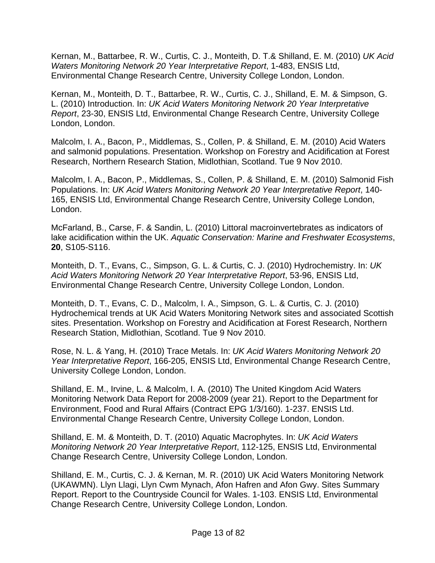Kernan, M., Battarbee, R. W., Curtis, C. J., Monteith, D. T.& Shilland, E. M. (2010) *UK Acid Waters Monitoring Network 20 Year Interpretative Report*, 1-483, ENSIS Ltd, Environmental Change Research Centre, University College London, London.

Kernan, M., Monteith, D. T., Battarbee, R. W., Curtis, C. J., Shilland, E. M. & Simpson, G. L. (2010) Introduction. In: *UK Acid Waters Monitoring Network 20 Year Interpretative Report*, 23-30, ENSIS Ltd, Environmental Change Research Centre, University College London, London.

Malcolm, I. A., Bacon, P., Middlemas, S., Collen, P. & Shilland, E. M. (2010) Acid Waters and salmonid populations. Presentation. Workshop on Forestry and Acidification at Forest Research, Northern Research Station, Midlothian, Scotland. Tue 9 Nov 2010.

Malcolm, I. A., Bacon, P., Middlemas, S., Collen, P. & Shilland, E. M. (2010) Salmonid Fish Populations. In: *UK Acid Waters Monitoring Network 20 Year Interpretative Report*, 140- 165, ENSIS Ltd, Environmental Change Research Centre, University College London, London.

McFarland, B., Carse, F. & Sandin, L. (2010) Littoral macroinvertebrates as indicators of lake acidification within the UK. *Aquatic Conservation: Marine and Freshwater Ecosystems*, **20**, S105-S116.

Monteith, D. T., Evans, C., Simpson, G. L. & Curtis, C. J. (2010) Hydrochemistry. In: *UK Acid Waters Monitoring Network 20 Year Interpretative Report*, 53-96, ENSIS Ltd, Environmental Change Research Centre, University College London, London.

Monteith, D. T., Evans, C. D., Malcolm, I. A., Simpson, G. L. & Curtis, C. J. (2010) Hydrochemical trends at UK Acid Waters Monitoring Network sites and associated Scottish sites. Presentation. Workshop on Forestry and Acidification at Forest Research, Northern Research Station, Midlothian, Scotland. Tue 9 Nov 2010.

Rose, N. L. & Yang, H. (2010) Trace Metals. In: *UK Acid Waters Monitoring Network 20 Year Interpretative Report*, 166-205, ENSIS Ltd, Environmental Change Research Centre, University College London, London.

Shilland, E. M., Irvine, L. & Malcolm, I. A. (2010) The United Kingdom Acid Waters Monitoring Network Data Report for 2008-2009 (year 21). Report to the Department for Environment, Food and Rural Affairs (Contract EPG 1/3/160). 1-237. ENSIS Ltd. Environmental Change Research Centre, University College London, London.

Shilland, E. M. & Monteith, D. T. (2010) Aquatic Macrophytes. In: *UK Acid Waters Monitoring Network 20 Year Interpretative Report*, 112-125, ENSIS Ltd, Environmental Change Research Centre, University College London, London.

Shilland, E. M., Curtis, C. J. & Kernan, M. R. (2010) UK Acid Waters Monitoring Network (UKAWMN). Llyn Llagi, Llyn Cwm Mynach, Afon Hafren and Afon Gwy. Sites Summary Report. Report to the Countryside Council for Wales. 1-103. ENSIS Ltd, Environmental Change Research Centre, University College London, London.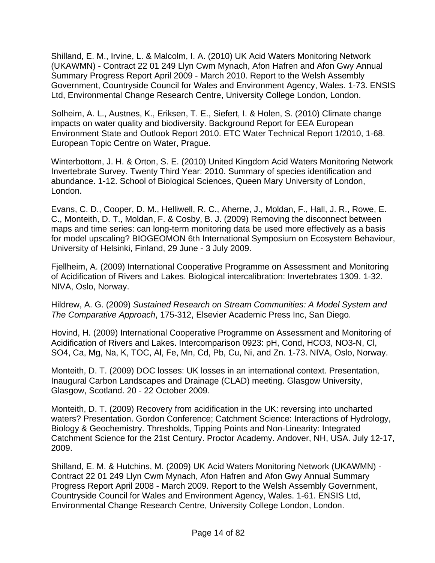Shilland, E. M., Irvine, L. & Malcolm, I. A. (2010) UK Acid Waters Monitoring Network (UKAWMN) - Contract 22 01 249 Llyn Cwm Mynach, Afon Hafren and Afon Gwy Annual Summary Progress Report April 2009 - March 2010. Report to the Welsh Assembly Government, Countryside Council for Wales and Environment Agency, Wales. 1-73. ENSIS Ltd, Environmental Change Research Centre, University College London, London.

Solheim, A. L., Austnes, K., Eriksen, T. E., Siefert, I. & Holen, S. (2010) Climate change impacts on water quality and biodiversity. Background Report for EEA European Environment State and Outlook Report 2010. ETC Water Technical Report 1/2010, 1-68. European Topic Centre on Water, Prague.

Winterbottom, J. H. & Orton, S. E. (2010) United Kingdom Acid Waters Monitoring Network Invertebrate Survey. Twenty Third Year: 2010. Summary of species identification and abundance. 1-12. School of Biological Sciences, Queen Mary University of London, London.

Evans, C. D., Cooper, D. M., Helliwell, R. C., Aherne, J., Moldan, F., Hall, J. R., Rowe, E. C., Monteith, D. T., Moldan, F. & Cosby, B. J. (2009) Removing the disconnect between maps and time series: can long-term monitoring data be used more effectively as a basis for model upscaling? BIOGEOMON 6th International Symposium on Ecosystem Behaviour, University of Helsinki, Finland, 29 June - 3 July 2009.

Fjellheim, A. (2009) International Cooperative Programme on Assessment and Monitoring of Acidification of Rivers and Lakes. Biological intercalibration: Invertebrates 1309. 1-32. NIVA, Oslo, Norway.

Hildrew, A. G. (2009) *Sustained Research on Stream Communities: A Model System and The Comparative Approach*, 175-312, Elsevier Academic Press Inc, San Diego.

Hovind, H. (2009) International Cooperative Programme on Assessment and Monitoring of Acidification of Rivers and Lakes. Intercomparison 0923: pH, Cond, HCO3, NO3-N, Cl, SO4, Ca, Mg, Na, K, TOC, Al, Fe, Mn, Cd, Pb, Cu, Ni, and Zn. 1-73. NIVA, Oslo, Norway.

Monteith, D. T. (2009) DOC losses: UK losses in an international context. Presentation, Inaugural Carbon Landscapes and Drainage (CLAD) meeting. Glasgow University, Glasgow, Scotland. 20 - 22 October 2009.

Monteith, D. T. (2009) Recovery from acidification in the UK: reversing into uncharted waters? Presentation. Gordon Conference; Catchment Science: Interactions of Hydrology, Biology & Geochemistry. Thresholds, Tipping Points and Non-Linearity: Integrated Catchment Science for the 21st Century. Proctor Academy. Andover, NH, USA. July 12-17, 2009.

Shilland, E. M. & Hutchins, M. (2009) UK Acid Waters Monitoring Network (UKAWMN) - Contract 22 01 249 Llyn Cwm Mynach, Afon Hafren and Afon Gwy Annual Summary Progress Report April 2008 - March 2009. Report to the Welsh Assembly Government, Countryside Council for Wales and Environment Agency, Wales. 1-61. ENSIS Ltd, Environmental Change Research Centre, University College London, London.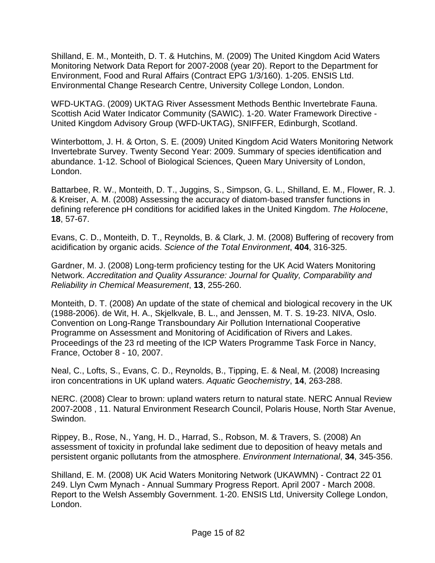Shilland, E. M., Monteith, D. T. & Hutchins, M. (2009) The United Kingdom Acid Waters Monitoring Network Data Report for 2007-2008 (year 20). Report to the Department for Environment, Food and Rural Affairs (Contract EPG 1/3/160). 1-205. ENSIS Ltd. Environmental Change Research Centre, University College London, London.

WFD-UKTAG. (2009) UKTAG River Assessment Methods Benthic Invertebrate Fauna. Scottish Acid Water Indicator Community (SAWIC). 1-20. Water Framework Directive - United Kingdom Advisory Group (WFD-UKTAG), SNIFFER, Edinburgh, Scotland.

Winterbottom, J. H. & Orton, S. E. (2009) United Kingdom Acid Waters Monitoring Network Invertebrate Survey. Twenty Second Year: 2009. Summary of species identification and abundance. 1-12. School of Biological Sciences, Queen Mary University of London, London.

Battarbee, R. W., Monteith, D. T., Juggins, S., Simpson, G. L., Shilland, E. M., Flower, R. J. & Kreiser, A. M. (2008) Assessing the accuracy of diatom-based transfer functions in defining reference pH conditions for acidified lakes in the United Kingdom. *The Holocene*, **18**, 57-67.

Evans, C. D., Monteith, D. T., Reynolds, B. & Clark, J. M. (2008) Buffering of recovery from acidification by organic acids. *Science of the Total Environment*, **404**, 316-325.

Gardner, M. J. (2008) Long-term proficiency testing for the UK Acid Waters Monitoring Network. *Accreditation and Quality Assurance: Journal for Quality, Comparability and Reliability in Chemical Measurement*, **13**, 255-260.

Monteith, D. T. (2008) An update of the state of chemical and biological recovery in the UK (1988-2006). de Wit, H. A., Skjelkvale, B. L., and Jenssen, M. T. S. 19-23. NIVA, Oslo. Convention on Long-Range Transboundary Air Pollution International Cooperative Programme on Assessment and Monitoring of Acidification of Rivers and Lakes. Proceedings of the 23 rd meeting of the ICP Waters Programme Task Force in Nancy, France, October 8 - 10, 2007.

Neal, C., Lofts, S., Evans, C. D., Reynolds, B., Tipping, E. & Neal, M. (2008) Increasing iron concentrations in UK upland waters. *Aquatic Geochemistry*, **14**, 263-288.

NERC. (2008) Clear to brown: upland waters return to natural state. NERC Annual Review 2007-2008 , 11. Natural Environment Research Council, Polaris House, North Star Avenue, Swindon.

Rippey, B., Rose, N., Yang, H. D., Harrad, S., Robson, M. & Travers, S. (2008) An assessment of toxicity in profundal lake sediment due to deposition of heavy metals and persistent organic pollutants from the atmosphere. *Environment International*, **34**, 345-356.

Shilland, E. M. (2008) UK Acid Waters Monitoring Network (UKAWMN) - Contract 22 01 249. Llyn Cwm Mynach - Annual Summary Progress Report. April 2007 - March 2008. Report to the Welsh Assembly Government. 1-20. ENSIS Ltd, University College London, London.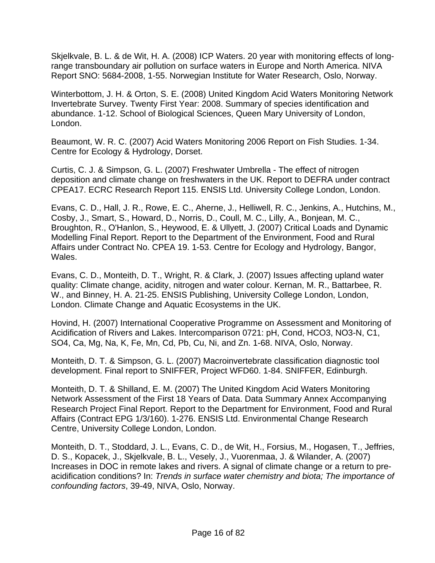Skjelkvale, B. L. & de Wit, H. A. (2008) ICP Waters. 20 year with monitoring effects of longrange transboundary air pollution on surface waters in Europe and North America. NIVA Report SNO: 5684-2008, 1-55. Norwegian Institute for Water Research, Oslo, Norway.

Winterbottom, J. H. & Orton, S. E. (2008) United Kingdom Acid Waters Monitoring Network Invertebrate Survey. Twenty First Year: 2008. Summary of species identification and abundance. 1-12. School of Biological Sciences, Queen Mary University of London, London.

Beaumont, W. R. C. (2007) Acid Waters Monitoring 2006 Report on Fish Studies. 1-34. Centre for Ecology & Hydrology, Dorset.

Curtis, C. J. & Simpson, G. L. (2007) Freshwater Umbrella - The effect of nitrogen deposition and climate change on freshwaters in the UK. Report to DEFRA under contract CPEA17. ECRC Research Report 115. ENSIS Ltd. University College London, London.

Evans, C. D., Hall, J. R., Rowe, E. C., Aherne, J., Helliwell, R. C., Jenkins, A., Hutchins, M., Cosby, J., Smart, S., Howard, D., Norris, D., Coull, M. C., Lilly, A., Bonjean, M. C., Broughton, R., O'Hanlon, S., Heywood, E. & Ullyett, J. (2007) Critical Loads and Dynamic Modelling Final Report. Report to the Department of the Environment, Food and Rural Affairs under Contract No. CPEA 19. 1-53. Centre for Ecology and Hydrology, Bangor, Wales.

Evans, C. D., Monteith, D. T., Wright, R. & Clark, J. (2007) Issues affecting upland water quality: Climate change, acidity, nitrogen and water colour. Kernan, M. R., Battarbee, R. W., and Binney, H. A. 21-25. ENSIS Publishing, University College London, London, London. Climate Change and Aquatic Ecosystems in the UK.

Hovind, H. (2007) International Cooperative Programme on Assessment and Monitoring of Acidification of Rivers and Lakes. Intercomparison 0721: pH, Cond, HCO3, NO3-N, C1, SO4, Ca, Mg, Na, K, Fe, Mn, Cd, Pb, Cu, Ni, and Zn. 1-68. NIVA, Oslo, Norway.

Monteith, D. T. & Simpson, G. L. (2007) Macroinvertebrate classification diagnostic tool development. Final report to SNIFFER, Project WFD60. 1-84. SNIFFER, Edinburgh.

Monteith, D. T. & Shilland, E. M. (2007) The United Kingdom Acid Waters Monitoring Network Assessment of the First 18 Years of Data. Data Summary Annex Accompanying Research Project Final Report. Report to the Department for Environment, Food and Rural Affairs (Contract EPG 1/3/160). 1-276. ENSIS Ltd. Environmental Change Research Centre, University College London, London.

Monteith, D. T., Stoddard, J. L., Evans, C. D., de Wit, H., Forsius, M., Hogasen, T., Jeffries, D. S., Kopacek, J., Skjelkvale, B. L., Vesely, J., Vuorenmaa, J. & Wilander, A. (2007) Increases in DOC in remote lakes and rivers. A signal of climate change or a return to preacidification conditions? In: *Trends in surface water chemistry and biota; The importance of confounding factors*, 39-49, NIVA, Oslo, Norway.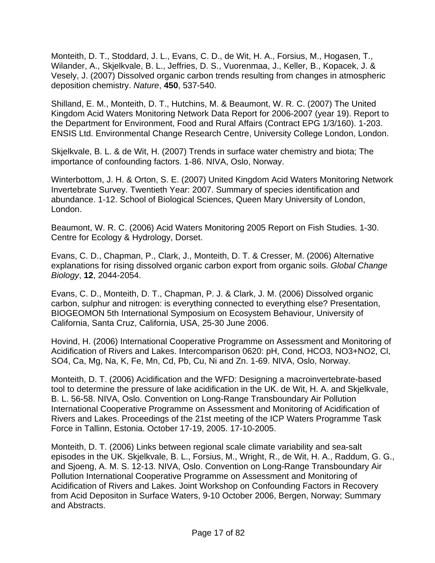Monteith, D. T., Stoddard, J. L., Evans, C. D., de Wit, H. A., Forsius, M., Hogasen, T., Wilander, A., Skjelkvale, B. L., Jeffries, D. S., Vuorenmaa, J., Keller, B., Kopacek, J. & Vesely, J. (2007) Dissolved organic carbon trends resulting from changes in atmospheric deposition chemistry. *Nature*, **450**, 537-540.

Shilland, E. M., Monteith, D. T., Hutchins, M. & Beaumont, W. R. C. (2007) The United Kingdom Acid Waters Monitoring Network Data Report for 2006-2007 (year 19). Report to the Department for Environment, Food and Rural Affairs (Contract EPG 1/3/160). 1-203. ENSIS Ltd. Environmental Change Research Centre, University College London, London.

Skjelkvale, B. L. & de Wit, H. (2007) Trends in surface water chemistry and biota; The importance of confounding factors. 1-86. NIVA, Oslo, Norway.

Winterbottom, J. H. & Orton, S. E. (2007) United Kingdom Acid Waters Monitoring Network Invertebrate Survey. Twentieth Year: 2007. Summary of species identification and abundance. 1-12. School of Biological Sciences, Queen Mary University of London, London.

Beaumont, W. R. C. (2006) Acid Waters Monitoring 2005 Report on Fish Studies. 1-30. Centre for Ecology & Hydrology, Dorset.

Evans, C. D., Chapman, P., Clark, J., Monteith, D. T. & Cresser, M. (2006) Alternative explanations for rising dissolved organic carbon export from organic soils. *Global Change Biology*, **12**, 2044-2054.

Evans, C. D., Monteith, D. T., Chapman, P. J. & Clark, J. M. (2006) Dissolved organic carbon, sulphur and nitrogen: is everything connected to everything else? Presentation, BIOGEOMON 5th International Symposium on Ecosystem Behaviour, University of California, Santa Cruz, California, USA, 25-30 June 2006.

Hovind, H. (2006) International Cooperative Programme on Assessment and Monitoring of Acidification of Rivers and Lakes. Intercomparison 0620: pH, Cond, HCO3, NO3+NO2, Cl, SO4, Ca, Mg, Na, K, Fe, Mn, Cd, Pb, Cu, Ni and Zn. 1-69. NIVA, Oslo, Norway.

Monteith, D. T. (2006) Acidification and the WFD: Designing a macroinvertebrate-based tool to determine the pressure of lake acidification in the UK. de Wit, H. A. and Skjelkvale, B. L. 56-58. NIVA, Oslo. Convention on Long-Range Transboundary Air Pollution International Cooperative Programme on Assessment and Monitoring of Acidification of Rivers and Lakes. Proceedings of the 21st meeting of the ICP Waters Programme Task Force in Tallinn, Estonia. October 17-19, 2005. 17-10-2005.

Monteith, D. T. (2006) Links between regional scale climate variability and sea-salt episodes in the UK. Skjelkvale, B. L., Forsius, M., Wright, R., de Wit, H. A., Raddum, G. G., and Sjoeng, A. M. S. 12-13. NIVA, Oslo. Convention on Long-Range Transboundary Air Pollution International Cooperative Programme on Assessment and Monitoring of Acidification of Rivers and Lakes. Joint Workshop on Confounding Factors in Recovery from Acid Depositon in Surface Waters, 9-10 October 2006, Bergen, Norway; Summary and Abstracts.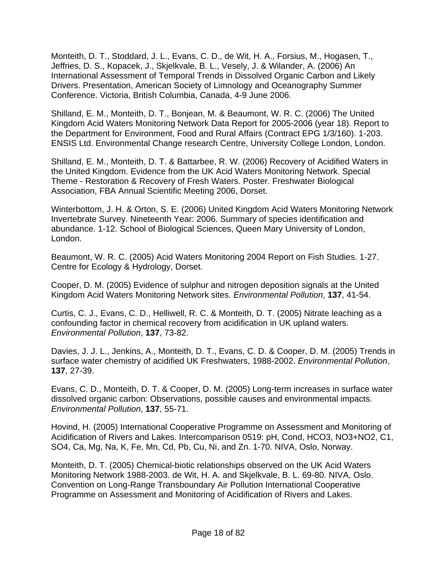Monteith, D. T., Stoddard, J. L., Evans, C. D., de Wit, H. A., Forsius, M., Hogasen, T., Jeffries, D. S., Kopacek, J., Skjelkvale, B. L., Vesely, J. & Wilander, A. (2006) An International Assessment of Temporal Trends in Dissolved Organic Carbon and Likely Drivers. Presentation, American Society of Limnology and Oceanography Summer Conference. Victoria, British Columbia, Canada, 4-9 June 2006.

Shilland, E. M., Monteith, D. T., Bonjean, M. & Beaumont, W. R. C. (2006) The United Kingdom Acid Waters Monitoring Network Data Report for 2005-2006 (year 18). Report to the Department for Environment, Food and Rural Affairs (Contract EPG 1/3/160). 1-203. ENSIS Ltd. Environmental Change research Centre, University College London, London.

Shilland, E. M., Monteith, D. T. & Battarbee, R. W. (2006) Recovery of Acidified Waters in the United Kingdom. Evidence from the UK Acid Waters Monitoring Network. Special Theme - Restoration & Recovery of Fresh Waters. Poster. Freshwater Biological Association, FBA Annual Scientific Meeting 2006, Dorset.

Winterbottom, J. H. & Orton, S. E. (2006) United Kingdom Acid Waters Monitoring Network Invertebrate Survey. Nineteenth Year: 2006. Summary of species identification and abundance. 1-12. School of Biological Sciences, Queen Mary University of London, London.

Beaumont, W. R. C. (2005) Acid Waters Monitoring 2004 Report on Fish Studies. 1-27. Centre for Ecology & Hydrology, Dorset.

Cooper, D. M. (2005) Evidence of sulphur and nitrogen deposition signals at the United Kingdom Acid Waters Monitoring Network sites. *Environmental Pollution*, **137**, 41-54.

Curtis, C. J., Evans, C. D., Helliwell, R. C. & Monteith, D. T. (2005) Nitrate leaching as a confounding factor in chemical recovery from acidification in UK upland waters. *Environmental Pollution*, **137**, 73-82.

Davies, J. J. L., Jenkins, A., Monteith, D. T., Evans, C. D. & Cooper, D. M. (2005) Trends in surface water chemistry of acidified UK Freshwaters, 1988-2002. *Environmental Pollution*, **137**, 27-39.

Evans, C. D., Monteith, D. T. & Cooper, D. M. (2005) Long-term increases in surface water dissolved organic carbon: Observations, possible causes and environmental impacts. *Environmental Pollution*, **137**, 55-71.

Hovind, H. (2005) International Cooperative Programme on Assessment and Monitoring of Acidification of Rivers and Lakes. Intercomparison 0519: pH, Cond, HCO3, NO3+NO2, C1, SO4, Ca, Mg, Na, K, Fe, Mn, Cd, Pb, Cu, Ni, and Zn. 1-70. NIVA, Oslo, Norway.

Monteith, D. T. (2005) Chemical-biotic relationships observed on the UK Acid Waters Monitoring Network 1988-2003. de Wit, H. A. and Skjelkvale, B. L. 69-80. NIVA, Oslo. Convention on Long-Range Transboundary Air Pollution International Cooperative Programme on Assessment and Monitoring of Acidification of Rivers and Lakes.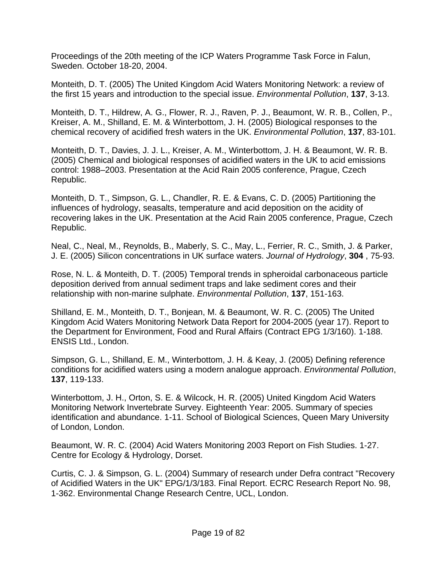Proceedings of the 20th meeting of the ICP Waters Programme Task Force in Falun, Sweden. October 18-20, 2004.

Monteith, D. T. (2005) The United Kingdom Acid Waters Monitoring Network: a review of the first 15 years and introduction to the special issue. *Environmental Pollution*, **137**, 3-13.

Monteith, D. T., Hildrew, A. G., Flower, R. J., Raven, P. J., Beaumont, W. R. B., Collen, P., Kreiser, A. M., Shilland, E. M. & Winterbottom, J. H. (2005) Biological responses to the chemical recovery of acidified fresh waters in the UK. *Environmental Pollution*, **137**, 83-101.

Monteith, D. T., Davies, J. J. L., Kreiser, A. M., Winterbottom, J. H. & Beaumont, W. R. B. (2005) Chemical and biological responses of acidified waters in the UK to acid emissions control: 1988–2003. Presentation at the Acid Rain 2005 conference, Prague, Czech Republic.

Monteith, D. T., Simpson, G. L., Chandler, R. E. & Evans, C. D. (2005) Partitioning the influences of hydrology, seasalts, temperature and acid deposition on the acidity of recovering lakes in the UK. Presentation at the Acid Rain 2005 conference, Prague, Czech Republic.

Neal, C., Neal, M., Reynolds, B., Maberly, S. C., May, L., Ferrier, R. C., Smith, J. & Parker, J. E. (2005) Silicon concentrations in UK surface waters. *Journal of Hydrology*, **304** , 75-93.

Rose, N. L. & Monteith, D. T. (2005) Temporal trends in spheroidal carbonaceous particle deposition derived from annual sediment traps and lake sediment cores and their relationship with non-marine sulphate. *Environmental Pollution*, **137**, 151-163.

Shilland, E. M., Monteith, D. T., Bonjean, M. & Beaumont, W. R. C. (2005) The United Kingdom Acid Waters Monitoring Network Data Report for 2004-2005 (year 17). Report to the Department for Environment, Food and Rural Affairs (Contract EPG 1/3/160). 1-188. ENSIS Ltd., London.

Simpson, G. L., Shilland, E. M., Winterbottom, J. H. & Keay, J. (2005) Defining reference conditions for acidified waters using a modern analogue approach. *Environmental Pollution*, **137**, 119-133.

Winterbottom, J. H., Orton, S. E. & Wilcock, H. R. (2005) United Kingdom Acid Waters Monitoring Network Invertebrate Survey. Eighteenth Year: 2005. Summary of species identification and abundance. 1-11. School of Biological Sciences, Queen Mary University of London, London.

Beaumont, W. R. C. (2004) Acid Waters Monitoring 2003 Report on Fish Studies. 1-27. Centre for Ecology & Hydrology, Dorset.

Curtis, C. J. & Simpson, G. L. (2004) Summary of research under Defra contract "Recovery of Acidified Waters in the UK" EPG/1/3/183. Final Report. ECRC Research Report No. 98, 1-362. Environmental Change Research Centre, UCL, London.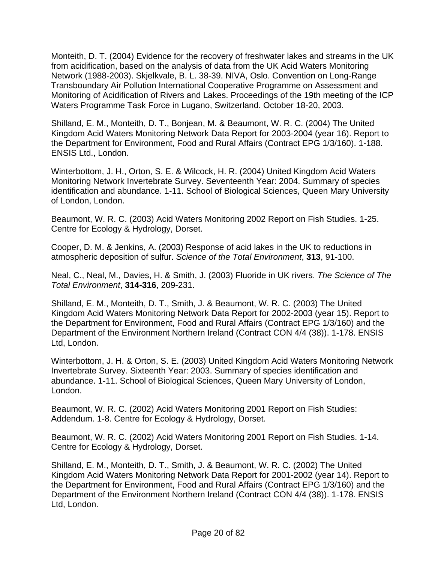Monteith, D. T. (2004) Evidence for the recovery of freshwater lakes and streams in the UK from acidification, based on the analysis of data from the UK Acid Waters Monitoring Network (1988-2003). Skjelkvale, B. L. 38-39. NIVA, Oslo. Convention on Long-Range Transboundary Air Pollution International Cooperative Programme on Assessment and Monitoring of Acidification of Rivers and Lakes. Proceedings of the 19th meeting of the ICP Waters Programme Task Force in Lugano, Switzerland. October 18-20, 2003.

Shilland, E. M., Monteith, D. T., Bonjean, M. & Beaumont, W. R. C. (2004) The United Kingdom Acid Waters Monitoring Network Data Report for 2003-2004 (year 16). Report to the Department for Environment, Food and Rural Affairs (Contract EPG 1/3/160). 1-188. ENSIS Ltd., London.

Winterbottom, J. H., Orton, S. E. & Wilcock, H. R. (2004) United Kingdom Acid Waters Monitoring Network Invertebrate Survey. Seventeenth Year: 2004. Summary of species identification and abundance. 1-11. School of Biological Sciences, Queen Mary University of London, London.

Beaumont, W. R. C. (2003) Acid Waters Monitoring 2002 Report on Fish Studies. 1-25. Centre for Ecology & Hydrology, Dorset.

Cooper, D. M. & Jenkins, A. (2003) Response of acid lakes in the UK to reductions in atmospheric deposition of sulfur. *Science of the Total Environment*, **313**, 91-100.

Neal, C., Neal, M., Davies, H. & Smith, J. (2003) Fluoride in UK rivers. *The Science of The Total Environment*, **314-316**, 209-231.

Shilland, E. M., Monteith, D. T., Smith, J. & Beaumont, W. R. C. (2003) The United Kingdom Acid Waters Monitoring Network Data Report for 2002-2003 (year 15). Report to the Department for Environment, Food and Rural Affairs (Contract EPG 1/3/160) and the Department of the Environment Northern Ireland (Contract CON 4/4 (38)). 1-178. ENSIS Ltd, London.

Winterbottom, J. H. & Orton, S. E. (2003) United Kingdom Acid Waters Monitoring Network Invertebrate Survey. Sixteenth Year: 2003. Summary of species identification and abundance. 1-11. School of Biological Sciences, Queen Mary University of London, London.

Beaumont, W. R. C. (2002) Acid Waters Monitoring 2001 Report on Fish Studies: Addendum. 1-8. Centre for Ecology & Hydrology, Dorset.

Beaumont, W. R. C. (2002) Acid Waters Monitoring 2001 Report on Fish Studies. 1-14. Centre for Ecology & Hydrology, Dorset.

Shilland, E. M., Monteith, D. T., Smith, J. & Beaumont, W. R. C. (2002) The United Kingdom Acid Waters Monitoring Network Data Report for 2001-2002 (year 14). Report to the Department for Environment, Food and Rural Affairs (Contract EPG 1/3/160) and the Department of the Environment Northern Ireland (Contract CON 4/4 (38)). 1-178. ENSIS Ltd, London.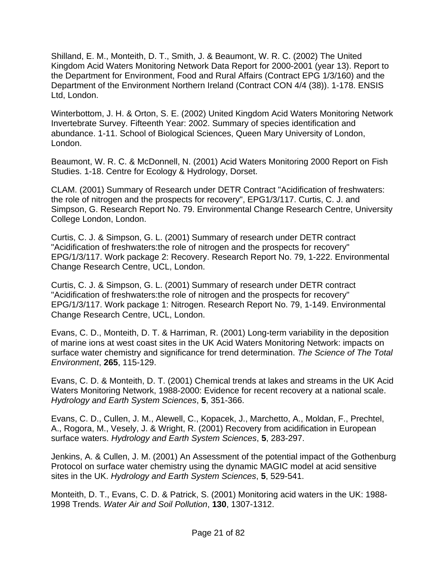Shilland, E. M., Monteith, D. T., Smith, J. & Beaumont, W. R. C. (2002) The United Kingdom Acid Waters Monitoring Network Data Report for 2000-2001 (year 13). Report to the Department for Environment, Food and Rural Affairs (Contract EPG 1/3/160) and the Department of the Environment Northern Ireland (Contract CON 4/4 (38)). 1-178. ENSIS Ltd, London.

Winterbottom, J. H. & Orton, S. E. (2002) United Kingdom Acid Waters Monitoring Network Invertebrate Survey. Fifteenth Year: 2002. Summary of species identification and abundance. 1-11. School of Biological Sciences, Queen Mary University of London, London.

Beaumont, W. R. C. & McDonnell, N. (2001) Acid Waters Monitoring 2000 Report on Fish Studies. 1-18. Centre for Ecology & Hydrology, Dorset.

CLAM. (2001) Summary of Research under DETR Contract "Acidification of freshwaters: the role of nitrogen and the prospects for recovery", EPG1/3/117. Curtis, C. J. and Simpson, G. Research Report No. 79. Environmental Change Research Centre, University College London, London.

Curtis, C. J. & Simpson, G. L. (2001) Summary of research under DETR contract "Acidification of freshwaters:the role of nitrogen and the prospects for recovery" EPG/1/3/117. Work package 2: Recovery. Research Report No. 79, 1-222. Environmental Change Research Centre, UCL, London.

Curtis, C. J. & Simpson, G. L. (2001) Summary of research under DETR contract "Acidification of freshwaters:the role of nitrogen and the prospects for recovery" EPG/1/3/117. Work package 1: Nitrogen. Research Report No. 79, 1-149. Environmental Change Research Centre, UCL, London.

Evans, C. D., Monteith, D. T. & Harriman, R. (2001) Long-term variability in the deposition of marine ions at west coast sites in the UK Acid Waters Monitoring Network: impacts on surface water chemistry and significance for trend determination. *The Science of The Total Environment*, **265**, 115-129.

Evans, C. D. & Monteith, D. T. (2001) Chemical trends at lakes and streams in the UK Acid Waters Monitoring Network, 1988-2000: Evidence for recent recovery at a national scale. *Hydrology and Earth System Sciences*, **5**, 351-366.

Evans, C. D., Cullen, J. M., Alewell, C., Kopacek, J., Marchetto, A., Moldan, F., Prechtel, A., Rogora, M., Vesely, J. & Wright, R. (2001) Recovery from acidification in European surface waters. *Hydrology and Earth System Sciences*, **5**, 283-297.

Jenkins, A. & Cullen, J. M. (2001) An Assessment of the potential impact of the Gothenburg Protocol on surface water chemistry using the dynamic MAGIC model at acid sensitive sites in the UK. *Hydrology and Earth System Sciences*, **5**, 529-541.

Monteith, D. T., Evans, C. D. & Patrick, S. (2001) Monitoring acid waters in the UK: 1988- 1998 Trends. *Water Air and Soil Pollution*, **130**, 1307-1312.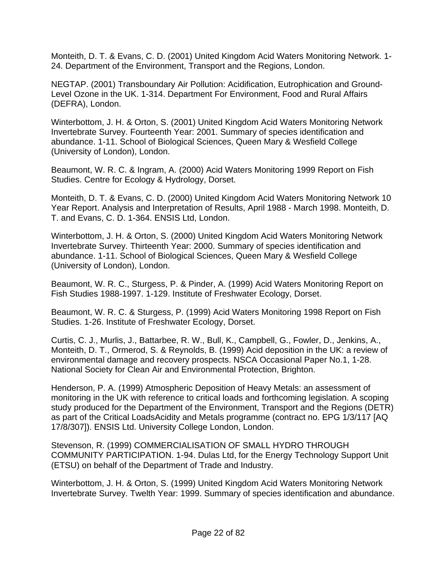Monteith, D. T. & Evans, C. D. (2001) United Kingdom Acid Waters Monitoring Network. 1- 24. Department of the Environment, Transport and the Regions, London.

NEGTAP. (2001) Transboundary Air Pollution: Acidification, Eutrophication and Ground-Level Ozone in the UK. 1-314. Department For Environment, Food and Rural Affairs (DEFRA), London.

Winterbottom, J. H. & Orton, S. (2001) United Kingdom Acid Waters Monitoring Network Invertebrate Survey. Fourteenth Year: 2001. Summary of species identification and abundance. 1-11. School of Biological Sciences, Queen Mary & Wesfield College (University of London), London.

Beaumont, W. R. C. & Ingram, A. (2000) Acid Waters Monitoring 1999 Report on Fish Studies. Centre for Ecology & Hydrology, Dorset.

Monteith, D. T. & Evans, C. D. (2000) United Kingdom Acid Waters Monitoring Network 10 Year Report. Analysis and Interpretation of Results, April 1988 - March 1998. Monteith, D. T. and Evans, C. D. 1-364. ENSIS Ltd, London.

Winterbottom, J. H. & Orton, S. (2000) United Kingdom Acid Waters Monitoring Network Invertebrate Survey. Thirteenth Year: 2000. Summary of species identification and abundance. 1-11. School of Biological Sciences, Queen Mary & Wesfield College (University of London), London.

Beaumont, W. R. C., Sturgess, P. & Pinder, A. (1999) Acid Waters Monitoring Report on Fish Studies 1988-1997. 1-129. Institute of Freshwater Ecology, Dorset.

Beaumont, W. R. C. & Sturgess, P. (1999) Acid Waters Monitoring 1998 Report on Fish Studies. 1-26. Institute of Freshwater Ecology, Dorset.

Curtis, C. J., Murlis, J., Battarbee, R. W., Bull, K., Campbell, G., Fowler, D., Jenkins, A., Monteith, D. T., Ormerod, S. & Reynolds, B. (1999) Acid deposition in the UK: a review of environmental damage and recovery prospects. NSCA Occasional Paper No.1, 1-28. National Society for Clean Air and Environmental Protection, Brighton.

Henderson, P. A. (1999) Atmospheric Deposition of Heavy Metals: an assessment of monitoring in the UK with reference to critical loads and forthcoming legislation. A scoping study produced for the Department of the Environment, Transport and the Regions (DETR) as part of the Critical LoadsAcidity and Metals programme (contract no. EPG 1/3/117 [AQ 17/8/307]). ENSIS Ltd. University College London, London.

Stevenson, R. (1999) COMMERCIALISATION OF SMALL HYDRO THROUGH COMMUNITY PARTICIPATION. 1-94. Dulas Ltd, for the Energy Technology Support Unit (ETSU) on behalf of the Department of Trade and Industry.

Winterbottom, J. H. & Orton, S. (1999) United Kingdom Acid Waters Monitoring Network Invertebrate Survey. Twelth Year: 1999. Summary of species identification and abundance.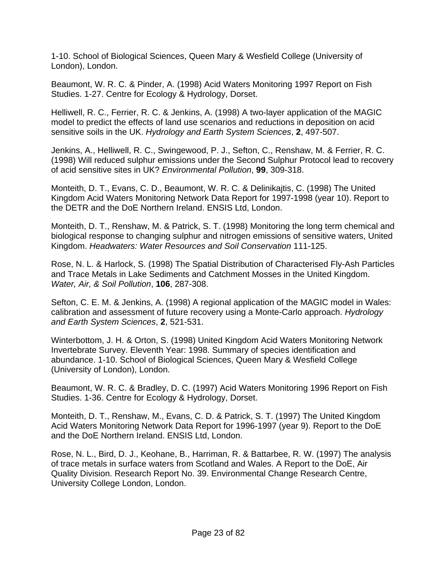1-10. School of Biological Sciences, Queen Mary & Wesfield College (University of London), London.

Beaumont, W. R. C. & Pinder, A. (1998) Acid Waters Monitoring 1997 Report on Fish Studies. 1-27. Centre for Ecology & Hydrology, Dorset.

Helliwell, R. C., Ferrier, R. C. & Jenkins, A. (1998) A two-layer application of the MAGIC model to predict the effects of land use scenarios and reductions in deposition on acid sensitive soils in the UK. *Hydrology and Earth System Sciences*, **2**, 497-507.

Jenkins, A., Helliwell, R. C., Swingewood, P. J., Sefton, C., Renshaw, M. & Ferrier, R. C. (1998) Will reduced sulphur emissions under the Second Sulphur Protocol lead to recovery of acid sensitive sites in UK? *Environmental Pollution*, **99**, 309-318.

Monteith, D. T., Evans, C. D., Beaumont, W. R. C. & Delinikajtis, C. (1998) The United Kingdom Acid Waters Monitoring Network Data Report for 1997-1998 (year 10). Report to the DETR and the DoE Northern Ireland. ENSIS Ltd, London.

Monteith, D. T., Renshaw, M. & Patrick, S. T. (1998) Monitoring the long term chemical and biological response to changing sulphur and nitrogen emissions of sensitive waters, United Kingdom. *Headwaters: Water Resources and Soil Conservation* 111-125.

Rose, N. L. & Harlock, S. (1998) The Spatial Distribution of Characterised Fly-Ash Particles and Trace Metals in Lake Sediments and Catchment Mosses in the United Kingdom. *Water, Air, & Soil Pollution*, **106**, 287-308.

Sefton, C. E. M. & Jenkins, A. (1998) A regional application of the MAGIC model in Wales: calibration and assessment of future recovery using a Monte-Carlo approach. *Hydrology and Earth System Sciences*, **2**, 521-531.

Winterbottom, J. H. & Orton, S. (1998) United Kingdom Acid Waters Monitoring Network Invertebrate Survey. Eleventh Year: 1998. Summary of species identification and abundance. 1-10. School of Biological Sciences, Queen Mary & Wesfield College (University of London), London.

Beaumont, W. R. C. & Bradley, D. C. (1997) Acid Waters Monitoring 1996 Report on Fish Studies. 1-36. Centre for Ecology & Hydrology, Dorset.

Monteith, D. T., Renshaw, M., Evans, C. D. & Patrick, S. T. (1997) The United Kingdom Acid Waters Monitoring Network Data Report for 1996-1997 (year 9). Report to the DoE and the DoE Northern Ireland. ENSIS Ltd, London.

Rose, N. L., Bird, D. J., Keohane, B., Harriman, R. & Battarbee, R. W. (1997) The analysis of trace metals in surface waters from Scotland and Wales. A Report to the DoE, Air Quality Division. Research Report No. 39. Environmental Change Research Centre, University College London, London.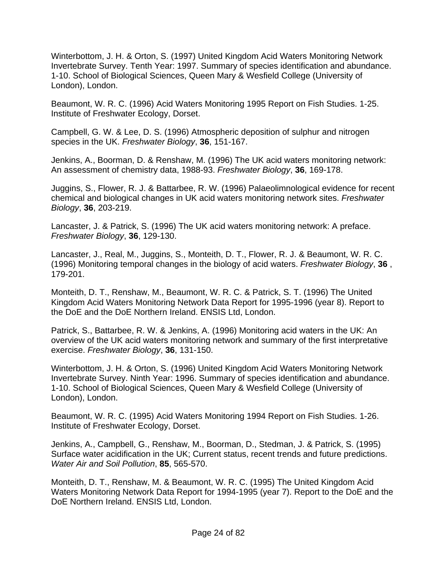Winterbottom, J. H. & Orton, S. (1997) United Kingdom Acid Waters Monitoring Network Invertebrate Survey. Tenth Year: 1997. Summary of species identification and abundance. 1-10. School of Biological Sciences, Queen Mary & Wesfield College (University of London), London.

Beaumont, W. R. C. (1996) Acid Waters Monitoring 1995 Report on Fish Studies. 1-25. Institute of Freshwater Ecology, Dorset.

Campbell, G. W. & Lee, D. S. (1996) Atmospheric deposition of sulphur and nitrogen species in the UK. *Freshwater Biology*, **36**, 151-167.

Jenkins, A., Boorman, D. & Renshaw, M. (1996) The UK acid waters monitoring network: An assessment of chemistry data, 1988-93. *Freshwater Biology*, **36**, 169-178.

Juggins, S., Flower, R. J. & Battarbee, R. W. (1996) Palaeolimnological evidence for recent chemical and biological changes in UK acid waters monitoring network sites. *Freshwater Biology*, **36**, 203-219.

Lancaster, J. & Patrick, S. (1996) The UK acid waters monitoring network: A preface. *Freshwater Biology*, **36**, 129-130.

Lancaster, J., Real, M., Juggins, S., Monteith, D. T., Flower, R. J. & Beaumont, W. R. C. (1996) Monitoring temporal changes in the biology of acid waters. *Freshwater Biology*, **36** , 179-201.

Monteith, D. T., Renshaw, M., Beaumont, W. R. C. & Patrick, S. T. (1996) The United Kingdom Acid Waters Monitoring Network Data Report for 1995-1996 (year 8). Report to the DoE and the DoE Northern Ireland. ENSIS Ltd, London.

Patrick, S., Battarbee, R. W. & Jenkins, A. (1996) Monitoring acid waters in the UK: An overview of the UK acid waters monitoring network and summary of the first interpretative exercise. *Freshwater Biology*, **36**, 131-150.

Winterbottom, J. H. & Orton, S. (1996) United Kingdom Acid Waters Monitoring Network Invertebrate Survey. Ninth Year: 1996. Summary of species identification and abundance. 1-10. School of Biological Sciences, Queen Mary & Wesfield College (University of London), London.

Beaumont, W. R. C. (1995) Acid Waters Monitoring 1994 Report on Fish Studies. 1-26. Institute of Freshwater Ecology, Dorset.

Jenkins, A., Campbell, G., Renshaw, M., Boorman, D., Stedman, J. & Patrick, S. (1995) Surface water acidification in the UK; Current status, recent trends and future predictions. *Water Air and Soil Pollution*, **85**, 565-570.

Monteith, D. T., Renshaw, M. & Beaumont, W. R. C. (1995) The United Kingdom Acid Waters Monitoring Network Data Report for 1994-1995 (year 7). Report to the DoE and the DoE Northern Ireland. ENSIS Ltd, London.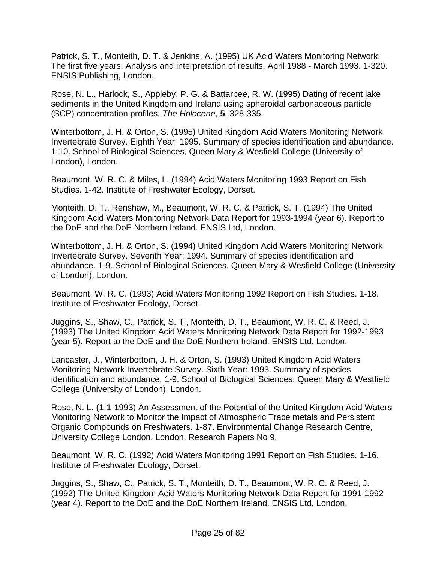Patrick, S. T., Monteith, D. T. & Jenkins, A. (1995) UK Acid Waters Monitoring Network: The first five years. Analysis and interpretation of results, April 1988 - March 1993. 1-320. ENSIS Publishing, London.

Rose, N. L., Harlock, S., Appleby, P. G. & Battarbee, R. W. (1995) Dating of recent lake sediments in the United Kingdom and Ireland using spheroidal carbonaceous particle (SCP) concentration profiles. *The Holocene*, **5**, 328-335.

Winterbottom, J. H. & Orton, S. (1995) United Kingdom Acid Waters Monitoring Network Invertebrate Survey. Eighth Year: 1995. Summary of species identification and abundance. 1-10. School of Biological Sciences, Queen Mary & Wesfield College (University of London), London.

Beaumont, W. R. C. & Miles, L. (1994) Acid Waters Monitoring 1993 Report on Fish Studies. 1-42. Institute of Freshwater Ecology, Dorset.

Monteith, D. T., Renshaw, M., Beaumont, W. R. C. & Patrick, S. T. (1994) The United Kingdom Acid Waters Monitoring Network Data Report for 1993-1994 (year 6). Report to the DoE and the DoE Northern Ireland. ENSIS Ltd, London.

Winterbottom, J. H. & Orton, S. (1994) United Kingdom Acid Waters Monitoring Network Invertebrate Survey. Seventh Year: 1994. Summary of species identification and abundance. 1-9. School of Biological Sciences, Queen Mary & Wesfield College (University of London), London.

Beaumont, W. R. C. (1993) Acid Waters Monitoring 1992 Report on Fish Studies. 1-18. Institute of Freshwater Ecology, Dorset.

Juggins, S., Shaw, C., Patrick, S. T., Monteith, D. T., Beaumont, W. R. C. & Reed, J. (1993) The United Kingdom Acid Waters Monitoring Network Data Report for 1992-1993 (year 5). Report to the DoE and the DoE Northern Ireland. ENSIS Ltd, London.

Lancaster, J., Winterbottom, J. H. & Orton, S. (1993) United Kingdom Acid Waters Monitoring Network Invertebrate Survey. Sixth Year: 1993. Summary of species identification and abundance. 1-9. School of Biological Sciences, Queen Mary & Westfield College (University of London), London.

Rose, N. L. (1-1-1993) An Assessment of the Potential of the United Kingdom Acid Waters Monitoring Network to Monitor the Impact of Atmospheric Trace metals and Persistent Organic Compounds on Freshwaters. 1-87. Environmental Change Research Centre, University College London, London. Research Papers No 9.

Beaumont, W. R. C. (1992) Acid Waters Monitoring 1991 Report on Fish Studies. 1-16. Institute of Freshwater Ecology, Dorset.

Juggins, S., Shaw, C., Patrick, S. T., Monteith, D. T., Beaumont, W. R. C. & Reed, J. (1992) The United Kingdom Acid Waters Monitoring Network Data Report for 1991-1992 (year 4). Report to the DoE and the DoE Northern Ireland. ENSIS Ltd, London.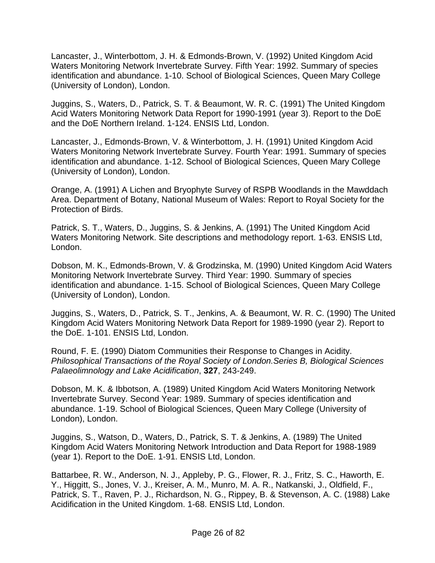Lancaster, J., Winterbottom, J. H. & Edmonds-Brown, V. (1992) United Kingdom Acid Waters Monitoring Network Invertebrate Survey. Fifth Year: 1992. Summary of species identification and abundance. 1-10. School of Biological Sciences, Queen Mary College (University of London), London.

Juggins, S., Waters, D., Patrick, S. T. & Beaumont, W. R. C. (1991) The United Kingdom Acid Waters Monitoring Network Data Report for 1990-1991 (year 3). Report to the DoE and the DoE Northern Ireland. 1-124. ENSIS Ltd, London.

Lancaster, J., Edmonds-Brown, V. & Winterbottom, J. H. (1991) United Kingdom Acid Waters Monitoring Network Invertebrate Survey. Fourth Year: 1991. Summary of species identification and abundance. 1-12. School of Biological Sciences, Queen Mary College (University of London), London.

Orange, A. (1991) A Lichen and Bryophyte Survey of RSPB Woodlands in the Mawddach Area. Department of Botany, National Museum of Wales: Report to Royal Society for the Protection of Birds.

Patrick, S. T., Waters, D., Juggins, S. & Jenkins, A. (1991) The United Kingdom Acid Waters Monitoring Network. Site descriptions and methodology report. 1-63. ENSIS Ltd, London.

Dobson, M. K., Edmonds-Brown, V. & Grodzinska, M. (1990) United Kingdom Acid Waters Monitoring Network Invertebrate Survey. Third Year: 1990. Summary of species identification and abundance. 1-15. School of Biological Sciences, Queen Mary College (University of London), London.

Juggins, S., Waters, D., Patrick, S. T., Jenkins, A. & Beaumont, W. R. C. (1990) The United Kingdom Acid Waters Monitoring Network Data Report for 1989-1990 (year 2). Report to the DoE. 1-101. ENSIS Ltd, London.

Round, F. E. (1990) Diatom Communities their Response to Changes in Acidity. *Philosophical Transactions of the Royal Society of London.Series B, Biological Sciences Palaeolimnology and Lake Acidification*, **327**, 243-249.

Dobson, M. K. & Ibbotson, A. (1989) United Kingdom Acid Waters Monitoring Network Invertebrate Survey. Second Year: 1989. Summary of species identification and abundance. 1-19. School of Biological Sciences, Queen Mary College (University of London), London.

Juggins, S., Watson, D., Waters, D., Patrick, S. T. & Jenkins, A. (1989) The United Kingdom Acid Waters Monitoring Network Introduction and Data Report for 1988-1989 (year 1). Report to the DoE. 1-91. ENSIS Ltd, London.

Battarbee, R. W., Anderson, N. J., Appleby, P. G., Flower, R. J., Fritz, S. C., Haworth, E. Y., Higgitt, S., Jones, V. J., Kreiser, A. M., Munro, M. A. R., Natkanski, J., Oldfield, F., Patrick, S. T., Raven, P. J., Richardson, N. G., Rippey, B. & Stevenson, A. C. (1988) Lake Acidification in the United Kingdom. 1-68. ENSIS Ltd, London.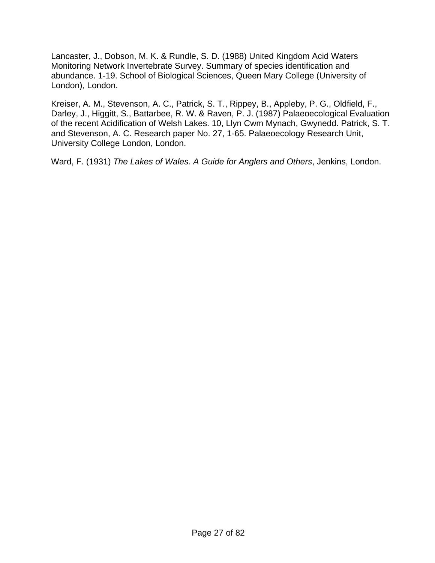Lancaster, J., Dobson, M. K. & Rundle, S. D. (1988) United Kingdom Acid Waters Monitoring Network Invertebrate Survey. Summary of species identification and abundance. 1-19. School of Biological Sciences, Queen Mary College (University of London), London.

Kreiser, A. M., Stevenson, A. C., Patrick, S. T., Rippey, B., Appleby, P. G., Oldfield, F., Darley, J., Higgitt, S., Battarbee, R. W. & Raven, P. J. (1987) Palaeoecological Evaluation of the recent Acidification of Welsh Lakes. 10, Llyn Cwm Mynach, Gwynedd. Patrick, S. T. and Stevenson, A. C. Research paper No. 27, 1-65. Palaeoecology Research Unit, University College London, London.

Ward, F. (1931) *The Lakes of Wales. A Guide for Anglers and Others*, Jenkins, London.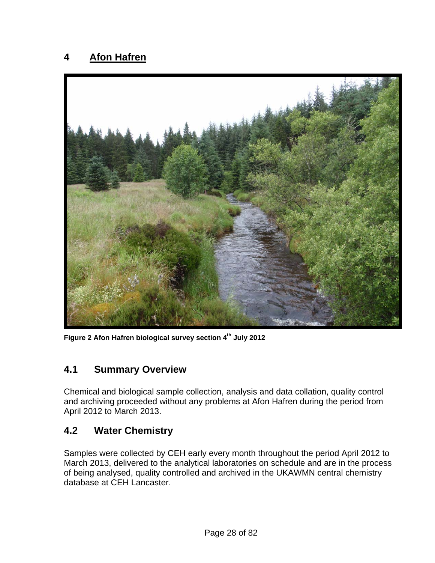## <span id="page-27-0"></span>**4 Afon Hafren**



**Figure 2 Afon Hafren biological survey section 4th July 2012** 

#### **4.1 Summary Overview**

Chemical and biological sample collection, analysis and data collation, quality control and archiving proceeded without any problems at Afon Hafren during the period from April 2012 to March 2013.

#### **4.2 Water Chemistry**

Samples were collected by CEH early every month throughout the period April 2012 to March 2013, delivered to the analytical laboratories on schedule and are in the process of being analysed, quality controlled and archived in the UKAWMN central chemistry database at CEH Lancaster.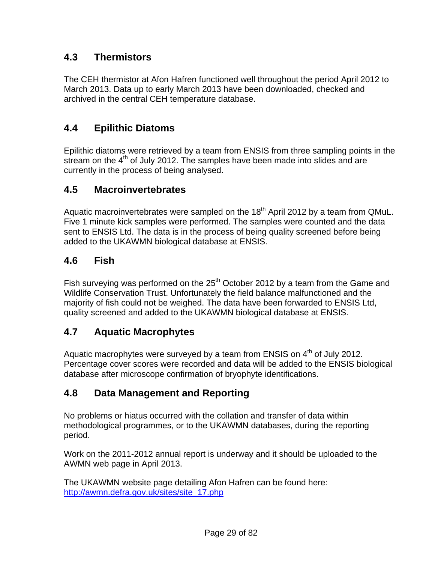## <span id="page-28-0"></span>**4.3 Thermistors**

The CEH thermistor at Afon Hafren functioned well throughout the period April 2012 to March 2013. Data up to early March 2013 have been downloaded, checked and archived in the central CEH temperature database.

# **4.4 Epilithic Diatoms**

Epilithic diatoms were retrieved by a team from ENSIS from three sampling points in the stream on the 4<sup>th</sup> of July 2012. The samples have been made into slides and are currently in the process of being analysed.

#### **4.5 Macroinvertebrates**

Aquatic macroinvertebrates were sampled on the  $18<sup>th</sup>$  April 2012 by a team from QMuL. Five 1 minute kick samples were performed. The samples were counted and the data sent to ENSIS Ltd. The data is in the process of being quality screened before being added to the UKAWMN biological database at ENSIS.

### **4.6 Fish**

Fish surveying was performed on the  $25<sup>th</sup>$  October 2012 by a team from the Game and Wildlife Conservation Trust. Unfortunately the field balance malfunctioned and the majority of fish could not be weighed. The data have been forwarded to ENSIS Ltd, quality screened and added to the UKAWMN biological database at ENSIS.

# **4.7 Aquatic Macrophytes**

Aquatic macrophytes were surveyed by a team from ENSIS on  $4<sup>th</sup>$  of July 2012. Percentage cover scores were recorded and data will be added to the ENSIS biological database after microscope confirmation of bryophyte identifications.

# **4.8 Data Management and Reporting**

No problems or hiatus occurred with the collation and transfer of data within methodological programmes, or to the UKAWMN databases, during the reporting period.

Work on the 2011-2012 annual report is underway and it should be uploaded to the AWMN web page in April 2013.

The UKAWMN website page detailing Afon Hafren can be found here: [http://awmn.defra.gov.uk/sites/site\\_17.php](http://awmn.defra.gov.uk/sites/site_17.php)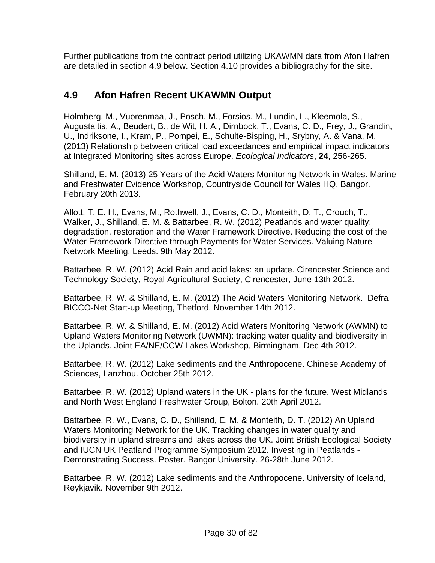<span id="page-29-0"></span>Further publications from the contract period utilizing UKAWMN data from Afon Hafren are detailed in section 4.9 below. Section 4.10 provides a bibliography for the site.

# **4.9 Afon Hafren Recent UKAWMN Output**

Holmberg, M., Vuorenmaa, J., Posch, M., Forsios, M., Lundin, L., Kleemola, S., Augustaitis, A., Beudert, B., de Wit, H. A., Dirnbock, T., Evans, C. D., Frey, J., Grandin, U., Indriksone, I., Kram, P., Pompei, E., Schulte-Bisping, H., Srybny, A. & Vana, M. (2013) Relationship between critical load exceedances and empirical impact indicators at Integrated Monitoring sites across Europe. *Ecological Indicators*, **24**, 256-265.

Shilland, E. M. (2013) 25 Years of the Acid Waters Monitoring Network in Wales. Marine and Freshwater Evidence Workshop, Countryside Council for Wales HQ, Bangor. February 20th 2013.

Allott, T. E. H., Evans, M., Rothwell, J., Evans, C. D., Monteith, D. T., Crouch, T., Walker, J., Shilland, E. M. & Battarbee, R. W. (2012) Peatlands and water quality: degradation, restoration and the Water Framework Directive. Reducing the cost of the Water Framework Directive through Payments for Water Services. Valuing Nature Network Meeting. Leeds. 9th May 2012.

Battarbee, R. W. (2012) Acid Rain and acid lakes: an update. Cirencester Science and Technology Society, Royal Agricultural Society, Cirencester, June 13th 2012.

Battarbee, R. W. & Shilland, E. M. (2012) The Acid Waters Monitoring Network. Defra BICCO-Net Start-up Meeting, Thetford. November 14th 2012.

Battarbee, R. W. & Shilland, E. M. (2012) Acid Waters Monitoring Network (AWMN) to Upland Waters Monitoring Network (UWMN): tracking water quality and biodiversity in the Uplands. Joint EA/NE/CCW Lakes Workshop, Birmingham. Dec 4th 2012.

Battarbee, R. W. (2012) Lake sediments and the Anthropocene. Chinese Academy of Sciences, Lanzhou. October 25th 2012.

Battarbee, R. W. (2012) Upland waters in the UK - plans for the future. West Midlands and North West England Freshwater Group, Bolton. 20th April 2012.

Battarbee, R. W., Evans, C. D., Shilland, E. M. & Monteith, D. T. (2012) An Upland Waters Monitoring Network for the UK. Tracking changes in water quality and biodiversity in upland streams and lakes across the UK. Joint British Ecological Society and IUCN UK Peatland Programme Symposium 2012. Investing in Peatlands - Demonstrating Success. Poster. Bangor University. 26-28th June 2012.

Battarbee, R. W. (2012) Lake sediments and the Anthropocene. University of Iceland, Reykjavik. November 9th 2012.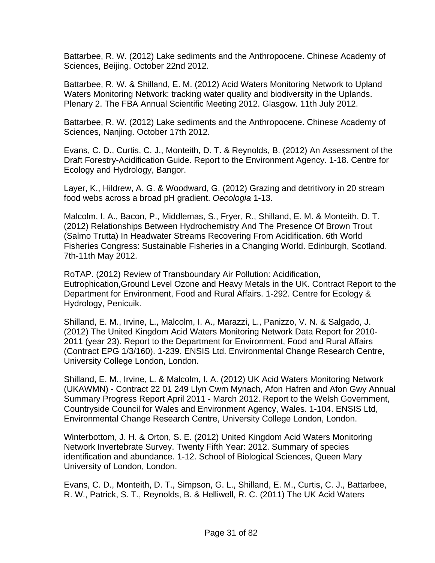Battarbee, R. W. (2012) Lake sediments and the Anthropocene. Chinese Academy of Sciences, Beijing. October 22nd 2012.

Battarbee, R. W. & Shilland, E. M. (2012) Acid Waters Monitoring Network to Upland Waters Monitoring Network: tracking water quality and biodiversity in the Uplands. Plenary 2. The FBA Annual Scientific Meeting 2012. Glasgow. 11th July 2012.

Battarbee, R. W. (2012) Lake sediments and the Anthropocene. Chinese Academy of Sciences, Nanjing. October 17th 2012.

Evans, C. D., Curtis, C. J., Monteith, D. T. & Reynolds, B. (2012) An Assessment of the Draft Forestry-Acidification Guide. Report to the Environment Agency. 1-18. Centre for Ecology and Hydrology, Bangor.

Layer, K., Hildrew, A. G. & Woodward, G. (2012) Grazing and detritivory in 20 stream food webs across a broad pH gradient. *Oecologia* 1-13.

Malcolm, I. A., Bacon, P., Middlemas, S., Fryer, R., Shilland, E. M. & Monteith, D. T. (2012) Relationships Between Hydrochemistry And The Presence Of Brown Trout (Salmo Trutta) In Headwater Streams Recovering From Acidification. 6th World Fisheries Congress: Sustainable Fisheries in a Changing World. Edinburgh, Scotland. 7th-11th May 2012.

RoTAP. (2012) Review of Transboundary Air Pollution: Acidification, Eutrophication,Ground Level Ozone and Heavy Metals in the UK. Contract Report to the Department for Environment, Food and Rural Affairs. 1-292. Centre for Ecology & Hydrology, Penicuik.

Shilland, E. M., Irvine, L., Malcolm, I. A., Marazzi, L., Panizzo, V. N. & Salgado, J. (2012) The United Kingdom Acid Waters Monitoring Network Data Report for 2010- 2011 (year 23). Report to the Department for Environment, Food and Rural Affairs (Contract EPG 1/3/160). 1-239. ENSIS Ltd. Environmental Change Research Centre, University College London, London.

Shilland, E. M., Irvine, L. & Malcolm, I. A. (2012) UK Acid Waters Monitoring Network (UKAWMN) - Contract 22 01 249 Llyn Cwm Mynach, Afon Hafren and Afon Gwy Annual Summary Progress Report April 2011 - March 2012. Report to the Welsh Government, Countryside Council for Wales and Environment Agency, Wales. 1-104. ENSIS Ltd, Environmental Change Research Centre, University College London, London.

Winterbottom, J. H. & Orton, S. E. (2012) United Kingdom Acid Waters Monitoring Network Invertebrate Survey. Twenty Fifth Year: 2012. Summary of species identification and abundance. 1-12. School of Biological Sciences, Queen Mary University of London, London.

Evans, C. D., Monteith, D. T., Simpson, G. L., Shilland, E. M., Curtis, C. J., Battarbee, R. W., Patrick, S. T., Reynolds, B. & Helliwell, R. C. (2011) The UK Acid Waters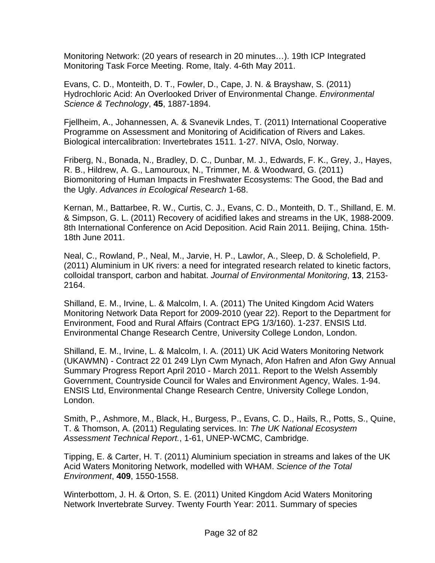Monitoring Network: (20 years of research in 20 minutes…). 19th ICP Integrated Monitoring Task Force Meeting. Rome, Italy. 4-6th May 2011.

Evans, C. D., Monteith, D. T., Fowler, D., Cape, J. N. & Brayshaw, S. (2011) Hydrochloric Acid: An Overlooked Driver of Environmental Change. *Environmental Science & Technology*, **45**, 1887-1894.

Fjellheim, A., Johannessen, A. & Svanevik Lndes, T. (2011) International Cooperative Programme on Assessment and Monitoring of Acidification of Rivers and Lakes. Biological intercalibration: Invertebrates 1511. 1-27. NIVA, Oslo, Norway.

Friberg, N., Bonada, N., Bradley, D. C., Dunbar, M. J., Edwards, F. K., Grey, J., Hayes, R. B., Hildrew, A. G., Lamouroux, N., Trimmer, M. & Woodward, G. (2011) Biomonitoring of Human Impacts in Freshwater Ecosystems: The Good, the Bad and the Ugly. *Advances in Ecological Research* 1-68.

Kernan, M., Battarbee, R. W., Curtis, C. J., Evans, C. D., Monteith, D. T., Shilland, E. M. & Simpson, G. L. (2011) Recovery of acidified lakes and streams in the UK, 1988-2009. 8th International Conference on Acid Deposition. Acid Rain 2011. Beijing, China. 15th-18th June 2011.

Neal, C., Rowland, P., Neal, M., Jarvie, H. P., Lawlor, A., Sleep, D. & Scholefield, P. (2011) Aluminium in UK rivers: a need for integrated research related to kinetic factors, colloidal transport, carbon and habitat. *Journal of Environmental Monitoring*, **13**, 2153- 2164.

Shilland, E. M., Irvine, L. & Malcolm, I. A. (2011) The United Kingdom Acid Waters Monitoring Network Data Report for 2009-2010 (year 22). Report to the Department for Environment, Food and Rural Affairs (Contract EPG 1/3/160). 1-237. ENSIS Ltd. Environmental Change Research Centre, University College London, London.

Shilland, E. M., Irvine, L. & Malcolm, I. A. (2011) UK Acid Waters Monitoring Network (UKAWMN) - Contract 22 01 249 Llyn Cwm Mynach, Afon Hafren and Afon Gwy Annual Summary Progress Report April 2010 - March 2011. Report to the Welsh Assembly Government, Countryside Council for Wales and Environment Agency, Wales. 1-94. ENSIS Ltd, Environmental Change Research Centre, University College London, London.

Smith, P., Ashmore, M., Black, H., Burgess, P., Evans, C. D., Hails, R., Potts, S., Quine, T. & Thomson, A. (2011) Regulating services. In: *The UK National Ecosystem Assessment Technical Report.*, 1-61, UNEP-WCMC, Cambridge.

Tipping, E. & Carter, H. T. (2011) Aluminium speciation in streams and lakes of the UK Acid Waters Monitoring Network, modelled with WHAM. *Science of the Total Environment*, **409**, 1550-1558.

Winterbottom, J. H. & Orton, S. E. (2011) United Kingdom Acid Waters Monitoring Network Invertebrate Survey. Twenty Fourth Year: 2011. Summary of species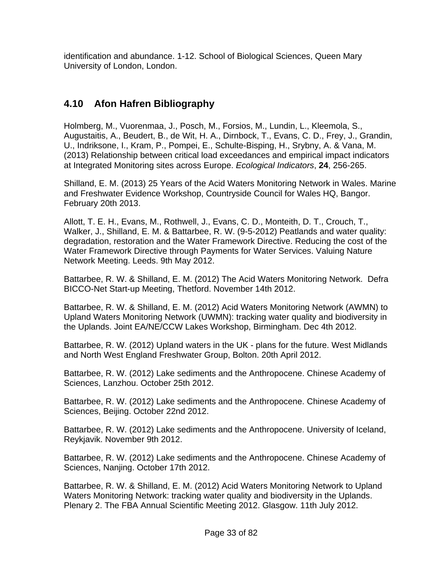<span id="page-32-0"></span>identification and abundance. 1-12. School of Biological Sciences, Queen Mary University of London, London.

# **4.10 Afon Hafren Bibliography**

Holmberg, M., Vuorenmaa, J., Posch, M., Forsios, M., Lundin, L., Kleemola, S., Augustaitis, A., Beudert, B., de Wit, H. A., Dirnbock, T., Evans, C. D., Frey, J., Grandin, U., Indriksone, I., Kram, P., Pompei, E., Schulte-Bisping, H., Srybny, A. & Vana, M. (2013) Relationship between critical load exceedances and empirical impact indicators at Integrated Monitoring sites across Europe. *Ecological Indicators*, **24**, 256-265.

Shilland, E. M. (2013) 25 Years of the Acid Waters Monitoring Network in Wales. Marine and Freshwater Evidence Workshop, Countryside Council for Wales HQ, Bangor. February 20th 2013.

Allott, T. E. H., Evans, M., Rothwell, J., Evans, C. D., Monteith, D. T., Crouch, T., Walker, J., Shilland, E. M. & Battarbee, R. W. (9-5-2012) Peatlands and water quality: degradation, restoration and the Water Framework Directive. Reducing the cost of the Water Framework Directive through Payments for Water Services. Valuing Nature Network Meeting. Leeds. 9th May 2012.

Battarbee, R. W. & Shilland, E. M. (2012) The Acid Waters Monitoring Network. Defra BICCO-Net Start-up Meeting, Thetford. November 14th 2012.

Battarbee, R. W. & Shilland, E. M. (2012) Acid Waters Monitoring Network (AWMN) to Upland Waters Monitoring Network (UWMN): tracking water quality and biodiversity in the Uplands. Joint EA/NE/CCW Lakes Workshop, Birmingham. Dec 4th 2012.

Battarbee, R. W. (2012) Upland waters in the UK - plans for the future. West Midlands and North West England Freshwater Group, Bolton. 20th April 2012.

Battarbee, R. W. (2012) Lake sediments and the Anthropocene. Chinese Academy of Sciences, Lanzhou. October 25th 2012.

Battarbee, R. W. (2012) Lake sediments and the Anthropocene. Chinese Academy of Sciences, Beijing. October 22nd 2012.

Battarbee, R. W. (2012) Lake sediments and the Anthropocene. University of Iceland, Reykjavik. November 9th 2012.

Battarbee, R. W. (2012) Lake sediments and the Anthropocene. Chinese Academy of Sciences, Nanjing. October 17th 2012.

Battarbee, R. W. & Shilland, E. M. (2012) Acid Waters Monitoring Network to Upland Waters Monitoring Network: tracking water quality and biodiversity in the Uplands. Plenary 2. The FBA Annual Scientific Meeting 2012. Glasgow. 11th July 2012.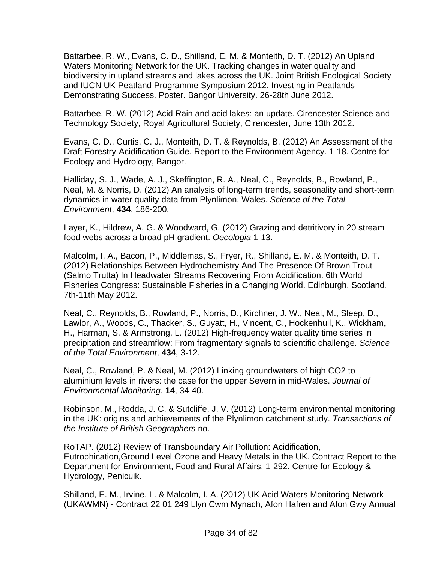Battarbee, R. W., Evans, C. D., Shilland, E. M. & Monteith, D. T. (2012) An Upland Waters Monitoring Network for the UK. Tracking changes in water quality and biodiversity in upland streams and lakes across the UK. Joint British Ecological Society and IUCN UK Peatland Programme Symposium 2012. Investing in Peatlands - Demonstrating Success. Poster. Bangor University. 26-28th June 2012.

Battarbee, R. W. (2012) Acid Rain and acid lakes: an update. Cirencester Science and Technology Society, Royal Agricultural Society, Cirencester, June 13th 2012.

Evans, C. D., Curtis, C. J., Monteith, D. T. & Reynolds, B. (2012) An Assessment of the Draft Forestry-Acidification Guide. Report to the Environment Agency. 1-18. Centre for Ecology and Hydrology, Bangor.

Halliday, S. J., Wade, A. J., Skeffington, R. A., Neal, C., Reynolds, B., Rowland, P., Neal, M. & Norris, D. (2012) An analysis of long-term trends, seasonality and short-term dynamics in water quality data from Plynlimon, Wales. *Science of the Total Environment*, **434**, 186-200.

Layer, K., Hildrew, A. G. & Woodward, G. (2012) Grazing and detritivory in 20 stream food webs across a broad pH gradient. *Oecologia* 1-13.

Malcolm, I. A., Bacon, P., Middlemas, S., Fryer, R., Shilland, E. M. & Monteith, D. T. (2012) Relationships Between Hydrochemistry And The Presence Of Brown Trout (Salmo Trutta) In Headwater Streams Recovering From Acidification. 6th World Fisheries Congress: Sustainable Fisheries in a Changing World. Edinburgh, Scotland. 7th-11th May 2012.

Neal, C., Reynolds, B., Rowland, P., Norris, D., Kirchner, J. W., Neal, M., Sleep, D., Lawlor, A., Woods, C., Thacker, S., Guyatt, H., Vincent, C., Hockenhull, K., Wickham, H., Harman, S. & Armstrong, L. (2012) High-frequency water quality time series in precipitation and streamflow: From fragmentary signals to scientific challenge. *Science of the Total Environment*, **434**, 3-12.

Neal, C., Rowland, P. & Neal, M. (2012) Linking groundwaters of high CO2 to aluminium levels in rivers: the case for the upper Severn in mid-Wales. *Journal of Environmental Monitoring*, **14**, 34-40.

Robinson, M., Rodda, J. C. & Sutcliffe, J. V. (2012) Long-term environmental monitoring in the UK: origins and achievements of the Plynlimon catchment study. *Transactions of the Institute of British Geographers* no.

RoTAP. (2012) Review of Transboundary Air Pollution: Acidification, Eutrophication,Ground Level Ozone and Heavy Metals in the UK. Contract Report to the Department for Environment, Food and Rural Affairs. 1-292. Centre for Ecology & Hydrology, Penicuik.

Shilland, E. M., Irvine, L. & Malcolm, I. A. (2012) UK Acid Waters Monitoring Network (UKAWMN) - Contract 22 01 249 Llyn Cwm Mynach, Afon Hafren and Afon Gwy Annual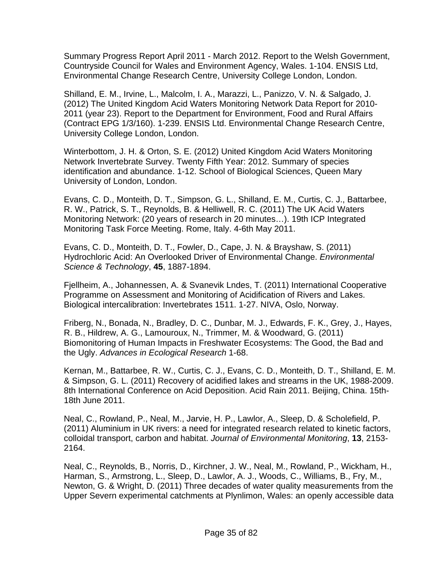Summary Progress Report April 2011 - March 2012. Report to the Welsh Government, Countryside Council for Wales and Environment Agency, Wales. 1-104. ENSIS Ltd, Environmental Change Research Centre, University College London, London.

Shilland, E. M., Irvine, L., Malcolm, I. A., Marazzi, L., Panizzo, V. N. & Salgado, J. (2012) The United Kingdom Acid Waters Monitoring Network Data Report for 2010- 2011 (year 23). Report to the Department for Environment, Food and Rural Affairs (Contract EPG 1/3/160). 1-239. ENSIS Ltd. Environmental Change Research Centre, University College London, London.

Winterbottom, J. H. & Orton, S. E. (2012) United Kingdom Acid Waters Monitoring Network Invertebrate Survey. Twenty Fifth Year: 2012. Summary of species identification and abundance. 1-12. School of Biological Sciences, Queen Mary University of London, London.

Evans, C. D., Monteith, D. T., Simpson, G. L., Shilland, E. M., Curtis, C. J., Battarbee, R. W., Patrick, S. T., Reynolds, B. & Helliwell, R. C. (2011) The UK Acid Waters Monitoring Network: (20 years of research in 20 minutes…). 19th ICP Integrated Monitoring Task Force Meeting. Rome, Italy. 4-6th May 2011.

Evans, C. D., Monteith, D. T., Fowler, D., Cape, J. N. & Brayshaw, S. (2011) Hydrochloric Acid: An Overlooked Driver of Environmental Change. *Environmental Science & Technology*, **45**, 1887-1894.

Fjellheim, A., Johannessen, A. & Svanevik Lndes, T. (2011) International Cooperative Programme on Assessment and Monitoring of Acidification of Rivers and Lakes. Biological intercalibration: Invertebrates 1511. 1-27. NIVA, Oslo, Norway.

Friberg, N., Bonada, N., Bradley, D. C., Dunbar, M. J., Edwards, F. K., Grey, J., Hayes, R. B., Hildrew, A. G., Lamouroux, N., Trimmer, M. & Woodward, G. (2011) Biomonitoring of Human Impacts in Freshwater Ecosystems: The Good, the Bad and the Ugly. *Advances in Ecological Research* 1-68.

Kernan, M., Battarbee, R. W., Curtis, C. J., Evans, C. D., Monteith, D. T., Shilland, E. M. & Simpson, G. L. (2011) Recovery of acidified lakes and streams in the UK, 1988-2009. 8th International Conference on Acid Deposition. Acid Rain 2011. Beijing, China. 15th-18th June 2011.

Neal, C., Rowland, P., Neal, M., Jarvie, H. P., Lawlor, A., Sleep, D. & Scholefield, P. (2011) Aluminium in UK rivers: a need for integrated research related to kinetic factors, colloidal transport, carbon and habitat. *Journal of Environmental Monitoring*, **13**, 2153- 2164.

Neal, C., Reynolds, B., Norris, D., Kirchner, J. W., Neal, M., Rowland, P., Wickham, H., Harman, S., Armstrong, L., Sleep, D., Lawlor, A. J., Woods, C., Williams, B., Fry, M., Newton, G. & Wright, D. (2011) Three decades of water quality measurements from the Upper Severn experimental catchments at Plynlimon, Wales: an openly accessible data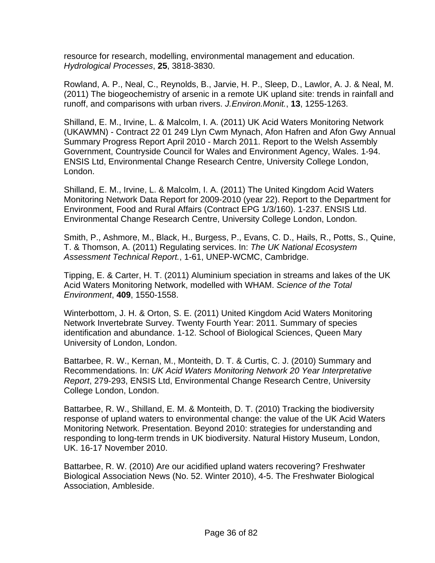resource for research, modelling, environmental management and education. *Hydrological Processes*, **25**, 3818-3830.

Rowland, A. P., Neal, C., Reynolds, B., Jarvie, H. P., Sleep, D., Lawlor, A. J. & Neal, M. (2011) The biogeochemistry of arsenic in a remote UK upland site: trends in rainfall and runoff, and comparisons with urban rivers. *J.Environ.Monit.*, **13**, 1255-1263.

Shilland, E. M., Irvine, L. & Malcolm, I. A. (2011) UK Acid Waters Monitoring Network (UKAWMN) - Contract 22 01 249 Llyn Cwm Mynach, Afon Hafren and Afon Gwy Annual Summary Progress Report April 2010 - March 2011. Report to the Welsh Assembly Government, Countryside Council for Wales and Environment Agency, Wales. 1-94. ENSIS Ltd, Environmental Change Research Centre, University College London, London.

Shilland, E. M., Irvine, L. & Malcolm, I. A. (2011) The United Kingdom Acid Waters Monitoring Network Data Report for 2009-2010 (year 22). Report to the Department for Environment, Food and Rural Affairs (Contract EPG 1/3/160). 1-237. ENSIS Ltd. Environmental Change Research Centre, University College London, London.

Smith, P., Ashmore, M., Black, H., Burgess, P., Evans, C. D., Hails, R., Potts, S., Quine, T. & Thomson, A. (2011) Regulating services. In: *The UK National Ecosystem Assessment Technical Report.*, 1-61, UNEP-WCMC, Cambridge.

Tipping, E. & Carter, H. T. (2011) Aluminium speciation in streams and lakes of the UK Acid Waters Monitoring Network, modelled with WHAM. *Science of the Total Environment*, **409**, 1550-1558.

Winterbottom, J. H. & Orton, S. E. (2011) United Kingdom Acid Waters Monitoring Network Invertebrate Survey. Twenty Fourth Year: 2011. Summary of species identification and abundance. 1-12. School of Biological Sciences, Queen Mary University of London, London.

Battarbee, R. W., Kernan, M., Monteith, D. T. & Curtis, C. J. (2010) Summary and Recommendations. In: *UK Acid Waters Monitoring Network 20 Year Interpretative Report*, 279-293, ENSIS Ltd, Environmental Change Research Centre, University College London, London.

Battarbee, R. W., Shilland, E. M. & Monteith, D. T. (2010) Tracking the biodiversity response of upland waters to environmental change: the value of the UK Acid Waters Monitoring Network. Presentation. Beyond 2010: strategies for understanding and responding to long-term trends in UK biodiversity. Natural History Museum, London, UK. 16-17 November 2010.

Battarbee, R. W. (2010) Are our acidified upland waters recovering? Freshwater Biological Association News (No. 52. Winter 2010), 4-5. The Freshwater Biological Association, Ambleside.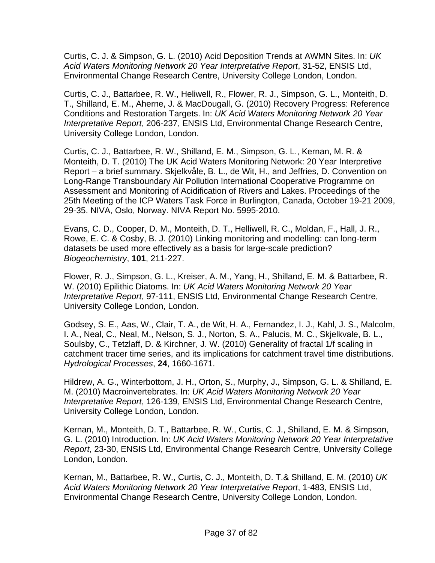Curtis, C. J. & Simpson, G. L. (2010) Acid Deposition Trends at AWMN Sites. In: *UK Acid Waters Monitoring Network 20 Year Interpretative Report*, 31-52, ENSIS Ltd, Environmental Change Research Centre, University College London, London.

Curtis, C. J., Battarbee, R. W., Heliwell, R., Flower, R. J., Simpson, G. L., Monteith, D. T., Shilland, E. M., Aherne, J. & MacDougall, G. (2010) Recovery Progress: Reference Conditions and Restoration Targets. In: *UK Acid Waters Monitoring Network 20 Year Interpretative Report*, 206-237, ENSIS Ltd, Environmental Change Research Centre, University College London, London.

Curtis, C. J., Battarbee, R. W., Shilland, E. M., Simpson, G. L., Kernan, M. R. & Monteith, D. T. (2010) The UK Acid Waters Monitoring Network: 20 Year Interpretive Report – a brief summary. Skjelkvåle, B. L., de Wit, H., and Jeffries, D. Convention on Long-Range Transboundary Air Pollution International Cooperative Programme on Assessment and Monitoring of Acidification of Rivers and Lakes. Proceedings of the 25th Meeting of the ICP Waters Task Force in Burlington, Canada, October 19-21 2009, 29-35. NIVA, Oslo, Norway. NIVA Report No. 5995-2010.

Evans, C. D., Cooper, D. M., Monteith, D. T., Helliwell, R. C., Moldan, F., Hall, J. R., Rowe, E. C. & Cosby, B. J. (2010) Linking monitoring and modelling: can long-term datasets be used more effectively as a basis for large-scale prediction? *Biogeochemistry*, **101**, 211-227.

Flower, R. J., Simpson, G. L., Kreiser, A. M., Yang, H., Shilland, E. M. & Battarbee, R. W. (2010) Epilithic Diatoms. In: *UK Acid Waters Monitoring Network 20 Year Interpretative Report*, 97-111, ENSIS Ltd, Environmental Change Research Centre, University College London, London.

Godsey, S. E., Aas, W., Clair, T. A., de Wit, H. A., Fernandez, I. J., Kahl, J. S., Malcolm, I. A., Neal, C., Neal, M., Nelson, S. J., Norton, S. A., Palucis, M. C., Skjelkvale, B. L., Soulsby, C., Tetzlaff, D. & Kirchner, J. W. (2010) Generality of fractal 1/f scaling in catchment tracer time series, and its implications for catchment travel time distributions. *Hydrological Processes*, **24**, 1660-1671.

Hildrew, A. G., Winterbottom, J. H., Orton, S., Murphy, J., Simpson, G. L. & Shilland, E. M. (2010) Macroinvertebrates. In: *UK Acid Waters Monitoring Network 20 Year Interpretative Report*, 126-139, ENSIS Ltd, Environmental Change Research Centre, University College London, London.

Kernan, M., Monteith, D. T., Battarbee, R. W., Curtis, C. J., Shilland, E. M. & Simpson, G. L. (2010) Introduction. In: *UK Acid Waters Monitoring Network 20 Year Interpretative Report*, 23-30, ENSIS Ltd, Environmental Change Research Centre, University College London, London.

Kernan, M., Battarbee, R. W., Curtis, C. J., Monteith, D. T.& Shilland, E. M. (2010) *UK Acid Waters Monitoring Network 20 Year Interpretative Report*, 1-483, ENSIS Ltd, Environmental Change Research Centre, University College London, London.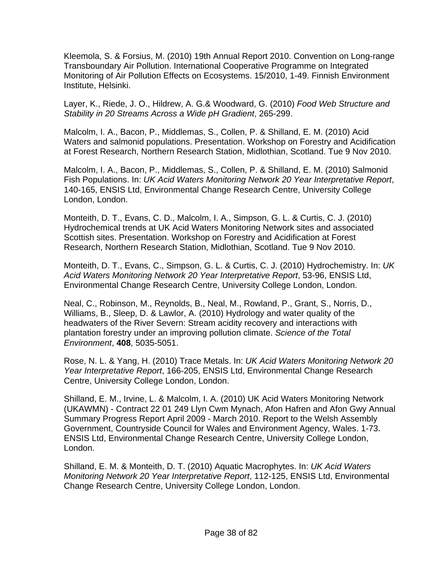Kleemola, S. & Forsius, M. (2010) 19th Annual Report 2010. Convention on Long-range Transboundary Air Pollution. International Cooperative Programme on Integrated Monitoring of Air Pollution Effects on Ecosystems. 15/2010, 1-49. Finnish Environment Institute, Helsinki.

Layer, K., Riede, J. O., Hildrew, A. G.& Woodward, G. (2010) *Food Web Structure and Stability in 20 Streams Across a Wide pH Gradient*, 265-299.

Malcolm, I. A., Bacon, P., Middlemas, S., Collen, P. & Shilland, E. M. (2010) Acid Waters and salmonid populations. Presentation. Workshop on Forestry and Acidification at Forest Research, Northern Research Station, Midlothian, Scotland. Tue 9 Nov 2010.

Malcolm, I. A., Bacon, P., Middlemas, S., Collen, P. & Shilland, E. M. (2010) Salmonid Fish Populations. In: *UK Acid Waters Monitoring Network 20 Year Interpretative Report*, 140-165, ENSIS Ltd, Environmental Change Research Centre, University College London, London.

Monteith, D. T., Evans, C. D., Malcolm, I. A., Simpson, G. L. & Curtis, C. J. (2010) Hydrochemical trends at UK Acid Waters Monitoring Network sites and associated Scottish sites. Presentation. Workshop on Forestry and Acidification at Forest Research, Northern Research Station, Midlothian, Scotland. Tue 9 Nov 2010.

Monteith, D. T., Evans, C., Simpson, G. L. & Curtis, C. J. (2010) Hydrochemistry. In: *UK Acid Waters Monitoring Network 20 Year Interpretative Report*, 53-96, ENSIS Ltd, Environmental Change Research Centre, University College London, London.

Neal, C., Robinson, M., Reynolds, B., Neal, M., Rowland, P., Grant, S., Norris, D., Williams, B., Sleep, D. & Lawlor, A. (2010) Hydrology and water quality of the headwaters of the River Severn: Stream acidity recovery and interactions with plantation forestry under an improving pollution climate. *Science of the Total Environment*, **408**, 5035-5051.

Rose, N. L. & Yang, H. (2010) Trace Metals. In: *UK Acid Waters Monitoring Network 20 Year Interpretative Report*, 166-205, ENSIS Ltd, Environmental Change Research Centre, University College London, London.

Shilland, E. M., Irvine, L. & Malcolm, I. A. (2010) UK Acid Waters Monitoring Network (UKAWMN) - Contract 22 01 249 Llyn Cwm Mynach, Afon Hafren and Afon Gwy Annual Summary Progress Report April 2009 - March 2010. Report to the Welsh Assembly Government, Countryside Council for Wales and Environment Agency, Wales. 1-73. ENSIS Ltd, Environmental Change Research Centre, University College London, London.

Shilland, E. M. & Monteith, D. T. (2010) Aquatic Macrophytes. In: *UK Acid Waters Monitoring Network 20 Year Interpretative Report*, 112-125, ENSIS Ltd, Environmental Change Research Centre, University College London, London.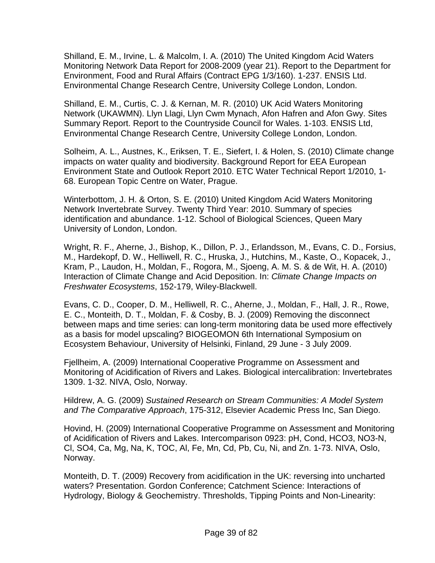Shilland, E. M., Irvine, L. & Malcolm, I. A. (2010) The United Kingdom Acid Waters Monitoring Network Data Report for 2008-2009 (year 21). Report to the Department for Environment, Food and Rural Affairs (Contract EPG 1/3/160). 1-237. ENSIS Ltd. Environmental Change Research Centre, University College London, London.

Shilland, E. M., Curtis, C. J. & Kernan, M. R. (2010) UK Acid Waters Monitoring Network (UKAWMN). Llyn Llagi, Llyn Cwm Mynach, Afon Hafren and Afon Gwy. Sites Summary Report. Report to the Countryside Council for Wales. 1-103. ENSIS Ltd, Environmental Change Research Centre, University College London, London.

Solheim, A. L., Austnes, K., Eriksen, T. E., Siefert, I. & Holen, S. (2010) Climate change impacts on water quality and biodiversity. Background Report for EEA European Environment State and Outlook Report 2010. ETC Water Technical Report 1/2010, 1- 68. European Topic Centre on Water, Prague.

Winterbottom, J. H. & Orton, S. E. (2010) United Kingdom Acid Waters Monitoring Network Invertebrate Survey. Twenty Third Year: 2010. Summary of species identification and abundance. 1-12. School of Biological Sciences, Queen Mary University of London, London.

Wright, R. F., Aherne, J., Bishop, K., Dillon, P. J., Erlandsson, M., Evans, C. D., Forsius, M., Hardekopf, D. W., Helliwell, R. C., Hruska, J., Hutchins, M., Kaste, O., Kopacek, J., Kram, P., Laudon, H., Moldan, F., Rogora, M., Sjoeng, A. M. S. & de Wit, H. A. (2010) Interaction of Climate Change and Acid Deposition. In: *Climate Change Impacts on Freshwater Ecosystems*, 152-179, Wiley-Blackwell.

Evans, C. D., Cooper, D. M., Helliwell, R. C., Aherne, J., Moldan, F., Hall, J. R., Rowe, E. C., Monteith, D. T., Moldan, F. & Cosby, B. J. (2009) Removing the disconnect between maps and time series: can long-term monitoring data be used more effectively as a basis for model upscaling? BIOGEOMON 6th International Symposium on Ecosystem Behaviour, University of Helsinki, Finland, 29 June - 3 July 2009.

Fjellheim, A. (2009) International Cooperative Programme on Assessment and Monitoring of Acidification of Rivers and Lakes. Biological intercalibration: Invertebrates 1309. 1-32. NIVA, Oslo, Norway.

Hildrew, A. G. (2009) *Sustained Research on Stream Communities: A Model System and The Comparative Approach*, 175-312, Elsevier Academic Press Inc, San Diego.

Hovind, H. (2009) International Cooperative Programme on Assessment and Monitoring of Acidification of Rivers and Lakes. Intercomparison 0923: pH, Cond, HCO3, NO3-N, Cl, SO4, Ca, Mg, Na, K, TOC, Al, Fe, Mn, Cd, Pb, Cu, Ni, and Zn. 1-73. NIVA, Oslo, Norway.

Monteith, D. T. (2009) Recovery from acidification in the UK: reversing into uncharted waters? Presentation. Gordon Conference; Catchment Science: Interactions of Hydrology, Biology & Geochemistry. Thresholds, Tipping Points and Non-Linearity: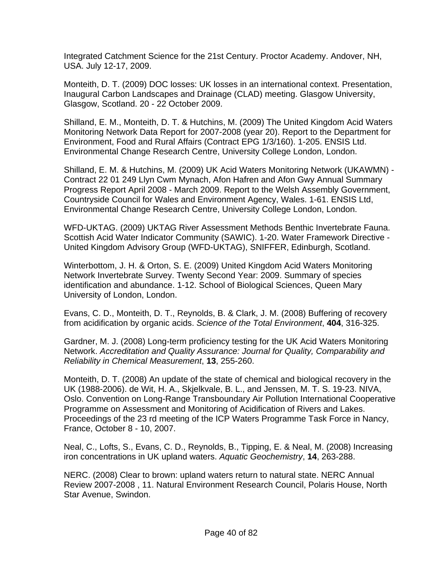Integrated Catchment Science for the 21st Century. Proctor Academy. Andover, NH, USA. July 12-17, 2009.

Monteith, D. T. (2009) DOC losses: UK losses in an international context. Presentation, Inaugural Carbon Landscapes and Drainage (CLAD) meeting. Glasgow University, Glasgow, Scotland. 20 - 22 October 2009.

Shilland, E. M., Monteith, D. T. & Hutchins, M. (2009) The United Kingdom Acid Waters Monitoring Network Data Report for 2007-2008 (year 20). Report to the Department for Environment, Food and Rural Affairs (Contract EPG 1/3/160). 1-205. ENSIS Ltd. Environmental Change Research Centre, University College London, London.

Shilland, E. M. & Hutchins, M. (2009) UK Acid Waters Monitoring Network (UKAWMN) - Contract 22 01 249 Llyn Cwm Mynach, Afon Hafren and Afon Gwy Annual Summary Progress Report April 2008 - March 2009. Report to the Welsh Assembly Government, Countryside Council for Wales and Environment Agency, Wales. 1-61. ENSIS Ltd, Environmental Change Research Centre, University College London, London.

WFD-UKTAG. (2009) UKTAG River Assessment Methods Benthic Invertebrate Fauna. Scottish Acid Water Indicator Community (SAWIC). 1-20. Water Framework Directive - United Kingdom Advisory Group (WFD-UKTAG), SNIFFER, Edinburgh, Scotland.

Winterbottom, J. H. & Orton, S. E. (2009) United Kingdom Acid Waters Monitoring Network Invertebrate Survey. Twenty Second Year: 2009. Summary of species identification and abundance. 1-12. School of Biological Sciences, Queen Mary University of London, London.

Evans, C. D., Monteith, D. T., Reynolds, B. & Clark, J. M. (2008) Buffering of recovery from acidification by organic acids. *Science of the Total Environment*, **404**, 316-325.

Gardner, M. J. (2008) Long-term proficiency testing for the UK Acid Waters Monitoring Network. *Accreditation and Quality Assurance: Journal for Quality, Comparability and Reliability in Chemical Measurement*, **13**, 255-260.

Monteith, D. T. (2008) An update of the state of chemical and biological recovery in the UK (1988-2006). de Wit, H. A., Skjelkvale, B. L., and Jenssen, M. T. S. 19-23. NIVA, Oslo. Convention on Long-Range Transboundary Air Pollution International Cooperative Programme on Assessment and Monitoring of Acidification of Rivers and Lakes. Proceedings of the 23 rd meeting of the ICP Waters Programme Task Force in Nancy, France, October 8 - 10, 2007.

Neal, C., Lofts, S., Evans, C. D., Reynolds, B., Tipping, E. & Neal, M. (2008) Increasing iron concentrations in UK upland waters. *Aquatic Geochemistry*, **14**, 263-288.

NERC. (2008) Clear to brown: upland waters return to natural state. NERC Annual Review 2007-2008 , 11. Natural Environment Research Council, Polaris House, North Star Avenue, Swindon.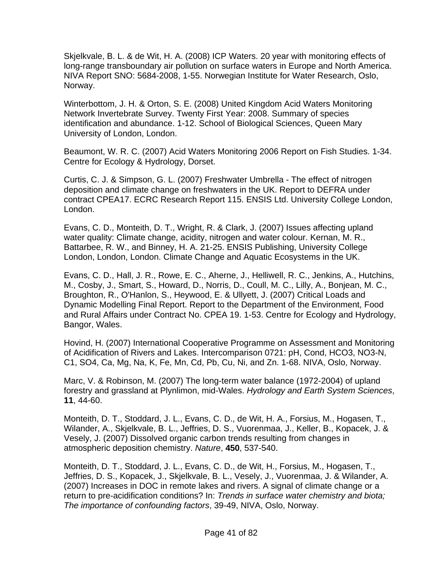Skjelkvale, B. L. & de Wit, H. A. (2008) ICP Waters. 20 year with monitoring effects of long-range transboundary air pollution on surface waters in Europe and North America. NIVA Report SNO: 5684-2008, 1-55. Norwegian Institute for Water Research, Oslo, Norway.

Winterbottom, J. H. & Orton, S. E. (2008) United Kingdom Acid Waters Monitoring Network Invertebrate Survey. Twenty First Year: 2008. Summary of species identification and abundance. 1-12. School of Biological Sciences, Queen Mary University of London, London.

Beaumont, W. R. C. (2007) Acid Waters Monitoring 2006 Report on Fish Studies. 1-34. Centre for Ecology & Hydrology, Dorset.

Curtis, C. J. & Simpson, G. L. (2007) Freshwater Umbrella - The effect of nitrogen deposition and climate change on freshwaters in the UK. Report to DEFRA under contract CPEA17. ECRC Research Report 115. ENSIS Ltd. University College London, London.

Evans, C. D., Monteith, D. T., Wright, R. & Clark, J. (2007) Issues affecting upland water quality: Climate change, acidity, nitrogen and water colour. Kernan, M. R., Battarbee, R. W., and Binney, H. A. 21-25. ENSIS Publishing, University College London, London, London. Climate Change and Aquatic Ecosystems in the UK.

Evans, C. D., Hall, J. R., Rowe, E. C., Aherne, J., Helliwell, R. C., Jenkins, A., Hutchins, M., Cosby, J., Smart, S., Howard, D., Norris, D., Coull, M. C., Lilly, A., Bonjean, M. C., Broughton, R., O'Hanlon, S., Heywood, E. & Ullyett, J. (2007) Critical Loads and Dynamic Modelling Final Report. Report to the Department of the Environment, Food and Rural Affairs under Contract No. CPEA 19. 1-53. Centre for Ecology and Hydrology, Bangor, Wales.

Hovind, H. (2007) International Cooperative Programme on Assessment and Monitoring of Acidification of Rivers and Lakes. Intercomparison 0721: pH, Cond, HCO3, NO3-N, C1, SO4, Ca, Mg, Na, K, Fe, Mn, Cd, Pb, Cu, Ni, and Zn. 1-68. NIVA, Oslo, Norway.

Marc, V. & Robinson, M. (2007) The long-term water balance (1972-2004) of upland forestry and grassland at Plynlimon, mid-Wales. *Hydrology and Earth System Sciences*, **11**, 44-60.

Monteith, D. T., Stoddard, J. L., Evans, C. D., de Wit, H. A., Forsius, M., Hogasen, T., Wilander, A., Skjelkvale, B. L., Jeffries, D. S., Vuorenmaa, J., Keller, B., Kopacek, J. & Vesely, J. (2007) Dissolved organic carbon trends resulting from changes in atmospheric deposition chemistry. *Nature*, **450**, 537-540.

Monteith, D. T., Stoddard, J. L., Evans, C. D., de Wit, H., Forsius, M., Hogasen, T., Jeffries, D. S., Kopacek, J., Skjelkvale, B. L., Vesely, J., Vuorenmaa, J. & Wilander, A. (2007) Increases in DOC in remote lakes and rivers. A signal of climate change or a return to pre-acidification conditions? In: *Trends in surface water chemistry and biota; The importance of confounding factors*, 39-49, NIVA, Oslo, Norway.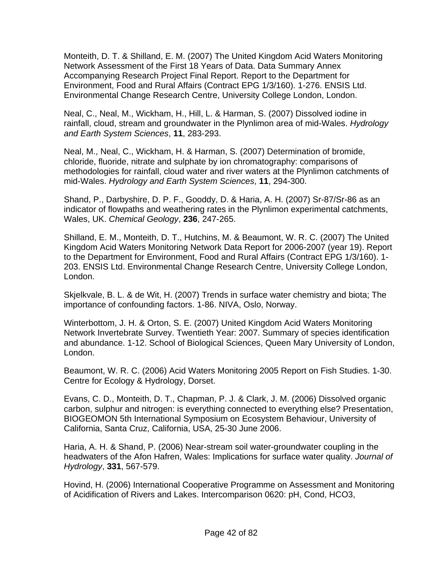Monteith, D. T. & Shilland, E. M. (2007) The United Kingdom Acid Waters Monitoring Network Assessment of the First 18 Years of Data. Data Summary Annex Accompanying Research Project Final Report. Report to the Department for Environment, Food and Rural Affairs (Contract EPG 1/3/160). 1-276. ENSIS Ltd. Environmental Change Research Centre, University College London, London.

Neal, C., Neal, M., Wickham, H., Hill, L. & Harman, S. (2007) Dissolved iodine in rainfall, cloud, stream and groundwater in the Plynlimon area of mid-Wales. *Hydrology and Earth System Sciences*, **11**, 283-293.

Neal, M., Neal, C., Wickham, H. & Harman, S. (2007) Determination of bromide, chloride, fluoride, nitrate and sulphate by ion chromatography: comparisons of methodologies for rainfall, cloud water and river waters at the Plynlimon catchments of mid-Wales. *Hydrology and Earth System Sciences*, **11**, 294-300.

Shand, P., Darbyshire, D. P. F., Gooddy, D. & Haria, A. H. (2007) Sr-87/Sr-86 as an indicator of flowpaths and weathering rates in the Plynlimon experimental catchments, Wales, UK. *Chemical Geology*, **236**, 247-265.

Shilland, E. M., Monteith, D. T., Hutchins, M. & Beaumont, W. R. C. (2007) The United Kingdom Acid Waters Monitoring Network Data Report for 2006-2007 (year 19). Report to the Department for Environment, Food and Rural Affairs (Contract EPG 1/3/160). 1- 203. ENSIS Ltd. Environmental Change Research Centre, University College London, London.

Skjelkvale, B. L. & de Wit, H. (2007) Trends in surface water chemistry and biota; The importance of confounding factors. 1-86. NIVA, Oslo, Norway.

Winterbottom, J. H. & Orton, S. E. (2007) United Kingdom Acid Waters Monitoring Network Invertebrate Survey. Twentieth Year: 2007. Summary of species identification and abundance. 1-12. School of Biological Sciences, Queen Mary University of London, London.

Beaumont, W. R. C. (2006) Acid Waters Monitoring 2005 Report on Fish Studies. 1-30. Centre for Ecology & Hydrology, Dorset.

Evans, C. D., Monteith, D. T., Chapman, P. J. & Clark, J. M. (2006) Dissolved organic carbon, sulphur and nitrogen: is everything connected to everything else? Presentation, BIOGEOMON 5th International Symposium on Ecosystem Behaviour, University of California, Santa Cruz, California, USA, 25-30 June 2006.

Haria, A. H. & Shand, P. (2006) Near-stream soil water-groundwater coupling in the headwaters of the Afon Hafren, Wales: Implications for surface water quality. *Journal of Hydrology*, **331**, 567-579.

Hovind, H. (2006) International Cooperative Programme on Assessment and Monitoring of Acidification of Rivers and Lakes. Intercomparison 0620: pH, Cond, HCO3,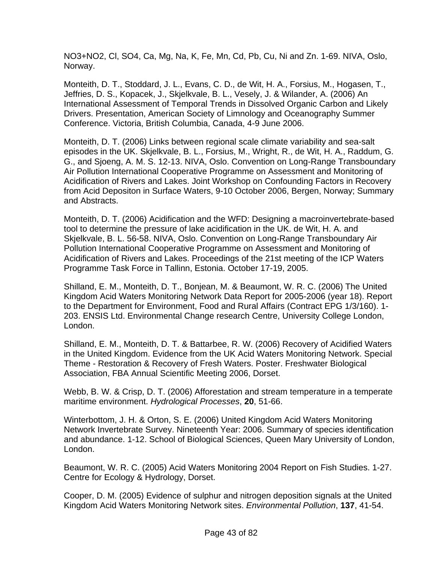NO3+NO2, Cl, SO4, Ca, Mg, Na, K, Fe, Mn, Cd, Pb, Cu, Ni and Zn. 1-69. NIVA, Oslo, Norway.

Monteith, D. T., Stoddard, J. L., Evans, C. D., de Wit, H. A., Forsius, M., Hogasen, T., Jeffries, D. S., Kopacek, J., Skjelkvale, B. L., Vesely, J. & Wilander, A. (2006) An International Assessment of Temporal Trends in Dissolved Organic Carbon and Likely Drivers. Presentation, American Society of Limnology and Oceanography Summer Conference. Victoria, British Columbia, Canada, 4-9 June 2006.

Monteith, D. T. (2006) Links between regional scale climate variability and sea-salt episodes in the UK. Skjelkvale, B. L., Forsius, M., Wright, R., de Wit, H. A., Raddum, G. G., and Sjoeng, A. M. S. 12-13. NIVA, Oslo. Convention on Long-Range Transboundary Air Pollution International Cooperative Programme on Assessment and Monitoring of Acidification of Rivers and Lakes. Joint Workshop on Confounding Factors in Recovery from Acid Depositon in Surface Waters, 9-10 October 2006, Bergen, Norway; Summary and Abstracts.

Monteith, D. T. (2006) Acidification and the WFD: Designing a macroinvertebrate-based tool to determine the pressure of lake acidification in the UK. de Wit, H. A. and Skjelkvale, B. L. 56-58. NIVA, Oslo. Convention on Long-Range Transboundary Air Pollution International Cooperative Programme on Assessment and Monitoring of Acidification of Rivers and Lakes. Proceedings of the 21st meeting of the ICP Waters Programme Task Force in Tallinn, Estonia. October 17-19, 2005.

Shilland, E. M., Monteith, D. T., Bonjean, M. & Beaumont, W. R. C. (2006) The United Kingdom Acid Waters Monitoring Network Data Report for 2005-2006 (year 18). Report to the Department for Environment, Food and Rural Affairs (Contract EPG 1/3/160). 1- 203. ENSIS Ltd. Environmental Change research Centre, University College London, London.

Shilland, E. M., Monteith, D. T. & Battarbee, R. W. (2006) Recovery of Acidified Waters in the United Kingdom. Evidence from the UK Acid Waters Monitoring Network. Special Theme - Restoration & Recovery of Fresh Waters. Poster. Freshwater Biological Association, FBA Annual Scientific Meeting 2006, Dorset.

Webb, B. W. & Crisp, D. T. (2006) Afforestation and stream temperature in a temperate maritime environment. *Hydrological Processes*, **20**, 51-66.

Winterbottom, J. H. & Orton, S. E. (2006) United Kingdom Acid Waters Monitoring Network Invertebrate Survey. Nineteenth Year: 2006. Summary of species identification and abundance. 1-12. School of Biological Sciences, Queen Mary University of London, London.

Beaumont, W. R. C. (2005) Acid Waters Monitoring 2004 Report on Fish Studies. 1-27. Centre for Ecology & Hydrology, Dorset.

Cooper, D. M. (2005) Evidence of sulphur and nitrogen deposition signals at the United Kingdom Acid Waters Monitoring Network sites. *Environmental Pollution*, **137**, 41-54.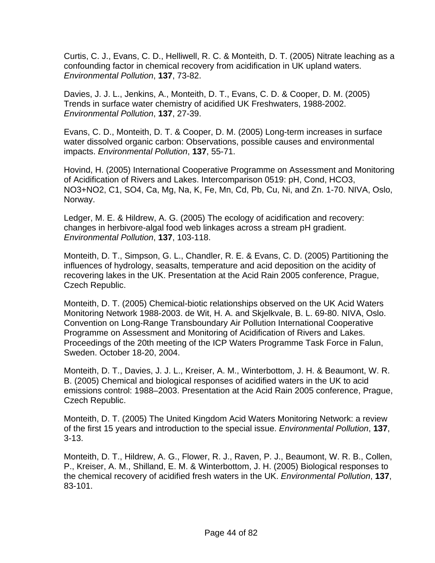Curtis, C. J., Evans, C. D., Helliwell, R. C. & Monteith, D. T. (2005) Nitrate leaching as a confounding factor in chemical recovery from acidification in UK upland waters. *Environmental Pollution*, **137**, 73-82.

Davies, J. J. L., Jenkins, A., Monteith, D. T., Evans, C. D. & Cooper, D. M. (2005) Trends in surface water chemistry of acidified UK Freshwaters, 1988-2002. *Environmental Pollution*, **137**, 27-39.

Evans, C. D., Monteith, D. T. & Cooper, D. M. (2005) Long-term increases in surface water dissolved organic carbon: Observations, possible causes and environmental impacts. *Environmental Pollution*, **137**, 55-71.

Hovind, H. (2005) International Cooperative Programme on Assessment and Monitoring of Acidification of Rivers and Lakes. Intercomparison 0519: pH, Cond, HCO3, NO3+NO2, C1, SO4, Ca, Mg, Na, K, Fe, Mn, Cd, Pb, Cu, Ni, and Zn. 1-70. NIVA, Oslo, Norway.

Ledger, M. E. & Hildrew, A. G. (2005) The ecology of acidification and recovery: changes in herbivore-algal food web linkages across a stream pH gradient. *Environmental Pollution*, **137**, 103-118.

Monteith, D. T., Simpson, G. L., Chandler, R. E. & Evans, C. D. (2005) Partitioning the influences of hydrology, seasalts, temperature and acid deposition on the acidity of recovering lakes in the UK. Presentation at the Acid Rain 2005 conference, Prague, Czech Republic.

Monteith, D. T. (2005) Chemical-biotic relationships observed on the UK Acid Waters Monitoring Network 1988-2003. de Wit, H. A. and Skjelkvale, B. L. 69-80. NIVA, Oslo. Convention on Long-Range Transboundary Air Pollution International Cooperative Programme on Assessment and Monitoring of Acidification of Rivers and Lakes. Proceedings of the 20th meeting of the ICP Waters Programme Task Force in Falun, Sweden. October 18-20, 2004.

Monteith, D. T., Davies, J. J. L., Kreiser, A. M., Winterbottom, J. H. & Beaumont, W. R. B. (2005) Chemical and biological responses of acidified waters in the UK to acid emissions control: 1988–2003. Presentation at the Acid Rain 2005 conference, Prague, Czech Republic.

Monteith, D. T. (2005) The United Kingdom Acid Waters Monitoring Network: a review of the first 15 years and introduction to the special issue. *Environmental Pollution*, **137**, 3-13.

Monteith, D. T., Hildrew, A. G., Flower, R. J., Raven, P. J., Beaumont, W. R. B., Collen, P., Kreiser, A. M., Shilland, E. M. & Winterbottom, J. H. (2005) Biological responses to the chemical recovery of acidified fresh waters in the UK. *Environmental Pollution*, **137**, 83-101.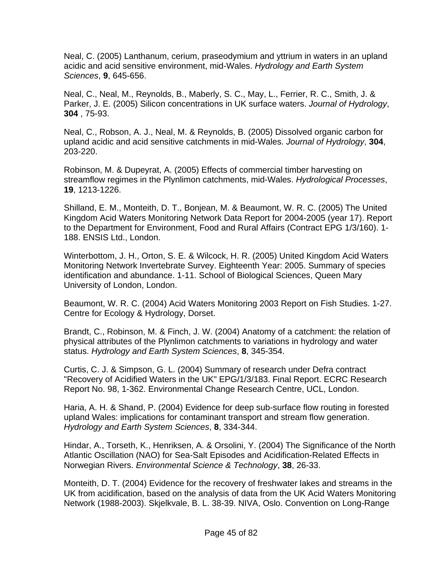Neal, C. (2005) Lanthanum, cerium, praseodymium and yttrium in waters in an upland acidic and acid sensitive environment, mid-Wales. *Hydrology and Earth System Sciences*, **9**, 645-656.

Neal, C., Neal, M., Reynolds, B., Maberly, S. C., May, L., Ferrier, R. C., Smith, J. & Parker, J. E. (2005) Silicon concentrations in UK surface waters. *Journal of Hydrology*, **304** , 75-93.

Neal, C., Robson, A. J., Neal, M. & Reynolds, B. (2005) Dissolved organic carbon for upland acidic and acid sensitive catchments in mid-Wales. *Journal of Hydrology*, **304**, 203-220.

Robinson, M. & Dupeyrat, A. (2005) Effects of commercial timber harvesting on streamflow regimes in the Plynlimon catchments, mid-Wales. *Hydrological Processes*, **19**, 1213-1226.

Shilland, E. M., Monteith, D. T., Bonjean, M. & Beaumont, W. R. C. (2005) The United Kingdom Acid Waters Monitoring Network Data Report for 2004-2005 (year 17). Report to the Department for Environment, Food and Rural Affairs (Contract EPG 1/3/160). 1- 188. ENSIS Ltd., London.

Winterbottom, J. H., Orton, S. E. & Wilcock, H. R. (2005) United Kingdom Acid Waters Monitoring Network Invertebrate Survey. Eighteenth Year: 2005. Summary of species identification and abundance. 1-11. School of Biological Sciences, Queen Mary University of London, London.

Beaumont, W. R. C. (2004) Acid Waters Monitoring 2003 Report on Fish Studies. 1-27. Centre for Ecology & Hydrology, Dorset.

Brandt, C., Robinson, M. & Finch, J. W. (2004) Anatomy of a catchment: the relation of physical attributes of the Plynlimon catchments to variations in hydrology and water status. *Hydrology and Earth System Sciences*, **8**, 345-354.

Curtis, C. J. & Simpson, G. L. (2004) Summary of research under Defra contract "Recovery of Acidified Waters in the UK" EPG/1/3/183. Final Report. ECRC Research Report No. 98, 1-362. Environmental Change Research Centre, UCL, London.

Haria, A. H. & Shand, P. (2004) Evidence for deep sub-surface flow routing in forested upland Wales: implications for contaminant transport and stream flow generation. *Hydrology and Earth System Sciences*, **8**, 334-344.

Hindar, A., Torseth, K., Henriksen, A. & Orsolini, Y. (2004) The Significance of the North Atlantic Oscillation (NAO) for Sea-Salt Episodes and Acidification-Related Effects in Norwegian Rivers. *Environmental Science & Technology*, **38**, 26-33.

Monteith, D. T. (2004) Evidence for the recovery of freshwater lakes and streams in the UK from acidification, based on the analysis of data from the UK Acid Waters Monitoring Network (1988-2003). Skjelkvale, B. L. 38-39. NIVA, Oslo. Convention on Long-Range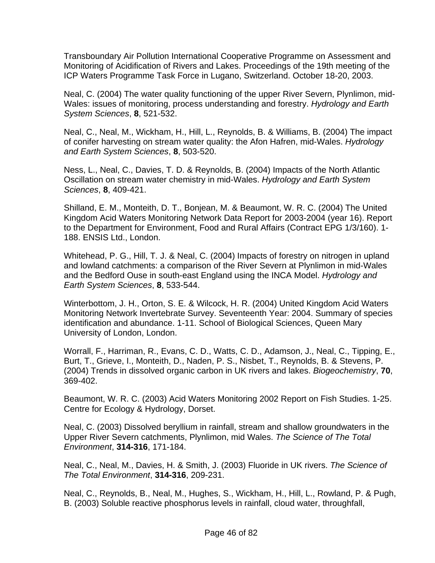Transboundary Air Pollution International Cooperative Programme on Assessment and Monitoring of Acidification of Rivers and Lakes. Proceedings of the 19th meeting of the ICP Waters Programme Task Force in Lugano, Switzerland. October 18-20, 2003.

Neal, C. (2004) The water quality functioning of the upper River Severn, Plynlimon, mid-Wales: issues of monitoring, process understanding and forestry. *Hydrology and Earth System Sciences*, **8**, 521-532.

Neal, C., Neal, M., Wickham, H., Hill, L., Reynolds, B. & Williams, B. (2004) The impact of conifer harvesting on stream water quality: the Afon Hafren, mid-Wales. *Hydrology and Earth System Sciences*, **8**, 503-520.

Ness, L., Neal, C., Davies, T. D. & Reynolds, B. (2004) Impacts of the North Atlantic Oscillation on stream water chemistry in mid-Wales. *Hydrology and Earth System Sciences*, **8**, 409-421.

Shilland, E. M., Monteith, D. T., Bonjean, M. & Beaumont, W. R. C. (2004) The United Kingdom Acid Waters Monitoring Network Data Report for 2003-2004 (year 16). Report to the Department for Environment, Food and Rural Affairs (Contract EPG 1/3/160). 1- 188. ENSIS Ltd., London.

Whitehead, P. G., Hill, T. J. & Neal, C. (2004) Impacts of forestry on nitrogen in upland and lowland catchments: a comparison of the River Severn at Plynlimon in mid-Wales and the Bedford Ouse in south-east England using the INCA Model. *Hydrology and Earth System Sciences*, **8**, 533-544.

Winterbottom, J. H., Orton, S. E. & Wilcock, H. R. (2004) United Kingdom Acid Waters Monitoring Network Invertebrate Survey. Seventeenth Year: 2004. Summary of species identification and abundance. 1-11. School of Biological Sciences, Queen Mary University of London, London.

Worrall, F., Harriman, R., Evans, C. D., Watts, C. D., Adamson, J., Neal, C., Tipping, E., Burt, T., Grieve, I., Monteith, D., Naden, P. S., Nisbet, T., Reynolds, B. & Stevens, P. (2004) Trends in dissolved organic carbon in UK rivers and lakes. *Biogeochemistry*, **70**, 369-402.

Beaumont, W. R. C. (2003) Acid Waters Monitoring 2002 Report on Fish Studies. 1-25. Centre for Ecology & Hydrology, Dorset.

Neal, C. (2003) Dissolved beryllium in rainfall, stream and shallow groundwaters in the Upper River Severn catchments, Plynlimon, mid Wales. *The Science of The Total Environment*, **314-316**, 171-184.

Neal, C., Neal, M., Davies, H. & Smith, J. (2003) Fluoride in UK rivers. *The Science of The Total Environment*, **314-316**, 209-231.

Neal, C., Reynolds, B., Neal, M., Hughes, S., Wickham, H., Hill, L., Rowland, P. & Pugh, B. (2003) Soluble reactive phosphorus levels in rainfall, cloud water, throughfall,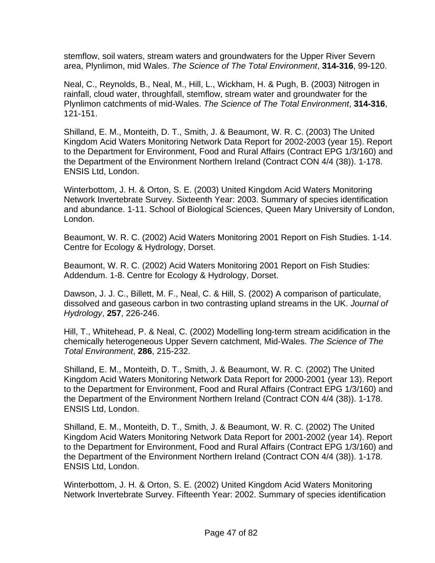stemflow, soil waters, stream waters and groundwaters for the Upper River Severn area, Plynlimon, mid Wales. *The Science of The Total Environment*, **314-316**, 99-120.

Neal, C., Reynolds, B., Neal, M., Hill, L., Wickham, H. & Pugh, B. (2003) Nitrogen in rainfall, cloud water, throughfall, stemflow, stream water and groundwater for the Plynlimon catchments of mid-Wales. *The Science of The Total Environment*, **314-316**, 121-151.

Shilland, E. M., Monteith, D. T., Smith, J. & Beaumont, W. R. C. (2003) The United Kingdom Acid Waters Monitoring Network Data Report for 2002-2003 (year 15). Report to the Department for Environment, Food and Rural Affairs (Contract EPG 1/3/160) and the Department of the Environment Northern Ireland (Contract CON 4/4 (38)). 1-178. ENSIS Ltd, London.

Winterbottom, J. H. & Orton, S. E. (2003) United Kingdom Acid Waters Monitoring Network Invertebrate Survey. Sixteenth Year: 2003. Summary of species identification and abundance. 1-11. School of Biological Sciences, Queen Mary University of London, London.

Beaumont, W. R. C. (2002) Acid Waters Monitoring 2001 Report on Fish Studies. 1-14. Centre for Ecology & Hydrology, Dorset.

Beaumont, W. R. C. (2002) Acid Waters Monitoring 2001 Report on Fish Studies: Addendum. 1-8. Centre for Ecology & Hydrology, Dorset.

Dawson, J. J. C., Billett, M. F., Neal, C. & Hill, S. (2002) A comparison of particulate, dissolved and gaseous carbon in two contrasting upland streams in the UK. *Journal of Hydrology*, **257**, 226-246.

Hill, T., Whitehead, P. & Neal, C. (2002) Modelling long-term stream acidification in the chemically heterogeneous Upper Severn catchment, Mid-Wales. *The Science of The Total Environment*, **286**, 215-232.

Shilland, E. M., Monteith, D. T., Smith, J. & Beaumont, W. R. C. (2002) The United Kingdom Acid Waters Monitoring Network Data Report for 2000-2001 (year 13). Report to the Department for Environment, Food and Rural Affairs (Contract EPG 1/3/160) and the Department of the Environment Northern Ireland (Contract CON 4/4 (38)). 1-178. ENSIS Ltd, London.

Shilland, E. M., Monteith, D. T., Smith, J. & Beaumont, W. R. C. (2002) The United Kingdom Acid Waters Monitoring Network Data Report for 2001-2002 (year 14). Report to the Department for Environment, Food and Rural Affairs (Contract EPG 1/3/160) and the Department of the Environment Northern Ireland (Contract CON 4/4 (38)). 1-178. ENSIS Ltd, London.

Winterbottom, J. H. & Orton, S. E. (2002) United Kingdom Acid Waters Monitoring Network Invertebrate Survey. Fifteenth Year: 2002. Summary of species identification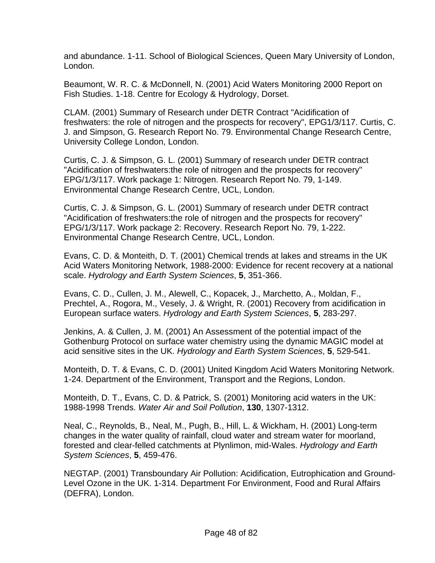and abundance. 1-11. School of Biological Sciences, Queen Mary University of London, London.

Beaumont, W. R. C. & McDonnell, N. (2001) Acid Waters Monitoring 2000 Report on Fish Studies. 1-18. Centre for Ecology & Hydrology, Dorset.

CLAM. (2001) Summary of Research under DETR Contract "Acidification of freshwaters: the role of nitrogen and the prospects for recovery", EPG1/3/117. Curtis, C. J. and Simpson, G. Research Report No. 79. Environmental Change Research Centre, University College London, London.

Curtis, C. J. & Simpson, G. L. (2001) Summary of research under DETR contract "Acidification of freshwaters:the role of nitrogen and the prospects for recovery" EPG/1/3/117. Work package 1: Nitrogen. Research Report No. 79, 1-149. Environmental Change Research Centre, UCL, London.

Curtis, C. J. & Simpson, G. L. (2001) Summary of research under DETR contract "Acidification of freshwaters:the role of nitrogen and the prospects for recovery" EPG/1/3/117. Work package 2: Recovery. Research Report No. 79, 1-222. Environmental Change Research Centre, UCL, London.

Evans, C. D. & Monteith, D. T. (2001) Chemical trends at lakes and streams in the UK Acid Waters Monitoring Network, 1988-2000: Evidence for recent recovery at a national scale. *Hydrology and Earth System Sciences*, **5**, 351-366.

Evans, C. D., Cullen, J. M., Alewell, C., Kopacek, J., Marchetto, A., Moldan, F., Prechtel, A., Rogora, M., Vesely, J. & Wright, R. (2001) Recovery from acidification in European surface waters. *Hydrology and Earth System Sciences*, **5**, 283-297.

Jenkins, A. & Cullen, J. M. (2001) An Assessment of the potential impact of the Gothenburg Protocol on surface water chemistry using the dynamic MAGIC model at acid sensitive sites in the UK. *Hydrology and Earth System Sciences*, **5**, 529-541.

Monteith, D. T. & Evans, C. D. (2001) United Kingdom Acid Waters Monitoring Network. 1-24. Department of the Environment, Transport and the Regions, London.

Monteith, D. T., Evans, C. D. & Patrick, S. (2001) Monitoring acid waters in the UK: 1988-1998 Trends. *Water Air and Soil Pollution*, **130**, 1307-1312.

Neal, C., Reynolds, B., Neal, M., Pugh, B., Hill, L. & Wickham, H. (2001) Long-term changes in the water quality of rainfall, cloud water and stream water for moorland, forested and clear-felled catchments at Plynlimon, mid-Wales. *Hydrology and Earth System Sciences*, **5**, 459-476.

NEGTAP. (2001) Transboundary Air Pollution: Acidification, Eutrophication and Ground-Level Ozone in the UK. 1-314. Department For Environment, Food and Rural Affairs (DEFRA), London.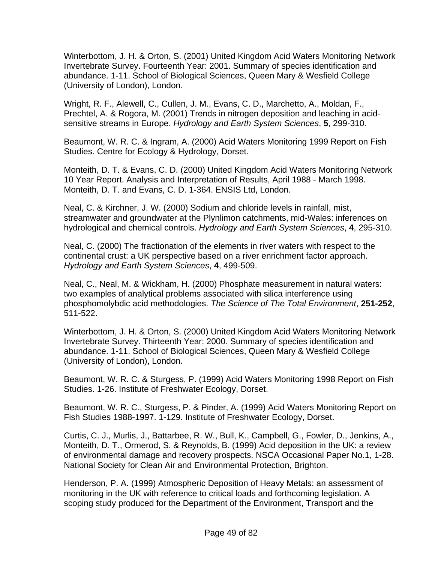Winterbottom, J. H. & Orton, S. (2001) United Kingdom Acid Waters Monitoring Network Invertebrate Survey. Fourteenth Year: 2001. Summary of species identification and abundance. 1-11. School of Biological Sciences, Queen Mary & Wesfield College (University of London), London.

Wright, R. F., Alewell, C., Cullen, J. M., Evans, C. D., Marchetto, A., Moldan, F., Prechtel, A. & Rogora, M. (2001) Trends in nitrogen deposition and leaching in acidsensitive streams in Europe. *Hydrology and Earth System Sciences*, **5**, 299-310.

Beaumont, W. R. C. & Ingram, A. (2000) Acid Waters Monitoring 1999 Report on Fish Studies. Centre for Ecology & Hydrology, Dorset.

Monteith, D. T. & Evans, C. D. (2000) United Kingdom Acid Waters Monitoring Network 10 Year Report. Analysis and Interpretation of Results, April 1988 - March 1998. Monteith, D. T. and Evans, C. D. 1-364. ENSIS Ltd, London.

Neal, C. & Kirchner, J. W. (2000) Sodium and chloride levels in rainfall, mist, streamwater and groundwater at the Plynlimon catchments, mid-Wales: inferences on hydrological and chemical controls. *Hydrology and Earth System Sciences*, **4**, 295-310.

Neal, C. (2000) The fractionation of the elements in river waters with respect to the continental crust: a UK perspective based on a river enrichment factor approach. *Hydrology and Earth System Sciences*, **4**, 499-509.

Neal, C., Neal, M. & Wickham, H. (2000) Phosphate measurement in natural waters: two examples of analytical problems associated with silica interference using phosphomolybdic acid methodologies. *The Science of The Total Environment*, **251-252**, 511-522.

Winterbottom, J. H. & Orton, S. (2000) United Kingdom Acid Waters Monitoring Network Invertebrate Survey. Thirteenth Year: 2000. Summary of species identification and abundance. 1-11. School of Biological Sciences, Queen Mary & Wesfield College (University of London), London.

Beaumont, W. R. C. & Sturgess, P. (1999) Acid Waters Monitoring 1998 Report on Fish Studies. 1-26. Institute of Freshwater Ecology, Dorset.

Beaumont, W. R. C., Sturgess, P. & Pinder, A. (1999) Acid Waters Monitoring Report on Fish Studies 1988-1997. 1-129. Institute of Freshwater Ecology, Dorset.

Curtis, C. J., Murlis, J., Battarbee, R. W., Bull, K., Campbell, G., Fowler, D., Jenkins, A., Monteith, D. T., Ormerod, S. & Reynolds, B. (1999) Acid deposition in the UK: a review of environmental damage and recovery prospects. NSCA Occasional Paper No.1, 1-28. National Society for Clean Air and Environmental Protection, Brighton.

Henderson, P. A. (1999) Atmospheric Deposition of Heavy Metals: an assessment of monitoring in the UK with reference to critical loads and forthcoming legislation. A scoping study produced for the Department of the Environment, Transport and the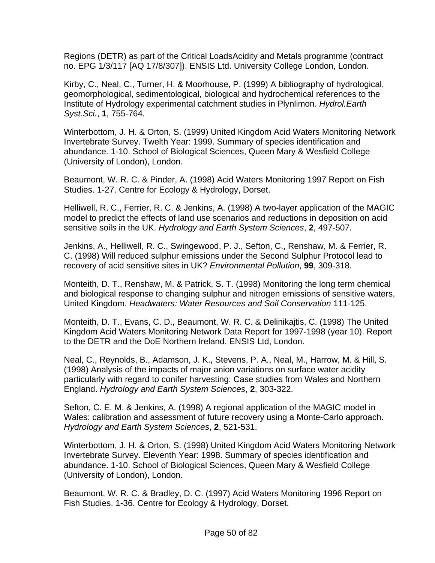Regions (DETR) as part of the Critical LoadsAcidity and Metals programme (contract no. EPG 1/3/117 [AQ 17/8/307]). ENSIS Ltd. University College London, London.

Kirby, C., Neal, C., Turner, H. & Moorhouse, P. (1999) A bibliography of hydrological, geomorphological, sedimentological, biological and hydrochemical references to the Institute of Hydrology experimental catchment studies in Plynlimon. *Hydrol.Earth Syst.Sci.*, **1**, 755-764.

Winterbottom, J. H. & Orton, S. (1999) United Kingdom Acid Waters Monitoring Network Invertebrate Survey. Twelth Year: 1999. Summary of species identification and abundance. 1-10. School of Biological Sciences, Queen Mary & Wesfield College (University of London), London.

Beaumont, W. R. C. & Pinder, A. (1998) Acid Waters Monitoring 1997 Report on Fish Studies. 1-27. Centre for Ecology & Hydrology, Dorset.

Helliwell, R. C., Ferrier, R. C. & Jenkins, A. (1998) A two-layer application of the MAGIC model to predict the effects of land use scenarios and reductions in deposition on acid sensitive soils in the UK. *Hydrology and Earth System Sciences*, **2**, 497-507.

Jenkins, A., Helliwell, R. C., Swingewood, P. J., Sefton, C., Renshaw, M. & Ferrier, R. C. (1998) Will reduced sulphur emissions under the Second Sulphur Protocol lead to recovery of acid sensitive sites in UK? *Environmental Pollution*, **99**, 309-318.

Monteith, D. T., Renshaw, M. & Patrick, S. T. (1998) Monitoring the long term chemical and biological response to changing sulphur and nitrogen emissions of sensitive waters, United Kingdom. *Headwaters: Water Resources and Soil Conservation* 111-125.

Monteith, D. T., Evans, C. D., Beaumont, W. R. C. & Delinikajtis, C. (1998) The United Kingdom Acid Waters Monitoring Network Data Report for 1997-1998 (year 10). Report to the DETR and the DoE Northern Ireland. ENSIS Ltd, London.

Neal, C., Reynolds, B., Adamson, J. K., Stevens, P. A., Neal, M., Harrow, M. & Hill, S. (1998) Analysis of the impacts of major anion variations on surface water acidity particularly with regard to conifer harvesting: Case studies from Wales and Northern England. *Hydrology and Earth System Sciences*, **2**, 303-322.

Sefton, C. E. M. & Jenkins, A. (1998) A regional application of the MAGIC model in Wales: calibration and assessment of future recovery using a Monte-Carlo approach. *Hydrology and Earth System Sciences*, **2**, 521-531.

Winterbottom, J. H. & Orton, S. (1998) United Kingdom Acid Waters Monitoring Network Invertebrate Survey. Eleventh Year: 1998. Summary of species identification and abundance. 1-10. School of Biological Sciences, Queen Mary & Wesfield College (University of London), London.

Beaumont, W. R. C. & Bradley, D. C. (1997) Acid Waters Monitoring 1996 Report on Fish Studies. 1-36. Centre for Ecology & Hydrology, Dorset.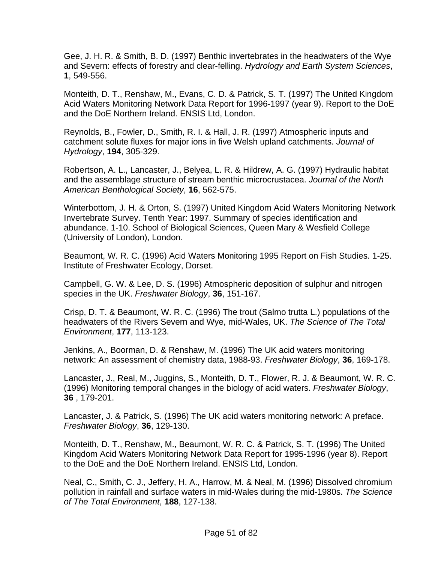Gee, J. H. R. & Smith, B. D. (1997) Benthic invertebrates in the headwaters of the Wye and Severn: effects of forestry and clear-felling. *Hydrology and Earth System Sciences*, **1**, 549-556.

Monteith, D. T., Renshaw, M., Evans, C. D. & Patrick, S. T. (1997) The United Kingdom Acid Waters Monitoring Network Data Report for 1996-1997 (year 9). Report to the DoE and the DoE Northern Ireland. ENSIS Ltd, London.

Reynolds, B., Fowler, D., Smith, R. I. & Hall, J. R. (1997) Atmospheric inputs and catchment solute fluxes for major ions in five Welsh upland catchments. *Journal of Hydrology*, **194**, 305-329.

Robertson, A. L., Lancaster, J., Belyea, L. R. & Hildrew, A. G. (1997) Hydraulic habitat and the assemblage structure of stream benthic microcrustacea. *Journal of the North American Benthological Society*, **16**, 562-575.

Winterbottom, J. H. & Orton, S. (1997) United Kingdom Acid Waters Monitoring Network Invertebrate Survey. Tenth Year: 1997. Summary of species identification and abundance. 1-10. School of Biological Sciences, Queen Mary & Wesfield College (University of London), London.

Beaumont, W. R. C. (1996) Acid Waters Monitoring 1995 Report on Fish Studies. 1-25. Institute of Freshwater Ecology, Dorset.

Campbell, G. W. & Lee, D. S. (1996) Atmospheric deposition of sulphur and nitrogen species in the UK. *Freshwater Biology*, **36**, 151-167.

Crisp, D. T. & Beaumont, W. R. C. (1996) The trout (Salmo trutta L.) populations of the headwaters of the Rivers Severn and Wye, mid-Wales, UK. *The Science of The Total Environment*, **177**, 113-123.

Jenkins, A., Boorman, D. & Renshaw, M. (1996) The UK acid waters monitoring network: An assessment of chemistry data, 1988-93. *Freshwater Biology*, **36**, 169-178.

Lancaster, J., Real, M., Juggins, S., Monteith, D. T., Flower, R. J. & Beaumont, W. R. C. (1996) Monitoring temporal changes in the biology of acid waters. *Freshwater Biology*, **36** , 179-201.

Lancaster, J. & Patrick, S. (1996) The UK acid waters monitoring network: A preface. *Freshwater Biology*, **36**, 129-130.

Monteith, D. T., Renshaw, M., Beaumont, W. R. C. & Patrick, S. T. (1996) The United Kingdom Acid Waters Monitoring Network Data Report for 1995-1996 (year 8). Report to the DoE and the DoE Northern Ireland. ENSIS Ltd, London.

Neal, C., Smith, C. J., Jeffery, H. A., Harrow, M. & Neal, M. (1996) Dissolved chromium pollution in rainfall and surface waters in mid-Wales during the mid-1980s. *The Science of The Total Environment*, **188**, 127-138.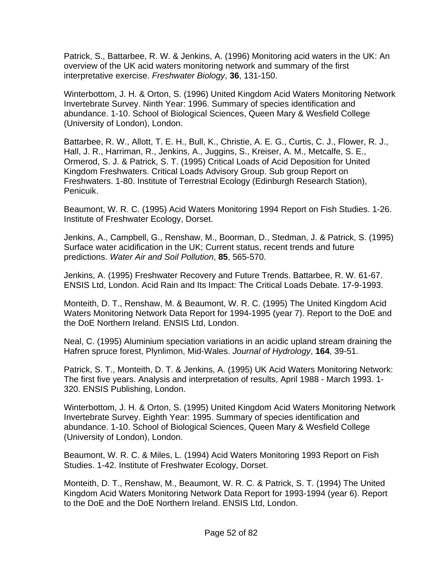Patrick, S., Battarbee, R. W. & Jenkins, A. (1996) Monitoring acid waters in the UK: An overview of the UK acid waters monitoring network and summary of the first interpretative exercise. *Freshwater Biology*, **36**, 131-150.

Winterbottom, J. H. & Orton, S. (1996) United Kingdom Acid Waters Monitoring Network Invertebrate Survey. Ninth Year: 1996. Summary of species identification and abundance. 1-10. School of Biological Sciences, Queen Mary & Wesfield College (University of London), London.

Battarbee, R. W., Allott, T. E. H., Bull, K., Christie, A. E. G., Curtis, C. J., Flower, R. J., Hall, J. R., Harriman, R., Jenkins, A., Juggins, S., Kreiser, A. M., Metcalfe, S. E., Ormerod, S. J. & Patrick, S. T. (1995) Critical Loads of Acid Deposition for United Kingdom Freshwaters. Critical Loads Advisory Group. Sub group Report on Freshwaters. 1-80. Institute of Terrestrial Ecology (Edinburgh Research Station), Penicuik.

Beaumont, W. R. C. (1995) Acid Waters Monitoring 1994 Report on Fish Studies. 1-26. Institute of Freshwater Ecology, Dorset.

Jenkins, A., Campbell, G., Renshaw, M., Boorman, D., Stedman, J. & Patrick, S. (1995) Surface water acidification in the UK; Current status, recent trends and future predictions. *Water Air and Soil Pollution*, **85**, 565-570.

Jenkins, A. (1995) Freshwater Recovery and Future Trends. Battarbee, R. W. 61-67. ENSIS Ltd, London. Acid Rain and Its Impact: The Critical Loads Debate. 17-9-1993.

Monteith, D. T., Renshaw, M. & Beaumont, W. R. C. (1995) The United Kingdom Acid Waters Monitoring Network Data Report for 1994-1995 (year 7). Report to the DoE and the DoE Northern Ireland. ENSIS Ltd, London.

Neal, C. (1995) Aluminium speciation variations in an acidic upland stream draining the Hafren spruce forest, Plynlimon, Mid-Wales. *Journal of Hydrology*, **164**, 39-51.

Patrick, S. T., Monteith, D. T. & Jenkins, A. (1995) UK Acid Waters Monitoring Network: The first five years. Analysis and interpretation of results, April 1988 - March 1993. 1- 320. ENSIS Publishing, London.

Winterbottom, J. H. & Orton, S. (1995) United Kingdom Acid Waters Monitoring Network Invertebrate Survey. Eighth Year: 1995. Summary of species identification and abundance. 1-10. School of Biological Sciences, Queen Mary & Wesfield College (University of London), London.

Beaumont, W. R. C. & Miles, L. (1994) Acid Waters Monitoring 1993 Report on Fish Studies. 1-42. Institute of Freshwater Ecology, Dorset.

Monteith, D. T., Renshaw, M., Beaumont, W. R. C. & Patrick, S. T. (1994) The United Kingdom Acid Waters Monitoring Network Data Report for 1993-1994 (year 6). Report to the DoE and the DoE Northern Ireland. ENSIS Ltd, London.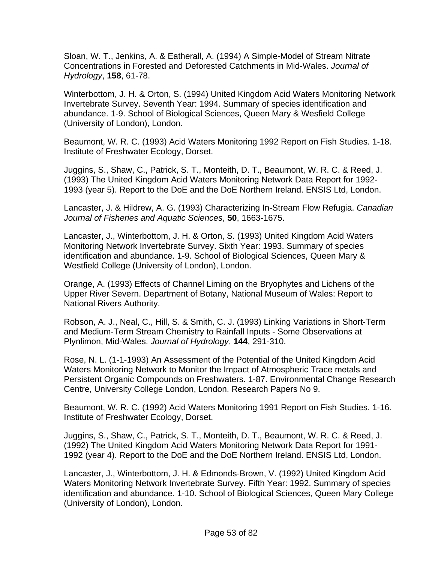Sloan, W. T., Jenkins, A. & Eatherall, A. (1994) A Simple-Model of Stream Nitrate Concentrations in Forested and Deforested Catchments in Mid-Wales. *Journal of Hydrology*, **158**, 61-78.

Winterbottom, J. H. & Orton, S. (1994) United Kingdom Acid Waters Monitoring Network Invertebrate Survey. Seventh Year: 1994. Summary of species identification and abundance. 1-9. School of Biological Sciences, Queen Mary & Wesfield College (University of London), London.

Beaumont, W. R. C. (1993) Acid Waters Monitoring 1992 Report on Fish Studies. 1-18. Institute of Freshwater Ecology, Dorset.

Juggins, S., Shaw, C., Patrick, S. T., Monteith, D. T., Beaumont, W. R. C. & Reed, J. (1993) The United Kingdom Acid Waters Monitoring Network Data Report for 1992- 1993 (year 5). Report to the DoE and the DoE Northern Ireland. ENSIS Ltd, London.

Lancaster, J. & Hildrew, A. G. (1993) Characterizing In-Stream Flow Refugia. *Canadian Journal of Fisheries and Aquatic Sciences*, **50**, 1663-1675.

Lancaster, J., Winterbottom, J. H. & Orton, S. (1993) United Kingdom Acid Waters Monitoring Network Invertebrate Survey. Sixth Year: 1993. Summary of species identification and abundance. 1-9. School of Biological Sciences, Queen Mary & Westfield College (University of London), London.

Orange, A. (1993) Effects of Channel Liming on the Bryophytes and Lichens of the Upper River Severn. Department of Botany, National Museum of Wales: Report to National Rivers Authority.

Robson, A. J., Neal, C., Hill, S. & Smith, C. J. (1993) Linking Variations in Short-Term and Medium-Term Stream Chemistry to Rainfall Inputs - Some Observations at Plynlimon, Mid-Wales. *Journal of Hydrology*, **144**, 291-310.

Rose, N. L. (1-1-1993) An Assessment of the Potential of the United Kingdom Acid Waters Monitoring Network to Monitor the Impact of Atmospheric Trace metals and Persistent Organic Compounds on Freshwaters. 1-87. Environmental Change Research Centre, University College London, London. Research Papers No 9.

Beaumont, W. R. C. (1992) Acid Waters Monitoring 1991 Report on Fish Studies. 1-16. Institute of Freshwater Ecology, Dorset.

Juggins, S., Shaw, C., Patrick, S. T., Monteith, D. T., Beaumont, W. R. C. & Reed, J. (1992) The United Kingdom Acid Waters Monitoring Network Data Report for 1991- 1992 (year 4). Report to the DoE and the DoE Northern Ireland. ENSIS Ltd, London.

Lancaster, J., Winterbottom, J. H. & Edmonds-Brown, V. (1992) United Kingdom Acid Waters Monitoring Network Invertebrate Survey. Fifth Year: 1992. Summary of species identification and abundance. 1-10. School of Biological Sciences, Queen Mary College (University of London), London.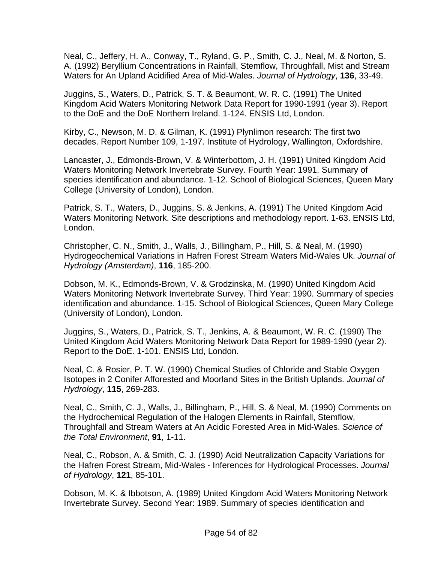Neal, C., Jeffery, H. A., Conway, T., Ryland, G. P., Smith, C. J., Neal, M. & Norton, S. A. (1992) Beryllium Concentrations in Rainfall, Stemflow, Throughfall, Mist and Stream Waters for An Upland Acidified Area of Mid-Wales. *Journal of Hydrology*, **136**, 33-49.

Juggins, S., Waters, D., Patrick, S. T. & Beaumont, W. R. C. (1991) The United Kingdom Acid Waters Monitoring Network Data Report for 1990-1991 (year 3). Report to the DoE and the DoE Northern Ireland. 1-124. ENSIS Ltd, London.

Kirby, C., Newson, M. D. & Gilman, K. (1991) Plynlimon research: The first two decades. Report Number 109, 1-197. Institute of Hydrology, Wallington, Oxfordshire.

Lancaster, J., Edmonds-Brown, V. & Winterbottom, J. H. (1991) United Kingdom Acid Waters Monitoring Network Invertebrate Survey. Fourth Year: 1991. Summary of species identification and abundance. 1-12. School of Biological Sciences, Queen Mary College (University of London), London.

Patrick, S. T., Waters, D., Juggins, S. & Jenkins, A. (1991) The United Kingdom Acid Waters Monitoring Network. Site descriptions and methodology report. 1-63. ENSIS Ltd, London.

Christopher, C. N., Smith, J., Walls, J., Billingham, P., Hill, S. & Neal, M. (1990) Hydrogeochemical Variations in Hafren Forest Stream Waters Mid-Wales Uk. *Journal of Hydrology (Amsterdam)*, **116**, 185-200.

Dobson, M. K., Edmonds-Brown, V. & Grodzinska, M. (1990) United Kingdom Acid Waters Monitoring Network Invertebrate Survey. Third Year: 1990. Summary of species identification and abundance. 1-15. School of Biological Sciences, Queen Mary College (University of London), London.

Juggins, S., Waters, D., Patrick, S. T., Jenkins, A. & Beaumont, W. R. C. (1990) The United Kingdom Acid Waters Monitoring Network Data Report for 1989-1990 (year 2). Report to the DoE. 1-101. ENSIS Ltd, London.

Neal, C. & Rosier, P. T. W. (1990) Chemical Studies of Chloride and Stable Oxygen Isotopes in 2 Conifer Afforested and Moorland Sites in the British Uplands. *Journal of Hydrology*, **115**, 269-283.

Neal, C., Smith, C. J., Walls, J., Billingham, P., Hill, S. & Neal, M. (1990) Comments on the Hydrochemical Regulation of the Halogen Elements in Rainfall, Stemflow, Throughfall and Stream Waters at An Acidic Forested Area in Mid-Wales. *Science of the Total Environment*, **91**, 1-11.

Neal, C., Robson, A. & Smith, C. J. (1990) Acid Neutralization Capacity Variations for the Hafren Forest Stream, Mid-Wales - Inferences for Hydrological Processes. *Journal of Hydrology*, **121**, 85-101.

Dobson, M. K. & Ibbotson, A. (1989) United Kingdom Acid Waters Monitoring Network Invertebrate Survey. Second Year: 1989. Summary of species identification and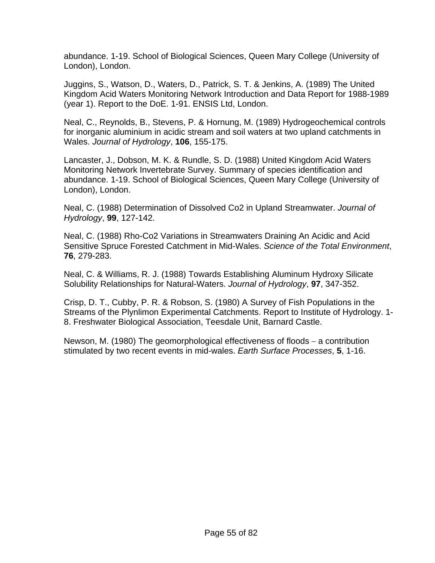abundance. 1-19. School of Biological Sciences, Queen Mary College (University of London), London.

Juggins, S., Watson, D., Waters, D., Patrick, S. T. & Jenkins, A. (1989) The United Kingdom Acid Waters Monitoring Network Introduction and Data Report for 1988-1989 (year 1). Report to the DoE. 1-91. ENSIS Ltd, London.

Neal, C., Reynolds, B., Stevens, P. & Hornung, M. (1989) Hydrogeochemical controls for inorganic aluminium in acidic stream and soil waters at two upland catchments in Wales. *Journal of Hydrology*, **106**, 155-175.

Lancaster, J., Dobson, M. K. & Rundle, S. D. (1988) United Kingdom Acid Waters Monitoring Network Invertebrate Survey. Summary of species identification and abundance. 1-19. School of Biological Sciences, Queen Mary College (University of London), London.

Neal, C. (1988) Determination of Dissolved Co2 in Upland Streamwater. *Journal of Hydrology*, **99**, 127-142.

Neal, C. (1988) Rho-Co2 Variations in Streamwaters Draining An Acidic and Acid Sensitive Spruce Forested Catchment in Mid-Wales. *Science of the Total Environment*, **76**, 279-283.

Neal, C. & Williams, R. J. (1988) Towards Establishing Aluminum Hydroxy Silicate Solubility Relationships for Natural-Waters. *Journal of Hydrology*, **97**, 347-352.

Crisp, D. T., Cubby, P. R. & Robson, S. (1980) A Survey of Fish Populations in the Streams of the Plynlimon Experimental Catchments. Report to Institute of Hydrology. 1- 8. Freshwater Biological Association, Teesdale Unit, Barnard Castle.

Newson, M. (1980) The geomorphological effectiveness of floods – a contribution stimulated by two recent events in mid-wales. *Earth Surface Processes*, **5**, 1-16.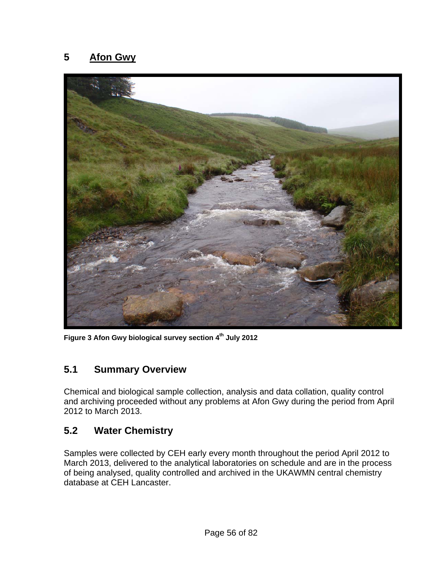#### **5 Afon Gwy**



**Figure 3 Afon Gwy biological survey section 4th July 2012** 

#### **5.1 Summary Overview**

Chemical and biological sample collection, analysis and data collation, quality control and archiving proceeded without any problems at Afon Gwy during the period from April 2012 to March 2013.

#### **5.2 Water Chemistry**

Samples were collected by CEH early every month throughout the period April 2012 to March 2013, delivered to the analytical laboratories on schedule and are in the process of being analysed, quality controlled and archived in the UKAWMN central chemistry database at CEH Lancaster.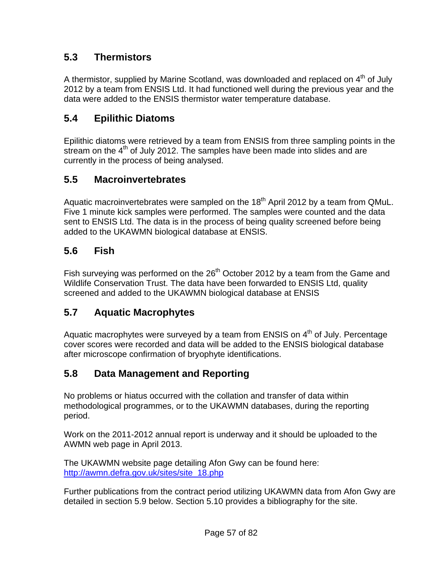## **5.3 Thermistors**

A thermistor, supplied by Marine Scotland, was downloaded and replaced on  $4<sup>th</sup>$  of July 2012 by a team from ENSIS Ltd. It had functioned well during the previous year and the data were added to the ENSIS thermistor water temperature database.

# **5.4 Epilithic Diatoms**

Epilithic diatoms were retrieved by a team from ENSIS from three sampling points in the stream on the  $4<sup>th</sup>$  of July 2012. The samples have been made into slides and are currently in the process of being analysed.

#### **5.5 Macroinvertebrates**

Aquatic macroinvertebrates were sampled on the  $18<sup>th</sup>$  April 2012 by a team from QMuL. Five 1 minute kick samples were performed. The samples were counted and the data sent to ENSIS Ltd. The data is in the process of being quality screened before being added to the UKAWMN biological database at ENSIS.

## **5.6 Fish**

Fish surveying was performed on the  $26<sup>th</sup>$  October 2012 by a team from the Game and Wildlife Conservation Trust. The data have been forwarded to ENSIS Ltd, quality screened and added to the UKAWMN biological database at ENSIS

## **5.7 Aquatic Macrophytes**

Aquatic macrophytes were surveyed by a team from ENSIS on  $4<sup>th</sup>$  of July. Percentage cover scores were recorded and data will be added to the ENSIS biological database after microscope confirmation of bryophyte identifications.

## **5.8 Data Management and Reporting**

No problems or hiatus occurred with the collation and transfer of data within methodological programmes, or to the UKAWMN databases, during the reporting period.

Work on the 2011-2012 annual report is underway and it should be uploaded to the AWMN web page in April 2013.

The UKAWMN website page detailing Afon Gwy can be found here: [http://awmn.defra.gov.uk/sites/site\\_18.php](http://awmn.defra.gov.uk/sites/site_18.php)

Further publications from the contract period utilizing UKAWMN data from Afon Gwy are detailed in section 5.9 below. Section 5.10 provides a bibliography for the site.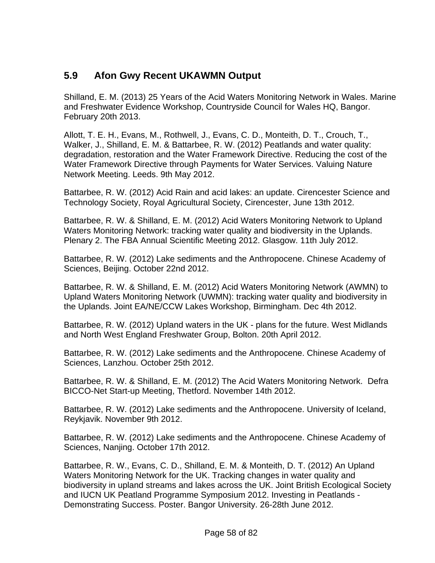#### **5.9 Afon Gwy Recent UKAWMN Output**

Shilland, E. M. (2013) 25 Years of the Acid Waters Monitoring Network in Wales. Marine and Freshwater Evidence Workshop, Countryside Council for Wales HQ, Bangor. February 20th 2013.

Allott, T. E. H., Evans, M., Rothwell, J., Evans, C. D., Monteith, D. T., Crouch, T., Walker, J., Shilland, E. M. & Battarbee, R. W. (2012) Peatlands and water quality: degradation, restoration and the Water Framework Directive. Reducing the cost of the Water Framework Directive through Payments for Water Services. Valuing Nature Network Meeting. Leeds. 9th May 2012.

Battarbee, R. W. (2012) Acid Rain and acid lakes: an update. Cirencester Science and Technology Society, Royal Agricultural Society, Cirencester, June 13th 2012.

Battarbee, R. W. & Shilland, E. M. (2012) Acid Waters Monitoring Network to Upland Waters Monitoring Network: tracking water quality and biodiversity in the Uplands. Plenary 2. The FBA Annual Scientific Meeting 2012. Glasgow. 11th July 2012.

Battarbee, R. W. (2012) Lake sediments and the Anthropocene. Chinese Academy of Sciences, Beijing. October 22nd 2012.

Battarbee, R. W. & Shilland, E. M. (2012) Acid Waters Monitoring Network (AWMN) to Upland Waters Monitoring Network (UWMN): tracking water quality and biodiversity in the Uplands. Joint EA/NE/CCW Lakes Workshop, Birmingham. Dec 4th 2012.

Battarbee, R. W. (2012) Upland waters in the UK - plans for the future. West Midlands and North West England Freshwater Group, Bolton. 20th April 2012.

Battarbee, R. W. (2012) Lake sediments and the Anthropocene. Chinese Academy of Sciences, Lanzhou. October 25th 2012.

Battarbee, R. W. & Shilland, E. M. (2012) The Acid Waters Monitoring Network. Defra BICCO-Net Start-up Meeting, Thetford. November 14th 2012.

Battarbee, R. W. (2012) Lake sediments and the Anthropocene. University of Iceland, Reykjavik. November 9th 2012.

Battarbee, R. W. (2012) Lake sediments and the Anthropocene. Chinese Academy of Sciences, Nanjing. October 17th 2012.

Battarbee, R. W., Evans, C. D., Shilland, E. M. & Monteith, D. T. (2012) An Upland Waters Monitoring Network for the UK. Tracking changes in water quality and biodiversity in upland streams and lakes across the UK. Joint British Ecological Society and IUCN UK Peatland Programme Symposium 2012. Investing in Peatlands - Demonstrating Success. Poster. Bangor University. 26-28th June 2012.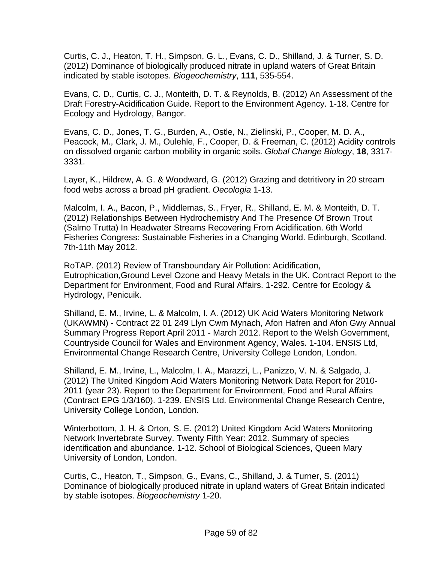Curtis, C. J., Heaton, T. H., Simpson, G. L., Evans, C. D., Shilland, J. & Turner, S. D. (2012) Dominance of biologically produced nitrate in upland waters of Great Britain indicated by stable isotopes. *Biogeochemistry*, **111**, 535-554.

Evans, C. D., Curtis, C. J., Monteith, D. T. & Reynolds, B. (2012) An Assessment of the Draft Forestry-Acidification Guide. Report to the Environment Agency. 1-18. Centre for Ecology and Hydrology, Bangor.

Evans, C. D., Jones, T. G., Burden, A., Ostle, N., Zielinski, P., Cooper, M. D. A., Peacock, M., Clark, J. M., Oulehle, F., Cooper, D. & Freeman, C. (2012) Acidity controls on dissolved organic carbon mobility in organic soils. *Global Change Biology*, **18**, 3317- 3331.

Layer, K., Hildrew, A. G. & Woodward, G. (2012) Grazing and detritivory in 20 stream food webs across a broad pH gradient. *Oecologia* 1-13.

Malcolm, I. A., Bacon, P., Middlemas, S., Fryer, R., Shilland, E. M. & Monteith, D. T. (2012) Relationships Between Hydrochemistry And The Presence Of Brown Trout (Salmo Trutta) In Headwater Streams Recovering From Acidification. 6th World Fisheries Congress: Sustainable Fisheries in a Changing World. Edinburgh, Scotland. 7th-11th May 2012.

RoTAP. (2012) Review of Transboundary Air Pollution: Acidification, Eutrophication,Ground Level Ozone and Heavy Metals in the UK. Contract Report to the Department for Environment, Food and Rural Affairs. 1-292. Centre for Ecology & Hydrology, Penicuik.

Shilland, E. M., Irvine, L. & Malcolm, I. A. (2012) UK Acid Waters Monitoring Network (UKAWMN) - Contract 22 01 249 Llyn Cwm Mynach, Afon Hafren and Afon Gwy Annual Summary Progress Report April 2011 - March 2012. Report to the Welsh Government, Countryside Council for Wales and Environment Agency, Wales. 1-104. ENSIS Ltd, Environmental Change Research Centre, University College London, London.

Shilland, E. M., Irvine, L., Malcolm, I. A., Marazzi, L., Panizzo, V. N. & Salgado, J. (2012) The United Kingdom Acid Waters Monitoring Network Data Report for 2010- 2011 (year 23). Report to the Department for Environment, Food and Rural Affairs (Contract EPG 1/3/160). 1-239. ENSIS Ltd. Environmental Change Research Centre, University College London, London.

Winterbottom, J. H. & Orton, S. E. (2012) United Kingdom Acid Waters Monitoring Network Invertebrate Survey. Twenty Fifth Year: 2012. Summary of species identification and abundance. 1-12. School of Biological Sciences, Queen Mary University of London, London.

Curtis, C., Heaton, T., Simpson, G., Evans, C., Shilland, J. & Turner, S. (2011) Dominance of biologically produced nitrate in upland waters of Great Britain indicated by stable isotopes. *Biogeochemistry* 1-20.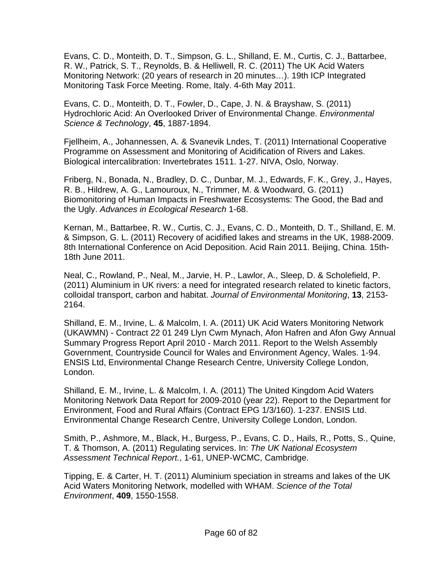Evans, C. D., Monteith, D. T., Simpson, G. L., Shilland, E. M., Curtis, C. J., Battarbee, R. W., Patrick, S. T., Reynolds, B. & Helliwell, R. C. (2011) The UK Acid Waters Monitoring Network: (20 years of research in 20 minutes…). 19th ICP Integrated Monitoring Task Force Meeting. Rome, Italy. 4-6th May 2011.

Evans, C. D., Monteith, D. T., Fowler, D., Cape, J. N. & Brayshaw, S. (2011) Hydrochloric Acid: An Overlooked Driver of Environmental Change. *Environmental Science & Technology*, **45**, 1887-1894.

Fjellheim, A., Johannessen, A. & Svanevik Lndes, T. (2011) International Cooperative Programme on Assessment and Monitoring of Acidification of Rivers and Lakes. Biological intercalibration: Invertebrates 1511. 1-27. NIVA, Oslo, Norway.

Friberg, N., Bonada, N., Bradley, D. C., Dunbar, M. J., Edwards, F. K., Grey, J., Hayes, R. B., Hildrew, A. G., Lamouroux, N., Trimmer, M. & Woodward, G. (2011) Biomonitoring of Human Impacts in Freshwater Ecosystems: The Good, the Bad and the Ugly. *Advances in Ecological Research* 1-68.

Kernan, M., Battarbee, R. W., Curtis, C. J., Evans, C. D., Monteith, D. T., Shilland, E. M. & Simpson, G. L. (2011) Recovery of acidified lakes and streams in the UK, 1988-2009. 8th International Conference on Acid Deposition. Acid Rain 2011. Beijing, China. 15th-18th June 2011.

Neal, C., Rowland, P., Neal, M., Jarvie, H. P., Lawlor, A., Sleep, D. & Scholefield, P. (2011) Aluminium in UK rivers: a need for integrated research related to kinetic factors, colloidal transport, carbon and habitat. *Journal of Environmental Monitoring*, **13**, 2153- 2164.

Shilland, E. M., Irvine, L. & Malcolm, I. A. (2011) UK Acid Waters Monitoring Network (UKAWMN) - Contract 22 01 249 Llyn Cwm Mynach, Afon Hafren and Afon Gwy Annual Summary Progress Report April 2010 - March 2011. Report to the Welsh Assembly Government, Countryside Council for Wales and Environment Agency, Wales. 1-94. ENSIS Ltd, Environmental Change Research Centre, University College London, London.

Shilland, E. M., Irvine, L. & Malcolm, I. A. (2011) The United Kingdom Acid Waters Monitoring Network Data Report for 2009-2010 (year 22). Report to the Department for Environment, Food and Rural Affairs (Contract EPG 1/3/160). 1-237. ENSIS Ltd. Environmental Change Research Centre, University College London, London.

Smith, P., Ashmore, M., Black, H., Burgess, P., Evans, C. D., Hails, R., Potts, S., Quine, T. & Thomson, A. (2011) Regulating services. In: *The UK National Ecosystem Assessment Technical Report.*, 1-61, UNEP-WCMC, Cambridge.

Tipping, E. & Carter, H. T. (2011) Aluminium speciation in streams and lakes of the UK Acid Waters Monitoring Network, modelled with WHAM. *Science of the Total Environment*, **409**, 1550-1558.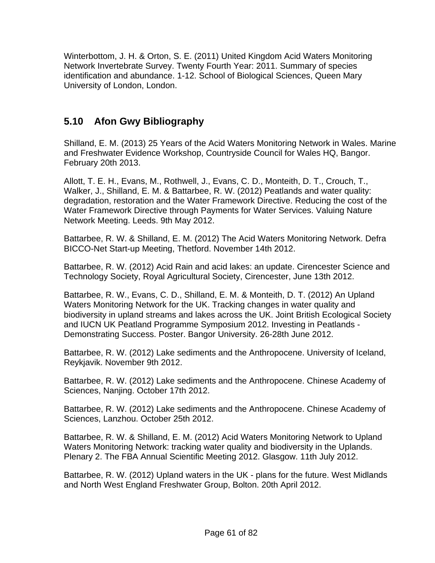Winterbottom, J. H. & Orton, S. E. (2011) United Kingdom Acid Waters Monitoring Network Invertebrate Survey. Twenty Fourth Year: 2011. Summary of species identification and abundance. 1-12. School of Biological Sciences, Queen Mary University of London, London.

# **5.10 Afon Gwy Bibliography**

Shilland, E. M. (2013) 25 Years of the Acid Waters Monitoring Network in Wales. Marine and Freshwater Evidence Workshop, Countryside Council for Wales HQ, Bangor. February 20th 2013.

Allott, T. E. H., Evans, M., Rothwell, J., Evans, C. D., Monteith, D. T., Crouch, T., Walker, J., Shilland, E. M. & Battarbee, R. W. (2012) Peatlands and water quality: degradation, restoration and the Water Framework Directive. Reducing the cost of the Water Framework Directive through Payments for Water Services. Valuing Nature Network Meeting. Leeds. 9th May 2012.

Battarbee, R. W. & Shilland, E. M. (2012) The Acid Waters Monitoring Network. Defra BICCO-Net Start-up Meeting, Thetford. November 14th 2012.

Battarbee, R. W. (2012) Acid Rain and acid lakes: an update. Cirencester Science and Technology Society, Royal Agricultural Society, Cirencester, June 13th 2012.

Battarbee, R. W., Evans, C. D., Shilland, E. M. & Monteith, D. T. (2012) An Upland Waters Monitoring Network for the UK. Tracking changes in water quality and biodiversity in upland streams and lakes across the UK. Joint British Ecological Society and IUCN UK Peatland Programme Symposium 2012. Investing in Peatlands - Demonstrating Success. Poster. Bangor University. 26-28th June 2012.

Battarbee, R. W. (2012) Lake sediments and the Anthropocene. University of Iceland, Reykjavik. November 9th 2012.

Battarbee, R. W. (2012) Lake sediments and the Anthropocene. Chinese Academy of Sciences, Nanjing. October 17th 2012.

Battarbee, R. W. (2012) Lake sediments and the Anthropocene. Chinese Academy of Sciences, Lanzhou. October 25th 2012.

Battarbee, R. W. & Shilland, E. M. (2012) Acid Waters Monitoring Network to Upland Waters Monitoring Network: tracking water quality and biodiversity in the Uplands. Plenary 2. The FBA Annual Scientific Meeting 2012. Glasgow. 11th July 2012.

Battarbee, R. W. (2012) Upland waters in the UK - plans for the future. West Midlands and North West England Freshwater Group, Bolton. 20th April 2012.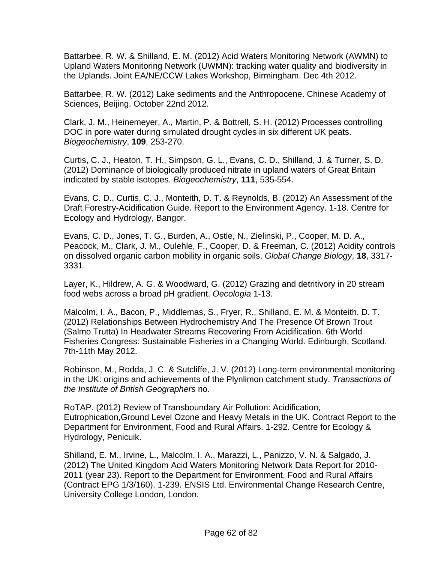Battarbee, R. W. & Shilland, E. M. (2012) Acid Waters Monitoring Network (AWMN) to Upland Waters Monitoring Network (UWMN): tracking water quality and biodiversity in the Uplands. Joint EA/NE/CCW Lakes Workshop, Birmingham. Dec 4th 2012.

Battarbee, R. W. (2012) Lake sediments and the Anthropocene. Chinese Academy of Sciences, Beijing. October 22nd 2012.

Clark, J. M., Heinemeyer, A., Martin, P. & Bottrell, S. H. (2012) Processes controlling DOC in pore water during simulated drought cycles in six different UK peats. *Biogeochemistry*, **109**, 253-270.

Curtis, C. J., Heaton, T. H., Simpson, G. L., Evans, C. D., Shilland, J. & Turner, S. D. (2012) Dominance of biologically produced nitrate in upland waters of Great Britain indicated by stable isotopes. *Biogeochemistry*, **111**, 535-554.

Evans, C. D., Curtis, C. J., Monteith, D. T. & Reynolds, B. (2012) An Assessment of the Draft Forestry-Acidification Guide. Report to the Environment Agency. 1-18. Centre for Ecology and Hydrology, Bangor.

Evans, C. D., Jones, T. G., Burden, A., Ostle, N., Zielinski, P., Cooper, M. D. A., Peacock, M., Clark, J. M., Oulehle, F., Cooper, D. & Freeman, C. (2012) Acidity controls on dissolved organic carbon mobility in organic soils. *Global Change Biology*, **18**, 3317- 3331.

Layer, K., Hildrew, A. G. & Woodward, G. (2012) Grazing and detritivory in 20 stream food webs across a broad pH gradient. *Oecologia* 1-13.

Malcolm, I. A., Bacon, P., Middlemas, S., Fryer, R., Shilland, E. M. & Monteith, D. T. (2012) Relationships Between Hydrochemistry And The Presence Of Brown Trout (Salmo Trutta) In Headwater Streams Recovering From Acidification. 6th World Fisheries Congress: Sustainable Fisheries in a Changing World. Edinburgh, Scotland. 7th-11th May 2012.

Robinson, M., Rodda, J. C. & Sutcliffe, J. V. (2012) Long-term environmental monitoring in the UK: origins and achievements of the Plynlimon catchment study. *Transactions of the Institute of British Geographers* no.

RoTAP. (2012) Review of Transboundary Air Pollution: Acidification, Eutrophication,Ground Level Ozone and Heavy Metals in the UK. Contract Report to the Department for Environment, Food and Rural Affairs. 1-292. Centre for Ecology & Hydrology, Penicuik.

Shilland, E. M., Irvine, L., Malcolm, I. A., Marazzi, L., Panizzo, V. N. & Salgado, J. (2012) The United Kingdom Acid Waters Monitoring Network Data Report for 2010- 2011 (year 23). Report to the Department for Environment, Food and Rural Affairs (Contract EPG 1/3/160). 1-239. ENSIS Ltd. Environmental Change Research Centre, University College London, London.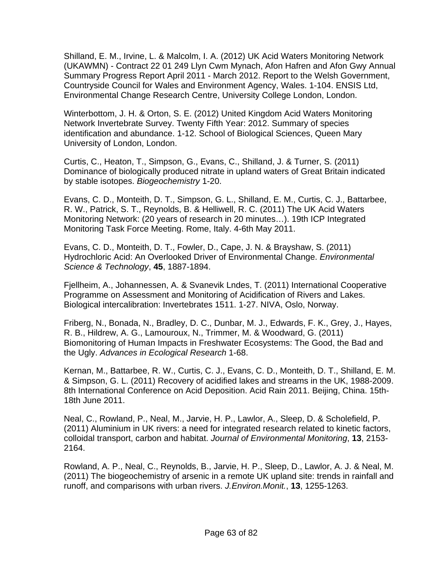Shilland, E. M., Irvine, L. & Malcolm, I. A. (2012) UK Acid Waters Monitoring Network (UKAWMN) - Contract 22 01 249 Llyn Cwm Mynach, Afon Hafren and Afon Gwy Annual Summary Progress Report April 2011 - March 2012. Report to the Welsh Government, Countryside Council for Wales and Environment Agency, Wales. 1-104. ENSIS Ltd, Environmental Change Research Centre, University College London, London.

Winterbottom, J. H. & Orton, S. E. (2012) United Kingdom Acid Waters Monitoring Network Invertebrate Survey. Twenty Fifth Year: 2012. Summary of species identification and abundance. 1-12. School of Biological Sciences, Queen Mary University of London, London.

Curtis, C., Heaton, T., Simpson, G., Evans, C., Shilland, J. & Turner, S. (2011) Dominance of biologically produced nitrate in upland waters of Great Britain indicated by stable isotopes. *Biogeochemistry* 1-20.

Evans, C. D., Monteith, D. T., Simpson, G. L., Shilland, E. M., Curtis, C. J., Battarbee, R. W., Patrick, S. T., Reynolds, B. & Helliwell, R. C. (2011) The UK Acid Waters Monitoring Network: (20 years of research in 20 minutes…). 19th ICP Integrated Monitoring Task Force Meeting. Rome, Italy. 4-6th May 2011.

Evans, C. D., Monteith, D. T., Fowler, D., Cape, J. N. & Brayshaw, S. (2011) Hydrochloric Acid: An Overlooked Driver of Environmental Change. *Environmental Science & Technology*, **45**, 1887-1894.

Fjellheim, A., Johannessen, A. & Svanevik Lndes, T. (2011) International Cooperative Programme on Assessment and Monitoring of Acidification of Rivers and Lakes. Biological intercalibration: Invertebrates 1511. 1-27. NIVA, Oslo, Norway.

Friberg, N., Bonada, N., Bradley, D. C., Dunbar, M. J., Edwards, F. K., Grey, J., Hayes, R. B., Hildrew, A. G., Lamouroux, N., Trimmer, M. & Woodward, G. (2011) Biomonitoring of Human Impacts in Freshwater Ecosystems: The Good, the Bad and the Ugly. *Advances in Ecological Research* 1-68.

Kernan, M., Battarbee, R. W., Curtis, C. J., Evans, C. D., Monteith, D. T., Shilland, E. M. & Simpson, G. L. (2011) Recovery of acidified lakes and streams in the UK, 1988-2009. 8th International Conference on Acid Deposition. Acid Rain 2011. Beijing, China. 15th-18th June 2011.

Neal, C., Rowland, P., Neal, M., Jarvie, H. P., Lawlor, A., Sleep, D. & Scholefield, P. (2011) Aluminium in UK rivers: a need for integrated research related to kinetic factors, colloidal transport, carbon and habitat. *Journal of Environmental Monitoring*, **13**, 2153- 2164.

Rowland, A. P., Neal, C., Reynolds, B., Jarvie, H. P., Sleep, D., Lawlor, A. J. & Neal, M. (2011) The biogeochemistry of arsenic in a remote UK upland site: trends in rainfall and runoff, and comparisons with urban rivers. *J.Environ.Monit.*, **13**, 1255-1263.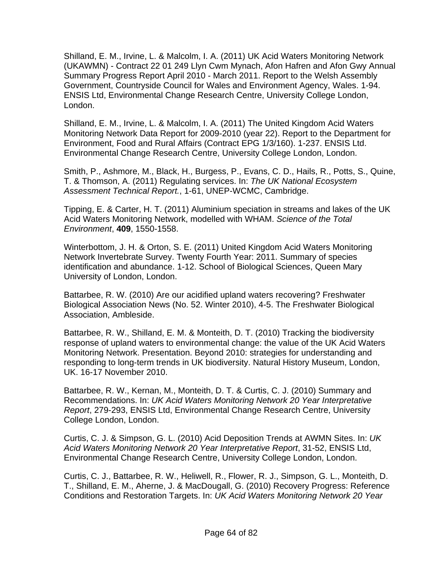Shilland, E. M., Irvine, L. & Malcolm, I. A. (2011) UK Acid Waters Monitoring Network (UKAWMN) - Contract 22 01 249 Llyn Cwm Mynach, Afon Hafren and Afon Gwy Annual Summary Progress Report April 2010 - March 2011. Report to the Welsh Assembly Government, Countryside Council for Wales and Environment Agency, Wales. 1-94. ENSIS Ltd, Environmental Change Research Centre, University College London, London.

Shilland, E. M., Irvine, L. & Malcolm, I. A. (2011) The United Kingdom Acid Waters Monitoring Network Data Report for 2009-2010 (year 22). Report to the Department for Environment, Food and Rural Affairs (Contract EPG 1/3/160). 1-237. ENSIS Ltd. Environmental Change Research Centre, University College London, London.

Smith, P., Ashmore, M., Black, H., Burgess, P., Evans, C. D., Hails, R., Potts, S., Quine, T. & Thomson, A. (2011) Regulating services. In: *The UK National Ecosystem Assessment Technical Report.*, 1-61, UNEP-WCMC, Cambridge.

Tipping, E. & Carter, H. T. (2011) Aluminium speciation in streams and lakes of the UK Acid Waters Monitoring Network, modelled with WHAM. *Science of the Total Environment*, **409**, 1550-1558.

Winterbottom, J. H. & Orton, S. E. (2011) United Kingdom Acid Waters Monitoring Network Invertebrate Survey. Twenty Fourth Year: 2011. Summary of species identification and abundance. 1-12. School of Biological Sciences, Queen Mary University of London, London.

Battarbee, R. W. (2010) Are our acidified upland waters recovering? Freshwater Biological Association News (No. 52. Winter 2010), 4-5. The Freshwater Biological Association, Ambleside.

Battarbee, R. W., Shilland, E. M. & Monteith, D. T. (2010) Tracking the biodiversity response of upland waters to environmental change: the value of the UK Acid Waters Monitoring Network. Presentation. Beyond 2010: strategies for understanding and responding to long-term trends in UK biodiversity. Natural History Museum, London, UK. 16-17 November 2010.

Battarbee, R. W., Kernan, M., Monteith, D. T. & Curtis, C. J. (2010) Summary and Recommendations. In: *UK Acid Waters Monitoring Network 20 Year Interpretative Report*, 279-293, ENSIS Ltd, Environmental Change Research Centre, University College London, London.

Curtis, C. J. & Simpson, G. L. (2010) Acid Deposition Trends at AWMN Sites. In: *UK Acid Waters Monitoring Network 20 Year Interpretative Report*, 31-52, ENSIS Ltd, Environmental Change Research Centre, University College London, London.

Curtis, C. J., Battarbee, R. W., Heliwell, R., Flower, R. J., Simpson, G. L., Monteith, D. T., Shilland, E. M., Aherne, J. & MacDougall, G. (2010) Recovery Progress: Reference Conditions and Restoration Targets. In: *UK Acid Waters Monitoring Network 20 Year*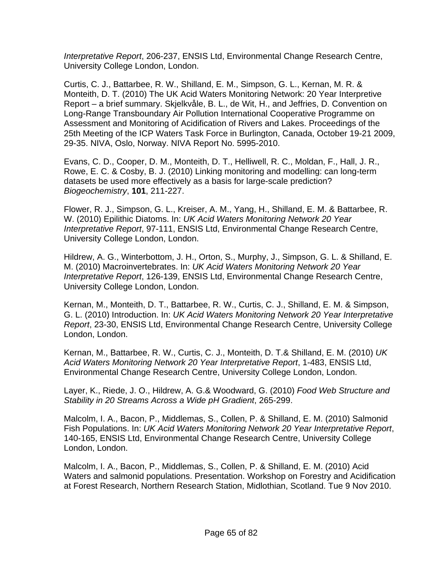*Interpretative Report*, 206-237, ENSIS Ltd, Environmental Change Research Centre, University College London, London.

Curtis, C. J., Battarbee, R. W., Shilland, E. M., Simpson, G. L., Kernan, M. R. & Monteith, D. T. (2010) The UK Acid Waters Monitoring Network: 20 Year Interpretive Report – a brief summary. Skjelkvåle, B. L., de Wit, H., and Jeffries, D. Convention on Long-Range Transboundary Air Pollution International Cooperative Programme on Assessment and Monitoring of Acidification of Rivers and Lakes. Proceedings of the 25th Meeting of the ICP Waters Task Force in Burlington, Canada, October 19-21 2009, 29-35. NIVA, Oslo, Norway. NIVA Report No. 5995-2010.

Evans, C. D., Cooper, D. M., Monteith, D. T., Helliwell, R. C., Moldan, F., Hall, J. R., Rowe, E. C. & Cosby, B. J. (2010) Linking monitoring and modelling: can long-term datasets be used more effectively as a basis for large-scale prediction? *Biogeochemistry*, **101**, 211-227.

Flower, R. J., Simpson, G. L., Kreiser, A. M., Yang, H., Shilland, E. M. & Battarbee, R. W. (2010) Epilithic Diatoms. In: *UK Acid Waters Monitoring Network 20 Year Interpretative Report*, 97-111, ENSIS Ltd, Environmental Change Research Centre, University College London, London.

Hildrew, A. G., Winterbottom, J. H., Orton, S., Murphy, J., Simpson, G. L. & Shilland, E. M. (2010) Macroinvertebrates. In: *UK Acid Waters Monitoring Network 20 Year Interpretative Report*, 126-139, ENSIS Ltd, Environmental Change Research Centre, University College London, London.

Kernan, M., Monteith, D. T., Battarbee, R. W., Curtis, C. J., Shilland, E. M. & Simpson, G. L. (2010) Introduction. In: *UK Acid Waters Monitoring Network 20 Year Interpretative Report*, 23-30, ENSIS Ltd, Environmental Change Research Centre, University College London, London.

Kernan, M., Battarbee, R. W., Curtis, C. J., Monteith, D. T.& Shilland, E. M. (2010) *UK Acid Waters Monitoring Network 20 Year Interpretative Report*, 1-483, ENSIS Ltd, Environmental Change Research Centre, University College London, London.

Layer, K., Riede, J. O., Hildrew, A. G.& Woodward, G. (2010) *Food Web Structure and Stability in 20 Streams Across a Wide pH Gradient*, 265-299.

Malcolm, I. A., Bacon, P., Middlemas, S., Collen, P. & Shilland, E. M. (2010) Salmonid Fish Populations. In: *UK Acid Waters Monitoring Network 20 Year Interpretative Report*, 140-165, ENSIS Ltd, Environmental Change Research Centre, University College London, London.

Malcolm, I. A., Bacon, P., Middlemas, S., Collen, P. & Shilland, E. M. (2010) Acid Waters and salmonid populations. Presentation. Workshop on Forestry and Acidification at Forest Research, Northern Research Station, Midlothian, Scotland. Tue 9 Nov 2010.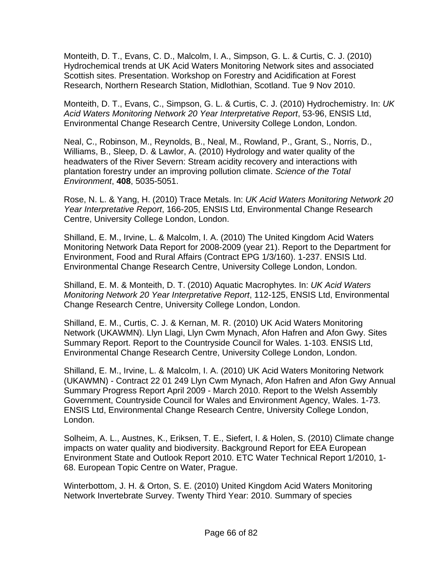Monteith, D. T., Evans, C. D., Malcolm, I. A., Simpson, G. L. & Curtis, C. J. (2010) Hydrochemical trends at UK Acid Waters Monitoring Network sites and associated Scottish sites. Presentation. Workshop on Forestry and Acidification at Forest Research, Northern Research Station, Midlothian, Scotland. Tue 9 Nov 2010.

Monteith, D. T., Evans, C., Simpson, G. L. & Curtis, C. J. (2010) Hydrochemistry. In: *UK Acid Waters Monitoring Network 20 Year Interpretative Report*, 53-96, ENSIS Ltd, Environmental Change Research Centre, University College London, London.

Neal, C., Robinson, M., Reynolds, B., Neal, M., Rowland, P., Grant, S., Norris, D., Williams, B., Sleep, D. & Lawlor, A. (2010) Hydrology and water quality of the headwaters of the River Severn: Stream acidity recovery and interactions with plantation forestry under an improving pollution climate. *Science of the Total Environment*, **408**, 5035-5051.

Rose, N. L. & Yang, H. (2010) Trace Metals. In: *UK Acid Waters Monitoring Network 20 Year Interpretative Report*, 166-205, ENSIS Ltd, Environmental Change Research Centre, University College London, London.

Shilland, E. M., Irvine, L. & Malcolm, I. A. (2010) The United Kingdom Acid Waters Monitoring Network Data Report for 2008-2009 (year 21). Report to the Department for Environment, Food and Rural Affairs (Contract EPG 1/3/160). 1-237. ENSIS Ltd. Environmental Change Research Centre, University College London, London.

Shilland, E. M. & Monteith, D. T. (2010) Aquatic Macrophytes. In: *UK Acid Waters Monitoring Network 20 Year Interpretative Report*, 112-125, ENSIS Ltd, Environmental Change Research Centre, University College London, London.

Shilland, E. M., Curtis, C. J. & Kernan, M. R. (2010) UK Acid Waters Monitoring Network (UKAWMN). Llyn Llagi, Llyn Cwm Mynach, Afon Hafren and Afon Gwy. Sites Summary Report. Report to the Countryside Council for Wales. 1-103. ENSIS Ltd, Environmental Change Research Centre, University College London, London.

Shilland, E. M., Irvine, L. & Malcolm, I. A. (2010) UK Acid Waters Monitoring Network (UKAWMN) - Contract 22 01 249 Llyn Cwm Mynach, Afon Hafren and Afon Gwy Annual Summary Progress Report April 2009 - March 2010. Report to the Welsh Assembly Government, Countryside Council for Wales and Environment Agency, Wales. 1-73. ENSIS Ltd, Environmental Change Research Centre, University College London, London.

Solheim, A. L., Austnes, K., Eriksen, T. E., Siefert, I. & Holen, S. (2010) Climate change impacts on water quality and biodiversity. Background Report for EEA European Environment State and Outlook Report 2010. ETC Water Technical Report 1/2010, 1- 68. European Topic Centre on Water, Prague.

Winterbottom, J. H. & Orton, S. E. (2010) United Kingdom Acid Waters Monitoring Network Invertebrate Survey. Twenty Third Year: 2010. Summary of species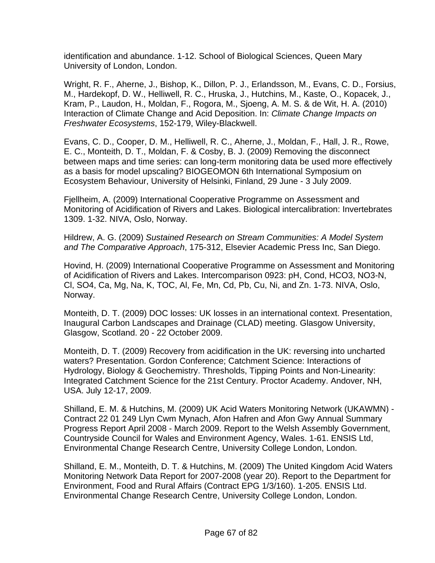identification and abundance. 1-12. School of Biological Sciences, Queen Mary University of London, London.

Wright, R. F., Aherne, J., Bishop, K., Dillon, P. J., Erlandsson, M., Evans, C. D., Forsius, M., Hardekopf, D. W., Helliwell, R. C., Hruska, J., Hutchins, M., Kaste, O., Kopacek, J., Kram, P., Laudon, H., Moldan, F., Rogora, M., Sjoeng, A. M. S. & de Wit, H. A. (2010) Interaction of Climate Change and Acid Deposition. In: *Climate Change Impacts on Freshwater Ecosystems*, 152-179, Wiley-Blackwell.

Evans, C. D., Cooper, D. M., Helliwell, R. C., Aherne, J., Moldan, F., Hall, J. R., Rowe, E. C., Monteith, D. T., Moldan, F. & Cosby, B. J. (2009) Removing the disconnect between maps and time series: can long-term monitoring data be used more effectively as a basis for model upscaling? BIOGEOMON 6th International Symposium on Ecosystem Behaviour, University of Helsinki, Finland, 29 June - 3 July 2009.

Fjellheim, A. (2009) International Cooperative Programme on Assessment and Monitoring of Acidification of Rivers and Lakes. Biological intercalibration: Invertebrates 1309. 1-32. NIVA, Oslo, Norway.

Hildrew, A. G. (2009) *Sustained Research on Stream Communities: A Model System and The Comparative Approach*, 175-312, Elsevier Academic Press Inc, San Diego.

Hovind, H. (2009) International Cooperative Programme on Assessment and Monitoring of Acidification of Rivers and Lakes. Intercomparison 0923: pH, Cond, HCO3, NO3-N, Cl, SO4, Ca, Mg, Na, K, TOC, Al, Fe, Mn, Cd, Pb, Cu, Ni, and Zn. 1-73. NIVA, Oslo, Norway.

Monteith, D. T. (2009) DOC losses: UK losses in an international context. Presentation, Inaugural Carbon Landscapes and Drainage (CLAD) meeting. Glasgow University, Glasgow, Scotland. 20 - 22 October 2009.

Monteith, D. T. (2009) Recovery from acidification in the UK: reversing into uncharted waters? Presentation. Gordon Conference; Catchment Science: Interactions of Hydrology, Biology & Geochemistry. Thresholds, Tipping Points and Non-Linearity: Integrated Catchment Science for the 21st Century. Proctor Academy. Andover, NH, USA. July 12-17, 2009.

Shilland, E. M. & Hutchins, M. (2009) UK Acid Waters Monitoring Network (UKAWMN) - Contract 22 01 249 Llyn Cwm Mynach, Afon Hafren and Afon Gwy Annual Summary Progress Report April 2008 - March 2009. Report to the Welsh Assembly Government, Countryside Council for Wales and Environment Agency, Wales. 1-61. ENSIS Ltd, Environmental Change Research Centre, University College London, London.

Shilland, E. M., Monteith, D. T. & Hutchins, M. (2009) The United Kingdom Acid Waters Monitoring Network Data Report for 2007-2008 (year 20). Report to the Department for Environment, Food and Rural Affairs (Contract EPG 1/3/160). 1-205. ENSIS Ltd. Environmental Change Research Centre, University College London, London.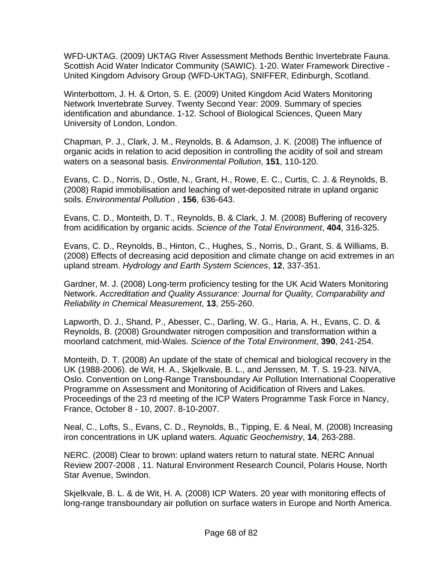WFD-UKTAG. (2009) UKTAG River Assessment Methods Benthic Invertebrate Fauna. Scottish Acid Water Indicator Community (SAWIC). 1-20. Water Framework Directive - United Kingdom Advisory Group (WFD-UKTAG), SNIFFER, Edinburgh, Scotland.

Winterbottom, J. H. & Orton, S. E. (2009) United Kingdom Acid Waters Monitoring Network Invertebrate Survey. Twenty Second Year: 2009. Summary of species identification and abundance. 1-12. School of Biological Sciences, Queen Mary University of London, London.

Chapman, P. J., Clark, J. M., Reynolds, B. & Adamson, J. K. (2008) The influence of organic acids in relation to acid deposition in controlling the acidity of soil and stream waters on a seasonal basis. *Environmental Pollution*, **151**, 110-120.

Evans, C. D., Norris, D., Ostle, N., Grant, H., Rowe, E. C., Curtis, C. J. & Reynolds, B. (2008) Rapid immobilisation and leaching of wet-deposited nitrate in upland organic soils. *Environmental Pollution* , **156**, 636-643.

Evans, C. D., Monteith, D. T., Reynolds, B. & Clark, J. M. (2008) Buffering of recovery from acidification by organic acids. *Science of the Total Environment*, **404**, 316-325.

Evans, C. D., Reynolds, B., Hinton, C., Hughes, S., Norris, D., Grant, S. & Williams, B. (2008) Effects of decreasing acid deposition and climate change on acid extremes in an upland stream. *Hydrology and Earth System Sciences*, **12**, 337-351.

Gardner, M. J. (2008) Long-term proficiency testing for the UK Acid Waters Monitoring Network. *Accreditation and Quality Assurance: Journal for Quality, Comparability and Reliability in Chemical Measurement*, **13**, 255-260.

Lapworth, D. J., Shand, P., Abesser, C., Darling, W. G., Haria, A. H., Evans, C. D. & Reynolds, B. (2008) Groundwater nitrogen composition and transformation within a moorland catchment, mid-Wales. *Science of the Total Environment*, **390**, 241-254.

Monteith, D. T. (2008) An update of the state of chemical and biological recovery in the UK (1988-2006). de Wit, H. A., Skjelkvale, B. L., and Jenssen, M. T. S. 19-23. NIVA, Oslo. Convention on Long-Range Transboundary Air Pollution International Cooperative Programme on Assessment and Monitoring of Acidification of Rivers and Lakes. Proceedings of the 23 rd meeting of the ICP Waters Programme Task Force in Nancy, France, October 8 - 10, 2007. 8-10-2007.

Neal, C., Lofts, S., Evans, C. D., Reynolds, B., Tipping, E. & Neal, M. (2008) Increasing iron concentrations in UK upland waters. *Aquatic Geochemistry*, **14**, 263-288.

NERC. (2008) Clear to brown: upland waters return to natural state. NERC Annual Review 2007-2008 , 11. Natural Environment Research Council, Polaris House, North Star Avenue, Swindon.

Skjelkvale, B. L. & de Wit, H. A. (2008) ICP Waters. 20 year with monitoring effects of long-range transboundary air pollution on surface waters in Europe and North America.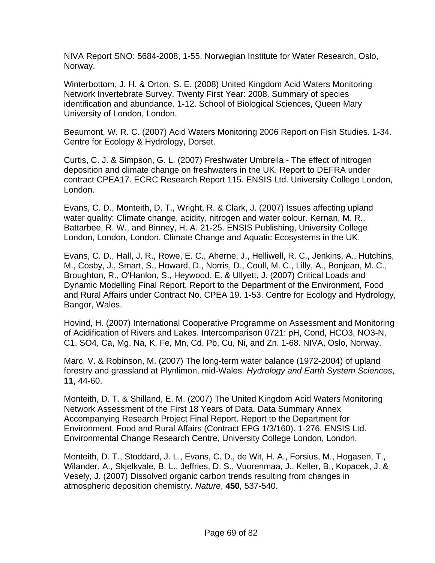NIVA Report SNO: 5684-2008, 1-55. Norwegian Institute for Water Research, Oslo, Norway.

Winterbottom, J. H. & Orton, S. E. (2008) United Kingdom Acid Waters Monitoring Network Invertebrate Survey. Twenty First Year: 2008. Summary of species identification and abundance. 1-12. School of Biological Sciences, Queen Mary University of London, London.

Beaumont, W. R. C. (2007) Acid Waters Monitoring 2006 Report on Fish Studies. 1-34. Centre for Ecology & Hydrology, Dorset.

Curtis, C. J. & Simpson, G. L. (2007) Freshwater Umbrella - The effect of nitrogen deposition and climate change on freshwaters in the UK. Report to DEFRA under contract CPEA17. ECRC Research Report 115. ENSIS Ltd. University College London, London.

Evans, C. D., Monteith, D. T., Wright, R. & Clark, J. (2007) Issues affecting upland water quality: Climate change, acidity, nitrogen and water colour. Kernan, M. R., Battarbee, R. W., and Binney, H. A. 21-25. ENSIS Publishing, University College London, London, London. Climate Change and Aquatic Ecosystems in the UK.

Evans, C. D., Hall, J. R., Rowe, E. C., Aherne, J., Helliwell, R. C., Jenkins, A., Hutchins, M., Cosby, J., Smart, S., Howard, D., Norris, D., Coull, M. C., Lilly, A., Bonjean, M. C., Broughton, R., O'Hanlon, S., Heywood, E. & Ullyett, J. (2007) Critical Loads and Dynamic Modelling Final Report. Report to the Department of the Environment, Food and Rural Affairs under Contract No. CPEA 19. 1-53. Centre for Ecology and Hydrology, Bangor, Wales.

Hovind, H. (2007) International Cooperative Programme on Assessment and Monitoring of Acidification of Rivers and Lakes. Intercomparison 0721: pH, Cond, HCO3, NO3-N, C1, SO4, Ca, Mg, Na, K, Fe, Mn, Cd, Pb, Cu, Ni, and Zn. 1-68. NIVA, Oslo, Norway.

Marc, V. & Robinson, M. (2007) The long-term water balance (1972-2004) of upland forestry and grassland at Plynlimon, mid-Wales. *Hydrology and Earth System Sciences*, **11**, 44-60.

Monteith, D. T. & Shilland, E. M. (2007) The United Kingdom Acid Waters Monitoring Network Assessment of the First 18 Years of Data. Data Summary Annex Accompanying Research Project Final Report. Report to the Department for Environment, Food and Rural Affairs (Contract EPG 1/3/160). 1-276. ENSIS Ltd. Environmental Change Research Centre, University College London, London.

Monteith, D. T., Stoddard, J. L., Evans, C. D., de Wit, H. A., Forsius, M., Hogasen, T., Wilander, A., Skjelkvale, B. L., Jeffries, D. S., Vuorenmaa, J., Keller, B., Kopacek, J. & Vesely, J. (2007) Dissolved organic carbon trends resulting from changes in atmospheric deposition chemistry. *Nature*, **450**, 537-540.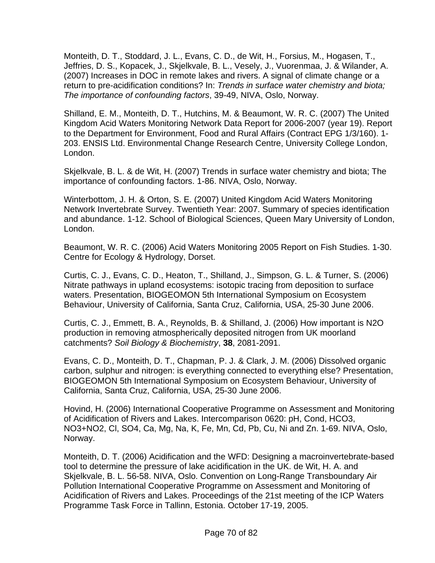Monteith, D. T., Stoddard, J. L., Evans, C. D., de Wit, H., Forsius, M., Hogasen, T., Jeffries, D. S., Kopacek, J., Skjelkvale, B. L., Vesely, J., Vuorenmaa, J. & Wilander, A. (2007) Increases in DOC in remote lakes and rivers. A signal of climate change or a return to pre-acidification conditions? In: *Trends in surface water chemistry and biota; The importance of confounding factors*, 39-49, NIVA, Oslo, Norway.

Shilland, E. M., Monteith, D. T., Hutchins, M. & Beaumont, W. R. C. (2007) The United Kingdom Acid Waters Monitoring Network Data Report for 2006-2007 (year 19). Report to the Department for Environment, Food and Rural Affairs (Contract EPG 1/3/160). 1- 203. ENSIS Ltd. Environmental Change Research Centre, University College London, London.

Skjelkvale, B. L. & de Wit, H. (2007) Trends in surface water chemistry and biota; The importance of confounding factors. 1-86. NIVA, Oslo, Norway.

Winterbottom, J. H. & Orton, S. E. (2007) United Kingdom Acid Waters Monitoring Network Invertebrate Survey. Twentieth Year: 2007. Summary of species identification and abundance. 1-12. School of Biological Sciences, Queen Mary University of London, London.

Beaumont, W. R. C. (2006) Acid Waters Monitoring 2005 Report on Fish Studies. 1-30. Centre for Ecology & Hydrology, Dorset.

Curtis, C. J., Evans, C. D., Heaton, T., Shilland, J., Simpson, G. L. & Turner, S. (2006) Nitrate pathways in upland ecosystems: isotopic tracing from deposition to surface waters. Presentation, BIOGEOMON 5th International Symposium on Ecosystem Behaviour, University of California, Santa Cruz, California, USA, 25-30 June 2006.

Curtis, C. J., Emmett, B. A., Reynolds, B. & Shilland, J. (2006) How important is N2O production in removing atmospherically deposited nitrogen from UK moorland catchments? *Soil Biology & Biochemistry*, **38**, 2081-2091.

Evans, C. D., Monteith, D. T., Chapman, P. J. & Clark, J. M. (2006) Dissolved organic carbon, sulphur and nitrogen: is everything connected to everything else? Presentation, BIOGEOMON 5th International Symposium on Ecosystem Behaviour, University of California, Santa Cruz, California, USA, 25-30 June 2006.

Hovind, H. (2006) International Cooperative Programme on Assessment and Monitoring of Acidification of Rivers and Lakes. Intercomparison 0620: pH, Cond, HCO3, NO3+NO2, Cl, SO4, Ca, Mg, Na, K, Fe, Mn, Cd, Pb, Cu, Ni and Zn. 1-69. NIVA, Oslo, Norway.

Monteith, D. T. (2006) Acidification and the WFD: Designing a macroinvertebrate-based tool to determine the pressure of lake acidification in the UK. de Wit, H. A. and Skjelkvale, B. L. 56-58. NIVA, Oslo. Convention on Long-Range Transboundary Air Pollution International Cooperative Programme on Assessment and Monitoring of Acidification of Rivers and Lakes. Proceedings of the 21st meeting of the ICP Waters Programme Task Force in Tallinn, Estonia. October 17-19, 2005.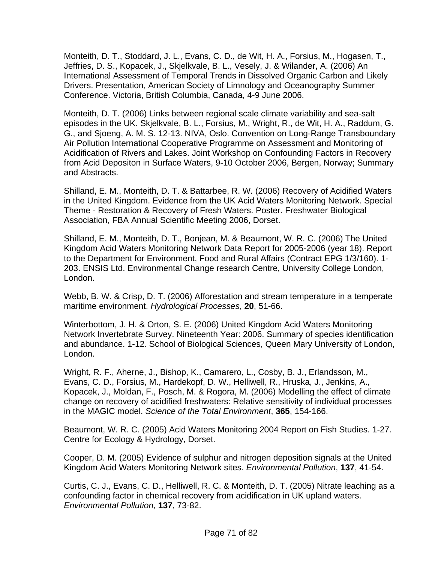Monteith, D. T., Stoddard, J. L., Evans, C. D., de Wit, H. A., Forsius, M., Hogasen, T., Jeffries, D. S., Kopacek, J., Skjelkvale, B. L., Vesely, J. & Wilander, A. (2006) An International Assessment of Temporal Trends in Dissolved Organic Carbon and Likely Drivers. Presentation, American Society of Limnology and Oceanography Summer Conference. Victoria, British Columbia, Canada, 4-9 June 2006.

Monteith, D. T. (2006) Links between regional scale climate variability and sea-salt episodes in the UK. Skjelkvale, B. L., Forsius, M., Wright, R., de Wit, H. A., Raddum, G. G., and Sjoeng, A. M. S. 12-13. NIVA, Oslo. Convention on Long-Range Transboundary Air Pollution International Cooperative Programme on Assessment and Monitoring of Acidification of Rivers and Lakes. Joint Workshop on Confounding Factors in Recovery from Acid Depositon in Surface Waters, 9-10 October 2006, Bergen, Norway; Summary and Abstracts.

Shilland, E. M., Monteith, D. T. & Battarbee, R. W. (2006) Recovery of Acidified Waters in the United Kingdom. Evidence from the UK Acid Waters Monitoring Network. Special Theme - Restoration & Recovery of Fresh Waters. Poster. Freshwater Biological Association, FBA Annual Scientific Meeting 2006, Dorset.

Shilland, E. M., Monteith, D. T., Bonjean, M. & Beaumont, W. R. C. (2006) The United Kingdom Acid Waters Monitoring Network Data Report for 2005-2006 (year 18). Report to the Department for Environment, Food and Rural Affairs (Contract EPG 1/3/160). 1- 203. ENSIS Ltd. Environmental Change research Centre, University College London, London.

Webb, B. W. & Crisp, D. T. (2006) Afforestation and stream temperature in a temperate maritime environment. *Hydrological Processes*, **20**, 51-66.

Winterbottom, J. H. & Orton, S. E. (2006) United Kingdom Acid Waters Monitoring Network Invertebrate Survey. Nineteenth Year: 2006. Summary of species identification and abundance. 1-12. School of Biological Sciences, Queen Mary University of London, London.

Wright, R. F., Aherne, J., Bishop, K., Camarero, L., Cosby, B. J., Erlandsson, M., Evans, C. D., Forsius, M., Hardekopf, D. W., Helliwell, R., Hruska, J., Jenkins, A., Kopacek, J., Moldan, F., Posch, M. & Rogora, M. (2006) Modelling the effect of climate change on recovery of acidified freshwaters: Relative sensitivity of individual processes in the MAGIC model. *Science of the Total Environment*, **365**, 154-166.

Beaumont, W. R. C. (2005) Acid Waters Monitoring 2004 Report on Fish Studies. 1-27. Centre for Ecology & Hydrology, Dorset.

Cooper, D. M. (2005) Evidence of sulphur and nitrogen deposition signals at the United Kingdom Acid Waters Monitoring Network sites. *Environmental Pollution*, **137**, 41-54.

Curtis, C. J., Evans, C. D., Helliwell, R. C. & Monteith, D. T. (2005) Nitrate leaching as a confounding factor in chemical recovery from acidification in UK upland waters. *Environmental Pollution*, **137**, 73-82.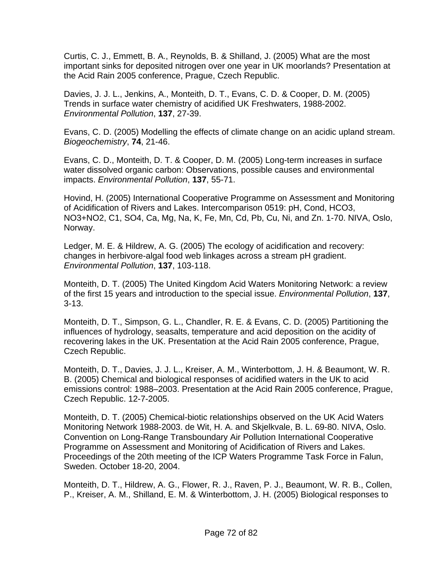Curtis, C. J., Emmett, B. A., Reynolds, B. & Shilland, J. (2005) What are the most important sinks for deposited nitrogen over one year in UK moorlands? Presentation at the Acid Rain 2005 conference, Prague, Czech Republic.

Davies, J. J. L., Jenkins, A., Monteith, D. T., Evans, C. D. & Cooper, D. M. (2005) Trends in surface water chemistry of acidified UK Freshwaters, 1988-2002. *Environmental Pollution*, **137**, 27-39.

Evans, C. D. (2005) Modelling the effects of climate change on an acidic upland stream. *Biogeochemistry*, **74**, 21-46.

Evans, C. D., Monteith, D. T. & Cooper, D. M. (2005) Long-term increases in surface water dissolved organic carbon: Observations, possible causes and environmental impacts. *Environmental Pollution*, **137**, 55-71.

Hovind, H. (2005) International Cooperative Programme on Assessment and Monitoring of Acidification of Rivers and Lakes. Intercomparison 0519: pH, Cond, HCO3, NO3+NO2, C1, SO4, Ca, Mg, Na, K, Fe, Mn, Cd, Pb, Cu, Ni, and Zn. 1-70. NIVA, Oslo, Norway.

Ledger, M. E. & Hildrew, A. G. (2005) The ecology of acidification and recovery: changes in herbivore-algal food web linkages across a stream pH gradient. *Environmental Pollution*, **137**, 103-118.

Monteith, D. T. (2005) The United Kingdom Acid Waters Monitoring Network: a review of the first 15 years and introduction to the special issue. *Environmental Pollution*, **137**, 3-13.

Monteith, D. T., Simpson, G. L., Chandler, R. E. & Evans, C. D. (2005) Partitioning the influences of hydrology, seasalts, temperature and acid deposition on the acidity of recovering lakes in the UK. Presentation at the Acid Rain 2005 conference, Prague, Czech Republic.

Monteith, D. T., Davies, J. J. L., Kreiser, A. M., Winterbottom, J. H. & Beaumont, W. R. B. (2005) Chemical and biological responses of acidified waters in the UK to acid emissions control: 1988–2003. Presentation at the Acid Rain 2005 conference, Prague, Czech Republic. 12-7-2005.

Monteith, D. T. (2005) Chemical-biotic relationships observed on the UK Acid Waters Monitoring Network 1988-2003. de Wit, H. A. and Skjelkvale, B. L. 69-80. NIVA, Oslo. Convention on Long-Range Transboundary Air Pollution International Cooperative Programme on Assessment and Monitoring of Acidification of Rivers and Lakes. Proceedings of the 20th meeting of the ICP Waters Programme Task Force in Falun, Sweden. October 18-20, 2004.

Monteith, D. T., Hildrew, A. G., Flower, R. J., Raven, P. J., Beaumont, W. R. B., Collen, P., Kreiser, A. M., Shilland, E. M. & Winterbottom, J. H. (2005) Biological responses to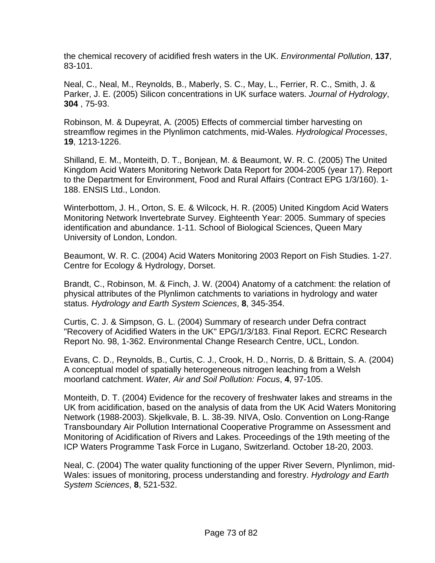the chemical recovery of acidified fresh waters in the UK. *Environmental Pollution*, **137**, 83-101.

Neal, C., Neal, M., Reynolds, B., Maberly, S. C., May, L., Ferrier, R. C., Smith, J. & Parker, J. E. (2005) Silicon concentrations in UK surface waters. *Journal of Hydrology*, **304** , 75-93.

Robinson, M. & Dupeyrat, A. (2005) Effects of commercial timber harvesting on streamflow regimes in the Plynlimon catchments, mid-Wales. *Hydrological Processes*, **19**, 1213-1226.

Shilland, E. M., Monteith, D. T., Bonjean, M. & Beaumont, W. R. C. (2005) The United Kingdom Acid Waters Monitoring Network Data Report for 2004-2005 (year 17). Report to the Department for Environment, Food and Rural Affairs (Contract EPG 1/3/160). 1- 188. ENSIS Ltd., London.

Winterbottom, J. H., Orton, S. E. & Wilcock, H. R. (2005) United Kingdom Acid Waters Monitoring Network Invertebrate Survey. Eighteenth Year: 2005. Summary of species identification and abundance. 1-11. School of Biological Sciences, Queen Mary University of London, London.

Beaumont, W. R. C. (2004) Acid Waters Monitoring 2003 Report on Fish Studies. 1-27. Centre for Ecology & Hydrology, Dorset.

Brandt, C., Robinson, M. & Finch, J. W. (2004) Anatomy of a catchment: the relation of physical attributes of the Plynlimon catchments to variations in hydrology and water status. *Hydrology and Earth System Sciences*, **8**, 345-354.

Curtis, C. J. & Simpson, G. L. (2004) Summary of research under Defra contract "Recovery of Acidified Waters in the UK" EPG/1/3/183. Final Report. ECRC Research Report No. 98, 1-362. Environmental Change Research Centre, UCL, London.

Evans, C. D., Reynolds, B., Curtis, C. J., Crook, H. D., Norris, D. & Brittain, S. A. (2004) A conceptual model of spatially heterogeneous nitrogen leaching from a Welsh moorland catchment. *Water, Air and Soil Pollution: Focus*, **4**, 97-105.

Monteith, D. T. (2004) Evidence for the recovery of freshwater lakes and streams in the UK from acidification, based on the analysis of data from the UK Acid Waters Monitoring Network (1988-2003). Skjelkvale, B. L. 38-39. NIVA, Oslo. Convention on Long-Range Transboundary Air Pollution International Cooperative Programme on Assessment and Monitoring of Acidification of Rivers and Lakes. Proceedings of the 19th meeting of the ICP Waters Programme Task Force in Lugano, Switzerland. October 18-20, 2003.

Neal, C. (2004) The water quality functioning of the upper River Severn, Plynlimon, mid-Wales: issues of monitoring, process understanding and forestry. *Hydrology and Earth System Sciences*, **8**, 521-532.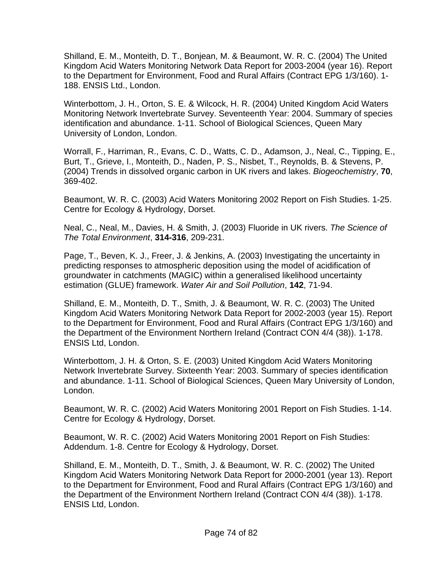Shilland, E. M., Monteith, D. T., Bonjean, M. & Beaumont, W. R. C. (2004) The United Kingdom Acid Waters Monitoring Network Data Report for 2003-2004 (year 16). Report to the Department for Environment, Food and Rural Affairs (Contract EPG 1/3/160). 1- 188. ENSIS Ltd., London.

Winterbottom, J. H., Orton, S. E. & Wilcock, H. R. (2004) United Kingdom Acid Waters Monitoring Network Invertebrate Survey. Seventeenth Year: 2004. Summary of species identification and abundance. 1-11. School of Biological Sciences, Queen Mary University of London, London.

Worrall, F., Harriman, R., Evans, C. D., Watts, C. D., Adamson, J., Neal, C., Tipping, E., Burt, T., Grieve, I., Monteith, D., Naden, P. S., Nisbet, T., Reynolds, B. & Stevens, P. (2004) Trends in dissolved organic carbon in UK rivers and lakes. *Biogeochemistry*, **70**, 369-402.

Beaumont, W. R. C. (2003) Acid Waters Monitoring 2002 Report on Fish Studies. 1-25. Centre for Ecology & Hydrology, Dorset.

Neal, C., Neal, M., Davies, H. & Smith, J. (2003) Fluoride in UK rivers. *The Science of The Total Environment*, **314-316**, 209-231.

Page, T., Beven, K. J., Freer, J. & Jenkins, A. (2003) Investigating the uncertainty in predicting responses to atmospheric deposition using the model of acidification of groundwater in catchments (MAGIC) within a generalised likelihood uncertainty estimation (GLUE) framework. *Water Air and Soil Pollution*, **142**, 71-94.

Shilland, E. M., Monteith, D. T., Smith, J. & Beaumont, W. R. C. (2003) The United Kingdom Acid Waters Monitoring Network Data Report for 2002-2003 (year 15). Report to the Department for Environment, Food and Rural Affairs (Contract EPG 1/3/160) and the Department of the Environment Northern Ireland (Contract CON 4/4 (38)). 1-178. ENSIS Ltd, London.

Winterbottom, J. H. & Orton, S. E. (2003) United Kingdom Acid Waters Monitoring Network Invertebrate Survey. Sixteenth Year: 2003. Summary of species identification and abundance. 1-11. School of Biological Sciences, Queen Mary University of London, London.

Beaumont, W. R. C. (2002) Acid Waters Monitoring 2001 Report on Fish Studies. 1-14. Centre for Ecology & Hydrology, Dorset.

Beaumont, W. R. C. (2002) Acid Waters Monitoring 2001 Report on Fish Studies: Addendum. 1-8. Centre for Ecology & Hydrology, Dorset.

Shilland, E. M., Monteith, D. T., Smith, J. & Beaumont, W. R. C. (2002) The United Kingdom Acid Waters Monitoring Network Data Report for 2000-2001 (year 13). Report to the Department for Environment, Food and Rural Affairs (Contract EPG 1/3/160) and the Department of the Environment Northern Ireland (Contract CON 4/4 (38)). 1-178. ENSIS Ltd, London.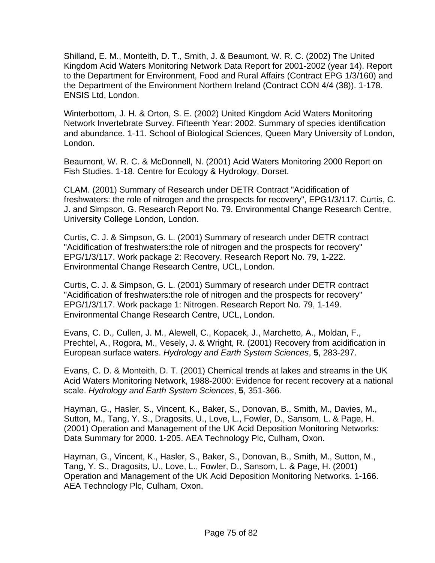Shilland, E. M., Monteith, D. T., Smith, J. & Beaumont, W. R. C. (2002) The United Kingdom Acid Waters Monitoring Network Data Report for 2001-2002 (year 14). Report to the Department for Environment, Food and Rural Affairs (Contract EPG 1/3/160) and the Department of the Environment Northern Ireland (Contract CON 4/4 (38)). 1-178. ENSIS Ltd, London.

Winterbottom, J. H. & Orton, S. E. (2002) United Kingdom Acid Waters Monitoring Network Invertebrate Survey. Fifteenth Year: 2002. Summary of species identification and abundance. 1-11. School of Biological Sciences, Queen Mary University of London, London.

Beaumont, W. R. C. & McDonnell, N. (2001) Acid Waters Monitoring 2000 Report on Fish Studies. 1-18. Centre for Ecology & Hydrology, Dorset.

CLAM. (2001) Summary of Research under DETR Contract "Acidification of freshwaters: the role of nitrogen and the prospects for recovery", EPG1/3/117. Curtis, C. J. and Simpson, G. Research Report No. 79. Environmental Change Research Centre, University College London, London.

Curtis, C. J. & Simpson, G. L. (2001) Summary of research under DETR contract "Acidification of freshwaters:the role of nitrogen and the prospects for recovery" EPG/1/3/117. Work package 2: Recovery. Research Report No. 79, 1-222. Environmental Change Research Centre, UCL, London.

Curtis, C. J. & Simpson, G. L. (2001) Summary of research under DETR contract "Acidification of freshwaters:the role of nitrogen and the prospects for recovery" EPG/1/3/117. Work package 1: Nitrogen. Research Report No. 79, 1-149. Environmental Change Research Centre, UCL, London.

Evans, C. D., Cullen, J. M., Alewell, C., Kopacek, J., Marchetto, A., Moldan, F., Prechtel, A., Rogora, M., Vesely, J. & Wright, R. (2001) Recovery from acidification in European surface waters. *Hydrology and Earth System Sciences*, **5**, 283-297.

Evans, C. D. & Monteith, D. T. (2001) Chemical trends at lakes and streams in the UK Acid Waters Monitoring Network, 1988-2000: Evidence for recent recovery at a national scale. *Hydrology and Earth System Sciences*, **5**, 351-366.

Hayman, G., Hasler, S., Vincent, K., Baker, S., Donovan, B., Smith, M., Davies, M., Sutton, M., Tang, Y. S., Dragosits, U., Love, L., Fowler, D., Sansom, L. & Page, H. (2001) Operation and Management of the UK Acid Deposition Monitoring Networks: Data Summary for 2000. 1-205. AEA Technology Plc, Culham, Oxon.

Hayman, G., Vincent, K., Hasler, S., Baker, S., Donovan, B., Smith, M., Sutton, M., Tang, Y. S., Dragosits, U., Love, L., Fowler, D., Sansom, L. & Page, H. (2001) Operation and Management of the UK Acid Deposition Monitoring Networks. 1-166. AEA Technology Plc, Culham, Oxon.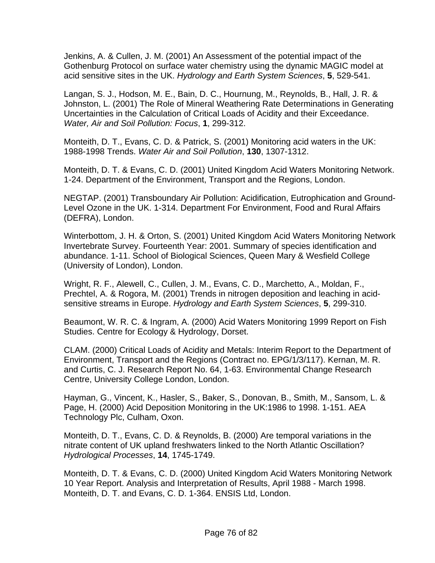Jenkins, A. & Cullen, J. M. (2001) An Assessment of the potential impact of the Gothenburg Protocol on surface water chemistry using the dynamic MAGIC model at acid sensitive sites in the UK. *Hydrology and Earth System Sciences*, **5**, 529-541.

Langan, S. J., Hodson, M. E., Bain, D. C., Hournung, M., Reynolds, B., Hall, J. R. & Johnston, L. (2001) The Role of Mineral Weathering Rate Determinations in Generating Uncertainties in the Calculation of Critical Loads of Acidity and their Exceedance. *Water, Air and Soil Pollution: Focus*, **1**, 299-312.

Monteith, D. T., Evans, C. D. & Patrick, S. (2001) Monitoring acid waters in the UK: 1988-1998 Trends. *Water Air and Soil Pollution*, **130**, 1307-1312.

Monteith, D. T. & Evans, C. D. (2001) United Kingdom Acid Waters Monitoring Network. 1-24. Department of the Environment, Transport and the Regions, London.

NEGTAP. (2001) Transboundary Air Pollution: Acidification, Eutrophication and Ground-Level Ozone in the UK. 1-314. Department For Environment, Food and Rural Affairs (DEFRA), London.

Winterbottom, J. H. & Orton, S. (2001) United Kingdom Acid Waters Monitoring Network Invertebrate Survey. Fourteenth Year: 2001. Summary of species identification and abundance. 1-11. School of Biological Sciences, Queen Mary & Wesfield College (University of London), London.

Wright, R. F., Alewell, C., Cullen, J. M., Evans, C. D., Marchetto, A., Moldan, F., Prechtel, A. & Rogora, M. (2001) Trends in nitrogen deposition and leaching in acidsensitive streams in Europe. *Hydrology and Earth System Sciences*, **5**, 299-310.

Beaumont, W. R. C. & Ingram, A. (2000) Acid Waters Monitoring 1999 Report on Fish Studies. Centre for Ecology & Hydrology, Dorset.

CLAM. (2000) Critical Loads of Acidity and Metals: Interim Report to the Department of Environment, Transport and the Regions (Contract no. EPG/1/3/117). Kernan, M. R. and Curtis, C. J. Research Report No. 64, 1-63. Environmental Change Research Centre, University College London, London.

Hayman, G., Vincent, K., Hasler, S., Baker, S., Donovan, B., Smith, M., Sansom, L. & Page, H. (2000) Acid Deposition Monitoring in the UK:1986 to 1998. 1-151. AEA Technology Plc, Culham, Oxon.

Monteith, D. T., Evans, C. D. & Reynolds, B. (2000) Are temporal variations in the nitrate content of UK upland freshwaters linked to the North Atlantic Oscillation? *Hydrological Processes*, **14**, 1745-1749.

Monteith, D. T. & Evans, C. D. (2000) United Kingdom Acid Waters Monitoring Network 10 Year Report. Analysis and Interpretation of Results, April 1988 - March 1998. Monteith, D. T. and Evans, C. D. 1-364. ENSIS Ltd, London.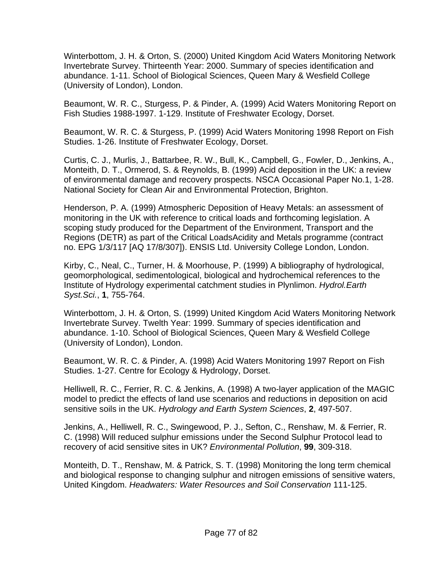Winterbottom, J. H. & Orton, S. (2000) United Kingdom Acid Waters Monitoring Network Invertebrate Survey. Thirteenth Year: 2000. Summary of species identification and abundance. 1-11. School of Biological Sciences, Queen Mary & Wesfield College (University of London), London.

Beaumont, W. R. C., Sturgess, P. & Pinder, A. (1999) Acid Waters Monitoring Report on Fish Studies 1988-1997. 1-129. Institute of Freshwater Ecology, Dorset.

Beaumont, W. R. C. & Sturgess, P. (1999) Acid Waters Monitoring 1998 Report on Fish Studies. 1-26. Institute of Freshwater Ecology, Dorset.

Curtis, C. J., Murlis, J., Battarbee, R. W., Bull, K., Campbell, G., Fowler, D., Jenkins, A., Monteith, D. T., Ormerod, S. & Reynolds, B. (1999) Acid deposition in the UK: a review of environmental damage and recovery prospects. NSCA Occasional Paper No.1, 1-28. National Society for Clean Air and Environmental Protection, Brighton.

Henderson, P. A. (1999) Atmospheric Deposition of Heavy Metals: an assessment of monitoring in the UK with reference to critical loads and forthcoming legislation. A scoping study produced for the Department of the Environment, Transport and the Regions (DETR) as part of the Critical LoadsAcidity and Metals programme (contract no. EPG 1/3/117 [AQ 17/8/307]). ENSIS Ltd. University College London, London.

Kirby, C., Neal, C., Turner, H. & Moorhouse, P. (1999) A bibliography of hydrological, geomorphological, sedimentological, biological and hydrochemical references to the Institute of Hydrology experimental catchment studies in Plynlimon. *Hydrol.Earth Syst.Sci.*, **1**, 755-764.

Winterbottom, J. H. & Orton, S. (1999) United Kingdom Acid Waters Monitoring Network Invertebrate Survey. Twelth Year: 1999. Summary of species identification and abundance. 1-10. School of Biological Sciences, Queen Mary & Wesfield College (University of London), London.

Beaumont, W. R. C. & Pinder, A. (1998) Acid Waters Monitoring 1997 Report on Fish Studies. 1-27. Centre for Ecology & Hydrology, Dorset.

Helliwell, R. C., Ferrier, R. C. & Jenkins, A. (1998) A two-layer application of the MAGIC model to predict the effects of land use scenarios and reductions in deposition on acid sensitive soils in the UK. *Hydrology and Earth System Sciences*, **2**, 497-507.

Jenkins, A., Helliwell, R. C., Swingewood, P. J., Sefton, C., Renshaw, M. & Ferrier, R. C. (1998) Will reduced sulphur emissions under the Second Sulphur Protocol lead to recovery of acid sensitive sites in UK? *Environmental Pollution*, **99**, 309-318.

Monteith, D. T., Renshaw, M. & Patrick, S. T. (1998) Monitoring the long term chemical and biological response to changing sulphur and nitrogen emissions of sensitive waters, United Kingdom. *Headwaters: Water Resources and Soil Conservation* 111-125.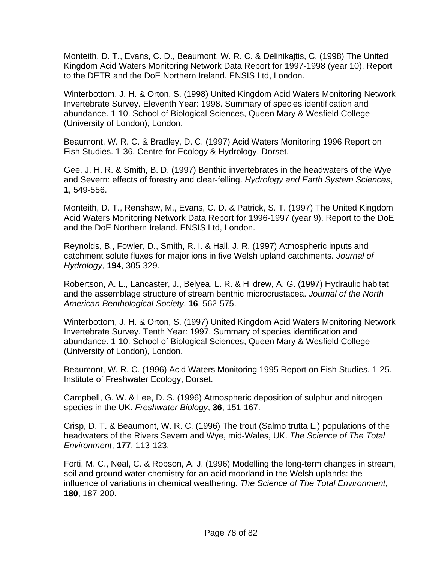Monteith, D. T., Evans, C. D., Beaumont, W. R. C. & Delinikajtis, C. (1998) The United Kingdom Acid Waters Monitoring Network Data Report for 1997-1998 (year 10). Report to the DETR and the DoE Northern Ireland. ENSIS Ltd, London.

Winterbottom, J. H. & Orton, S. (1998) United Kingdom Acid Waters Monitoring Network Invertebrate Survey. Eleventh Year: 1998. Summary of species identification and abundance. 1-10. School of Biological Sciences, Queen Mary & Wesfield College (University of London), London.

Beaumont, W. R. C. & Bradley, D. C. (1997) Acid Waters Monitoring 1996 Report on Fish Studies. 1-36. Centre for Ecology & Hydrology, Dorset.

Gee, J. H. R. & Smith, B. D. (1997) Benthic invertebrates in the headwaters of the Wye and Severn: effects of forestry and clear-felling. *Hydrology and Earth System Sciences*, **1**, 549-556.

Monteith, D. T., Renshaw, M., Evans, C. D. & Patrick, S. T. (1997) The United Kingdom Acid Waters Monitoring Network Data Report for 1996-1997 (year 9). Report to the DoE and the DoE Northern Ireland. ENSIS Ltd, London.

Reynolds, B., Fowler, D., Smith, R. I. & Hall, J. R. (1997) Atmospheric inputs and catchment solute fluxes for major ions in five Welsh upland catchments. *Journal of Hydrology*, **194**, 305-329.

Robertson, A. L., Lancaster, J., Belyea, L. R. & Hildrew, A. G. (1997) Hydraulic habitat and the assemblage structure of stream benthic microcrustacea. *Journal of the North American Benthological Society*, **16**, 562-575.

Winterbottom, J. H. & Orton, S. (1997) United Kingdom Acid Waters Monitoring Network Invertebrate Survey. Tenth Year: 1997. Summary of species identification and abundance. 1-10. School of Biological Sciences, Queen Mary & Wesfield College (University of London), London.

Beaumont, W. R. C. (1996) Acid Waters Monitoring 1995 Report on Fish Studies. 1-25. Institute of Freshwater Ecology, Dorset.

Campbell, G. W. & Lee, D. S. (1996) Atmospheric deposition of sulphur and nitrogen species in the UK. *Freshwater Biology*, **36**, 151-167.

Crisp, D. T. & Beaumont, W. R. C. (1996) The trout (Salmo trutta L.) populations of the headwaters of the Rivers Severn and Wye, mid-Wales, UK. *The Science of The Total Environment*, **177**, 113-123.

Forti, M. C., Neal, C. & Robson, A. J. (1996) Modelling the long-term changes in stream, soil and ground water chemistry for an acid moorland in the Welsh uplands: the influence of variations in chemical weathering. *The Science of The Total Environment*, **180**, 187-200.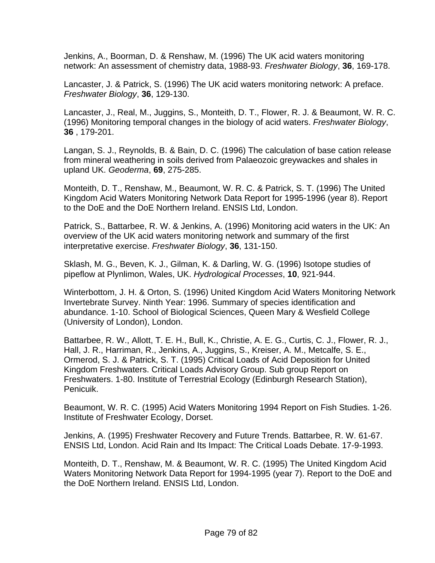Jenkins, A., Boorman, D. & Renshaw, M. (1996) The UK acid waters monitoring network: An assessment of chemistry data, 1988-93. *Freshwater Biology*, **36**, 169-178.

Lancaster, J. & Patrick, S. (1996) The UK acid waters monitoring network: A preface. *Freshwater Biology*, **36**, 129-130.

Lancaster, J., Real, M., Juggins, S., Monteith, D. T., Flower, R. J. & Beaumont, W. R. C. (1996) Monitoring temporal changes in the biology of acid waters. *Freshwater Biology*, **36** , 179-201.

Langan, S. J., Reynolds, B. & Bain, D. C. (1996) The calculation of base cation release from mineral weathering in soils derived from Palaeozoic greywackes and shales in upland UK. *Geoderma*, **69**, 275-285.

Monteith, D. T., Renshaw, M., Beaumont, W. R. C. & Patrick, S. T. (1996) The United Kingdom Acid Waters Monitoring Network Data Report for 1995-1996 (year 8). Report to the DoE and the DoE Northern Ireland. ENSIS Ltd, London.

Patrick, S., Battarbee, R. W. & Jenkins, A. (1996) Monitoring acid waters in the UK: An overview of the UK acid waters monitoring network and summary of the first interpretative exercise. *Freshwater Biology*, **36**, 131-150.

Sklash, M. G., Beven, K. J., Gilman, K. & Darling, W. G. (1996) Isotope studies of pipeflow at Plynlimon, Wales, UK. *Hydrological Processes*, **10**, 921-944.

Winterbottom, J. H. & Orton, S. (1996) United Kingdom Acid Waters Monitoring Network Invertebrate Survey. Ninth Year: 1996. Summary of species identification and abundance. 1-10. School of Biological Sciences, Queen Mary & Wesfield College (University of London), London.

Battarbee, R. W., Allott, T. E. H., Bull, K., Christie, A. E. G., Curtis, C. J., Flower, R. J., Hall, J. R., Harriman, R., Jenkins, A., Juggins, S., Kreiser, A. M., Metcalfe, S. E., Ormerod, S. J. & Patrick, S. T. (1995) Critical Loads of Acid Deposition for United Kingdom Freshwaters. Critical Loads Advisory Group. Sub group Report on Freshwaters. 1-80. Institute of Terrestrial Ecology (Edinburgh Research Station), Penicuik.

Beaumont, W. R. C. (1995) Acid Waters Monitoring 1994 Report on Fish Studies. 1-26. Institute of Freshwater Ecology, Dorset.

Jenkins, A. (1995) Freshwater Recovery and Future Trends. Battarbee, R. W. 61-67. ENSIS Ltd, London. Acid Rain and Its Impact: The Critical Loads Debate. 17-9-1993.

Monteith, D. T., Renshaw, M. & Beaumont, W. R. C. (1995) The United Kingdom Acid Waters Monitoring Network Data Report for 1994-1995 (year 7). Report to the DoE and the DoE Northern Ireland. ENSIS Ltd, London.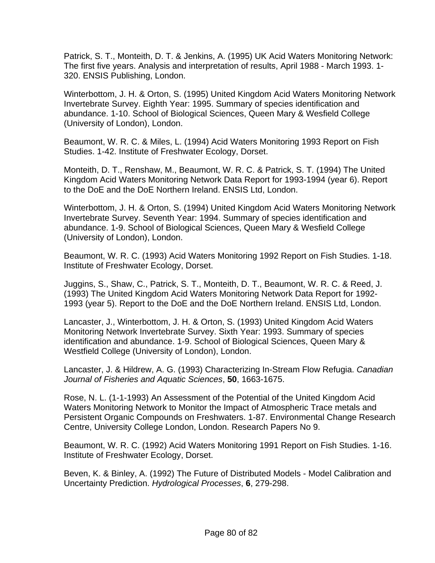Patrick, S. T., Monteith, D. T. & Jenkins, A. (1995) UK Acid Waters Monitoring Network: The first five years. Analysis and interpretation of results, April 1988 - March 1993. 1- 320. ENSIS Publishing, London.

Winterbottom, J. H. & Orton, S. (1995) United Kingdom Acid Waters Monitoring Network Invertebrate Survey. Eighth Year: 1995. Summary of species identification and abundance. 1-10. School of Biological Sciences, Queen Mary & Wesfield College (University of London), London.

Beaumont, W. R. C. & Miles, L. (1994) Acid Waters Monitoring 1993 Report on Fish Studies. 1-42. Institute of Freshwater Ecology, Dorset.

Monteith, D. T., Renshaw, M., Beaumont, W. R. C. & Patrick, S. T. (1994) The United Kingdom Acid Waters Monitoring Network Data Report for 1993-1994 (year 6). Report to the DoE and the DoE Northern Ireland. ENSIS Ltd, London.

Winterbottom, J. H. & Orton, S. (1994) United Kingdom Acid Waters Monitoring Network Invertebrate Survey. Seventh Year: 1994. Summary of species identification and abundance. 1-9. School of Biological Sciences, Queen Mary & Wesfield College (University of London), London.

Beaumont, W. R. C. (1993) Acid Waters Monitoring 1992 Report on Fish Studies. 1-18. Institute of Freshwater Ecology, Dorset.

Juggins, S., Shaw, C., Patrick, S. T., Monteith, D. T., Beaumont, W. R. C. & Reed, J. (1993) The United Kingdom Acid Waters Monitoring Network Data Report for 1992- 1993 (year 5). Report to the DoE and the DoE Northern Ireland. ENSIS Ltd, London.

Lancaster, J., Winterbottom, J. H. & Orton, S. (1993) United Kingdom Acid Waters Monitoring Network Invertebrate Survey. Sixth Year: 1993. Summary of species identification and abundance. 1-9. School of Biological Sciences, Queen Mary & Westfield College (University of London), London.

Lancaster, J. & Hildrew, A. G. (1993) Characterizing In-Stream Flow Refugia. *Canadian Journal of Fisheries and Aquatic Sciences*, **50**, 1663-1675.

Rose, N. L. (1-1-1993) An Assessment of the Potential of the United Kingdom Acid Waters Monitoring Network to Monitor the Impact of Atmospheric Trace metals and Persistent Organic Compounds on Freshwaters. 1-87. Environmental Change Research Centre, University College London, London. Research Papers No 9.

Beaumont, W. R. C. (1992) Acid Waters Monitoring 1991 Report on Fish Studies. 1-16. Institute of Freshwater Ecology, Dorset.

Beven, K. & Binley, A. (1992) The Future of Distributed Models - Model Calibration and Uncertainty Prediction. *Hydrological Processes*, **6**, 279-298.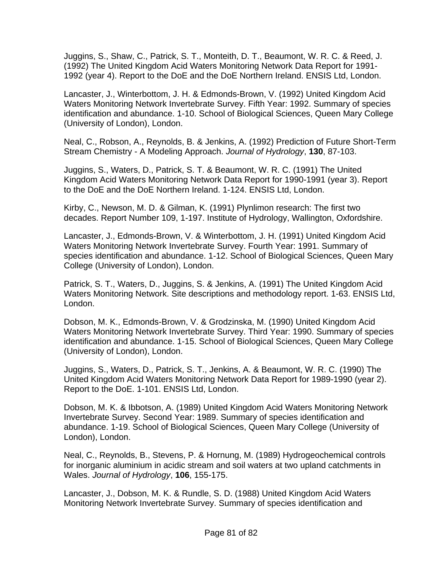Juggins, S., Shaw, C., Patrick, S. T., Monteith, D. T., Beaumont, W. R. C. & Reed, J. (1992) The United Kingdom Acid Waters Monitoring Network Data Report for 1991- 1992 (year 4). Report to the DoE and the DoE Northern Ireland. ENSIS Ltd, London.

Lancaster, J., Winterbottom, J. H. & Edmonds-Brown, V. (1992) United Kingdom Acid Waters Monitoring Network Invertebrate Survey. Fifth Year: 1992. Summary of species identification and abundance. 1-10. School of Biological Sciences, Queen Mary College (University of London), London.

Neal, C., Robson, A., Reynolds, B. & Jenkins, A. (1992) Prediction of Future Short-Term Stream Chemistry - A Modeling Approach. *Journal of Hydrology*, **130**, 87-103.

Juggins, S., Waters, D., Patrick, S. T. & Beaumont, W. R. C. (1991) The United Kingdom Acid Waters Monitoring Network Data Report for 1990-1991 (year 3). Report to the DoE and the DoE Northern Ireland. 1-124. ENSIS Ltd, London.

Kirby, C., Newson, M. D. & Gilman, K. (1991) Plynlimon research: The first two decades. Report Number 109, 1-197. Institute of Hydrology, Wallington, Oxfordshire.

Lancaster, J., Edmonds-Brown, V. & Winterbottom, J. H. (1991) United Kingdom Acid Waters Monitoring Network Invertebrate Survey. Fourth Year: 1991. Summary of species identification and abundance. 1-12. School of Biological Sciences, Queen Mary College (University of London), London.

Patrick, S. T., Waters, D., Juggins, S. & Jenkins, A. (1991) The United Kingdom Acid Waters Monitoring Network. Site descriptions and methodology report. 1-63. ENSIS Ltd, London.

Dobson, M. K., Edmonds-Brown, V. & Grodzinska, M. (1990) United Kingdom Acid Waters Monitoring Network Invertebrate Survey. Third Year: 1990. Summary of species identification and abundance. 1-15. School of Biological Sciences, Queen Mary College (University of London), London.

Juggins, S., Waters, D., Patrick, S. T., Jenkins, A. & Beaumont, W. R. C. (1990) The United Kingdom Acid Waters Monitoring Network Data Report for 1989-1990 (year 2). Report to the DoE. 1-101. ENSIS Ltd, London.

Dobson, M. K. & Ibbotson, A. (1989) United Kingdom Acid Waters Monitoring Network Invertebrate Survey. Second Year: 1989. Summary of species identification and abundance. 1-19. School of Biological Sciences, Queen Mary College (University of London), London.

Neal, C., Reynolds, B., Stevens, P. & Hornung, M. (1989) Hydrogeochemical controls for inorganic aluminium in acidic stream and soil waters at two upland catchments in Wales. *Journal of Hydrology*, **106**, 155-175.

Lancaster, J., Dobson, M. K. & Rundle, S. D. (1988) United Kingdom Acid Waters Monitoring Network Invertebrate Survey. Summary of species identification and